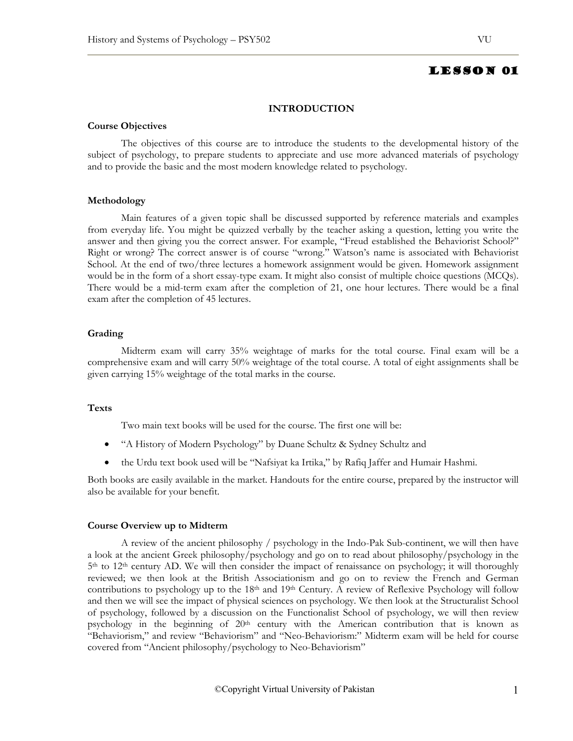## **INTRODUCTION**

### **Course Objectives**

The objectives of this course are to introduce the students to the developmental history of the subject of psychology, to prepare students to appreciate and use more advanced materials of psychology and to provide the basic and the most modern knowledge related to psychology.

### **Methodology**

Main features of a given topic shall be discussed supported by reference materials and examples from everyday life. You might be quizzed verbally by the teacher asking a question, letting you write the answer and then giving you the correct answer. For example, "Freud established the Behaviorist School?" Right or wrong? The correct answer is of course "wrong." Watson's name is associated with Behaviorist School. At the end of two/three lectures a homework assignment would be given. Homework assignment would be in the form of a short essay-type exam. It might also consist of multiple choice questions (MCQs). There would be a mid-term exam after the completion of 21, one hour lectures. There would be a final exam after the completion of 45 lectures.

# **Grading**

Midterm exam will carry 35% weightage of marks for the total course. Final exam will be a comprehensive exam and will carry 50% weightage of the total course. A total of eight assignments shall be given carrying 15% weightage of the total marks in the course.

# **Texts**

Two main text books will be used for the course. The first one will be:

- "A History of Modern Psychology" by Duane Schultz & Sydney Schultz and
- the Urdu text book used will be "Nafsiyat ka Irtika," by Rafiq Jaffer and Humair Hashmi.

Both books are easily available in the market. Handouts for the entire course, prepared by the instructor will also be available for your benefit.

### **Course Overview up to Midterm**

A review of the ancient philosophy / psychology in the Indo-Pak Sub-continent, we will then have a look at the ancient Greek philosophy/psychology and go on to read about philosophy/psychology in the 5<sup>th</sup> to 12<sup>th</sup> century AD. We will then consider the impact of renaissance on psychology; it will thoroughly reviewed; we then look at the British Associationism and go on to review the French and German contributions to psychology up to the 18<sup>th</sup> and 19<sup>th</sup> Century. A review of Reflexive Psychology will follow and then we will see the impact of physical sciences on psychology. We then look at the Structuralist School of psychology, followed by a discussion on the Functionalist School of psychology, we will then review psychology in the beginning of  $20<sup>th</sup>$  century with the American contribution that is known as "Behaviorism," and review "Behaviorism" and "Neo-Behaviorism:" Midterm exam will be held for course covered from "Ancient philosophy/psychology to Neo-Behaviorism"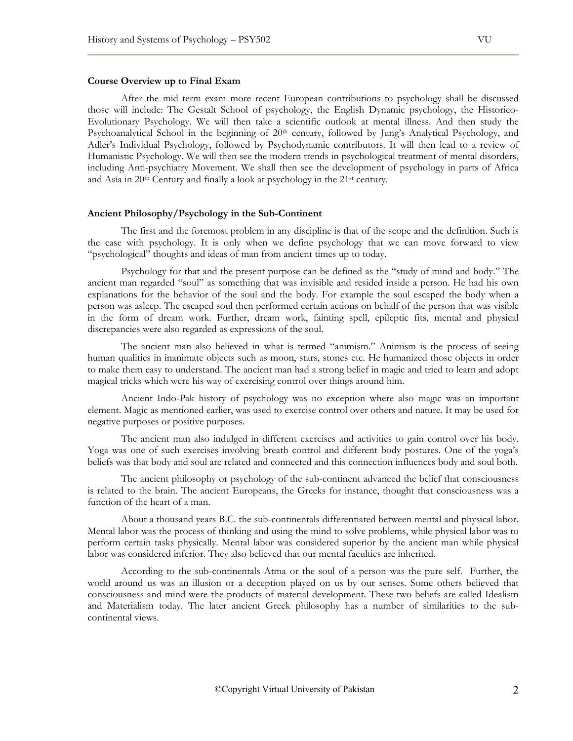### **Course Overview up to Final Exam**

After the mid term exam more recent European contributions to psychology shall be discussed those will include: The Gestalt School of psychology, the English Dynamic psychology, the Historico-Evolutionary Psychology. We will then take a scientific outlook at mental illness. And then study the Psychoanalytical School in the beginning of 20<sup>th</sup> century, followed by Jung's Analytical Psychology, and Adler's Individual Psychology, followed by Psychodynamic contributors. It will then lead to a review of Humanistic Psychology. We will then see the modern trends in psychological treatment of mental disorders, including Anti-psychiatry Movement. We shall then see the development of psychology in parts of Africa and Asia in 20<sup>th</sup> Century and finally a look at psychology in the 21<sup>st</sup> century.

### **Ancient Philosophy/Psychology in the Sub-Continent**

The first and the foremost problem in any discipline is that of the scope and the definition. Such is the case with psychology. It is only when we define psychology that we can move forward to view "psychological" thoughts and ideas of man from ancient times up to today.

Psychology for that and the present purpose can be defined as the "study of mind and body." The ancient man regarded "soul" as something that was invisible and resided inside a person. He had his own explanations for the behavior of the soul and the body. For example the soul escaped the body when a person was asleep. The escaped soul then performed certain actions on behalf of the person that was visible in the form of dream work. Further, dream work, fainting spell, epileptic fits, mental and physical discrepancies were also regarded as expressions of the soul.

The ancient man also believed in what is termed "animism." Animism is the process of seeing human qualities in inanimate objects such as moon, stars, stones etc. He humanized those objects in order to make them easy to understand. The ancient man had a strong belief in magic and tried to learn and adopt magical tricks which were his way of exercising control over things around him.

Ancient Indo-Pak history of psychology was no exception where also magic was an important element. Magic as mentioned earlier, was used to exercise control over others and nature. It may be used for negative purposes or positive purposes.

The ancient man also indulged in different exercises and activities to gain control over his body. Yoga was one of such exercises involving breath control and different body postures. One of the yoga's beliefs was that body and soul are related and connected and this connection influences body and soul both.

The ancient philosophy or psychology of the sub-continent advanced the belief that consciousness is related to the brain. The ancient Europeans, the Greeks for instance, thought that consciousness was a function of the heart of a man.

About a thousand years B.C. the sub-continentals differentiated between mental and physical labor. Mental labor was the process of thinking and using the mind to solve problems, while physical labor was to perform certain tasks physically. Mental labor was considered superior by the ancient man while physical labor was considered inferior. They also believed that our mental faculties are inherited.

According to the sub-continentals Atma or the soul of a person was the pure self. Further, the world around us was an illusion or a deception played on us by our senses. Some others believed that consciousness and mind were the products of material development. These two beliefs are called Idealism and Materialism today. The later ancient Greek philosophy has a number of similarities to the subcontinental views.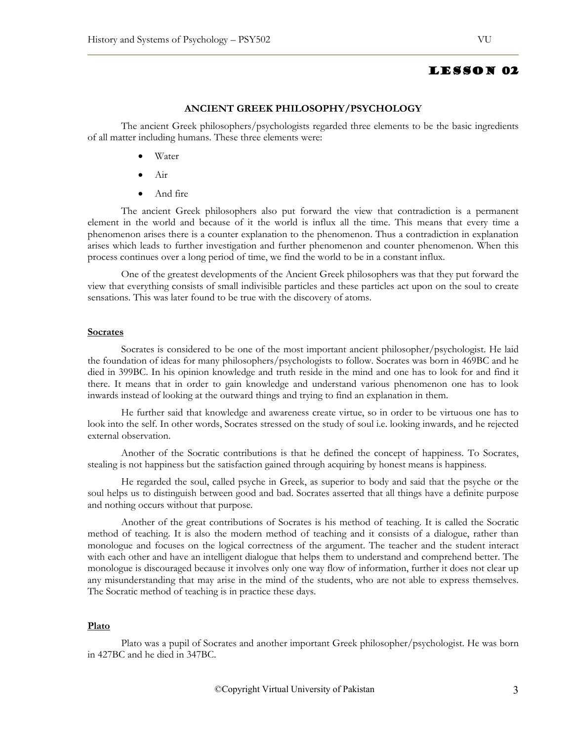### **ANCIENT GREEK PHILOSOPHY/PSYCHOLOGY**

The ancient Greek philosophers/psychologists regarded three elements to be the basic ingredients of all matter including humans. These three elements were:

- Water
- Air
- And fire

The ancient Greek philosophers also put forward the view that contradiction is a permanent element in the world and because of it the world is influx all the time. This means that every time a phenomenon arises there is a counter explanation to the phenomenon. Thus a contradiction in explanation arises which leads to further investigation and further phenomenon and counter phenomenon. When this process continues over a long period of time, we find the world to be in a constant influx.

One of the greatest developments of the Ancient Greek philosophers was that they put forward the view that everything consists of small indivisible particles and these particles act upon on the soul to create sensations. This was later found to be true with the discovery of atoms.

#### **Socrates**

Socrates is considered to be one of the most important ancient philosopher/psychologist. He laid the foundation of ideas for many philosophers/psychologists to follow. Socrates was born in 469BC and he died in 399BC. In his opinion knowledge and truth reside in the mind and one has to look for and find it there. It means that in order to gain knowledge and understand various phenomenon one has to look inwards instead of looking at the outward things and trying to find an explanation in them.

He further said that knowledge and awareness create virtue, so in order to be virtuous one has to look into the self. In other words, Socrates stressed on the study of soul i.e. looking inwards, and he rejected external observation.

Another of the Socratic contributions is that he defined the concept of happiness. To Socrates, stealing is not happiness but the satisfaction gained through acquiring by honest means is happiness.

He regarded the soul, called psyche in Greek, as superior to body and said that the psyche or the soul helps us to distinguish between good and bad. Socrates asserted that all things have a definite purpose and nothing occurs without that purpose.

Another of the great contributions of Socrates is his method of teaching. It is called the Socratic method of teaching. It is also the modern method of teaching and it consists of a dialogue, rather than monologue and focuses on the logical correctness of the argument. The teacher and the student interact with each other and have an intelligent dialogue that helps them to understand and comprehend better. The monologue is discouraged because it involves only one way flow of information, further it does not clear up any misunderstanding that may arise in the mind of the students, who are not able to express themselves. The Socratic method of teaching is in practice these days.

#### **Plato**

Plato was a pupil of Socrates and another important Greek philosopher/psychologist. He was born in 427BC and he died in 347BC.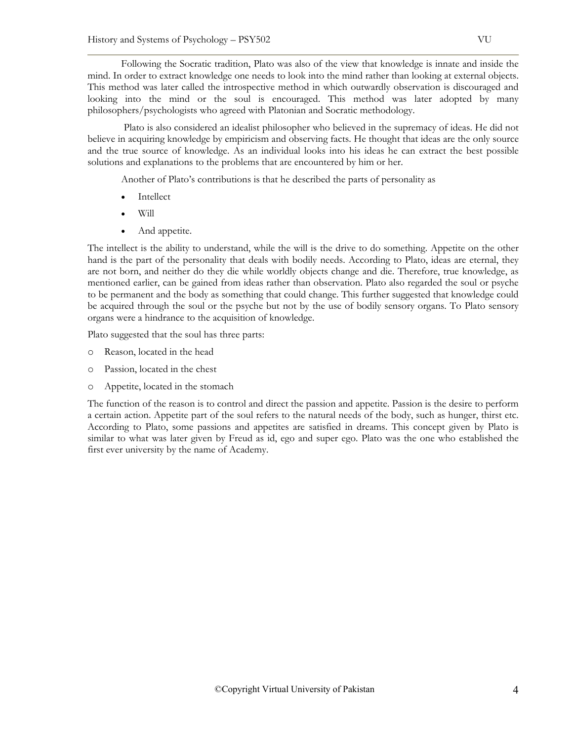Following the Socratic tradition, Plato was also of the view that knowledge is innate and inside the mind. In order to extract knowledge one needs to look into the mind rather than looking at external objects. This method was later called the introspective method in which outwardly observation is discouraged and looking into the mind or the soul is encouraged. This method was later adopted by many philosophers/psychologists who agreed with Platonian and Socratic methodology.

 Plato is also considered an idealist philosopher who believed in the supremacy of ideas. He did not believe in acquiring knowledge by empiricism and observing facts. He thought that ideas are the only source and the true source of knowledge. As an individual looks into his ideas he can extract the best possible solutions and explanations to the problems that are encountered by him or her.

Another of Plato's contributions is that he described the parts of personality as

- **Intellect**
- Will
- And appetite.

The intellect is the ability to understand, while the will is the drive to do something. Appetite on the other hand is the part of the personality that deals with bodily needs. According to Plato, ideas are eternal, they are not born, and neither do they die while worldly objects change and die. Therefore, true knowledge, as mentioned earlier, can be gained from ideas rather than observation. Plato also regarded the soul or psyche to be permanent and the body as something that could change. This further suggested that knowledge could be acquired through the soul or the psyche but not by the use of bodily sensory organs. To Plato sensory organs were a hindrance to the acquisition of knowledge.

Plato suggested that the soul has three parts:

- o Reason, located in the head
- o Passion, located in the chest
- o Appetite, located in the stomach

The function of the reason is to control and direct the passion and appetite. Passion is the desire to perform a certain action. Appetite part of the soul refers to the natural needs of the body, such as hunger, thirst etc. According to Plato, some passions and appetites are satisfied in dreams. This concept given by Plato is similar to what was later given by Freud as id, ego and super ego. Plato was the one who established the first ever university by the name of Academy.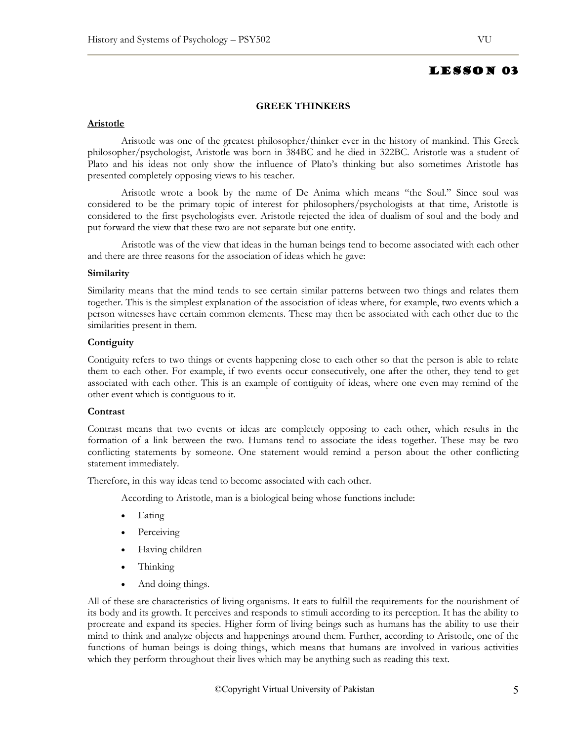### **GREEK THINKERS**

### **Aristotle**

Aristotle was one of the greatest philosopher/thinker ever in the history of mankind. This Greek philosopher/psychologist, Aristotle was born in 384BC and he died in 322BC. Aristotle was a student of Plato and his ideas not only show the influence of Plato's thinking but also sometimes Aristotle has presented completely opposing views to his teacher.

Aristotle wrote a book by the name of De Anima which means "the Soul." Since soul was considered to be the primary topic of interest for philosophers/psychologists at that time, Aristotle is considered to the first psychologists ever. Aristotle rejected the idea of dualism of soul and the body and put forward the view that these two are not separate but one entity.

Aristotle was of the view that ideas in the human beings tend to become associated with each other and there are three reasons for the association of ideas which he gave:

### **Similarity**

Similarity means that the mind tends to see certain similar patterns between two things and relates them together. This is the simplest explanation of the association of ideas where, for example, two events which a person witnesses have certain common elements. These may then be associated with each other due to the similarities present in them.

### **Contiguity**

Contiguity refers to two things or events happening close to each other so that the person is able to relate them to each other. For example, if two events occur consecutively, one after the other, they tend to get associated with each other. This is an example of contiguity of ideas, where one even may remind of the other event which is contiguous to it.

### **Contrast**

Contrast means that two events or ideas are completely opposing to each other, which results in the formation of a link between the two. Humans tend to associate the ideas together. These may be two conflicting statements by someone. One statement would remind a person about the other conflicting statement immediately.

Therefore, in this way ideas tend to become associated with each other.

According to Aristotle, man is a biological being whose functions include:

- Eating
- Perceiving
- Having children
- Thinking
- And doing things.

All of these are characteristics of living organisms. It eats to fulfill the requirements for the nourishment of its body and its growth. It perceives and responds to stimuli according to its perception. It has the ability to procreate and expand its species. Higher form of living beings such as humans has the ability to use their mind to think and analyze objects and happenings around them. Further, according to Aristotle, one of the functions of human beings is doing things, which means that humans are involved in various activities which they perform throughout their lives which may be anything such as reading this text.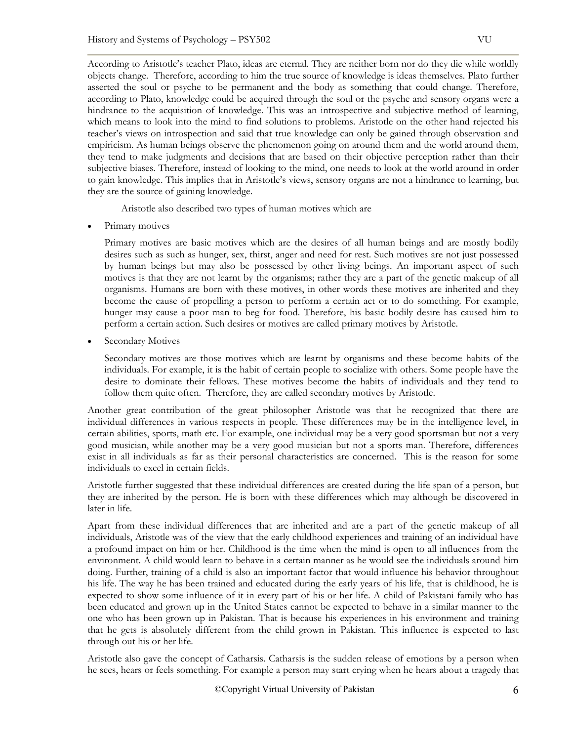According to Aristotle's teacher Plato, ideas are eternal. They are neither born nor do they die while worldly objects change. Therefore, according to him the true source of knowledge is ideas themselves. Plato further asserted the soul or psyche to be permanent and the body as something that could change. Therefore, according to Plato, knowledge could be acquired through the soul or the psyche and sensory organs were a hindrance to the acquisition of knowledge. This was an introspective and subjective method of learning, which means to look into the mind to find solutions to problems. Aristotle on the other hand rejected his teacher's views on introspection and said that true knowledge can only be gained through observation and empiricism. As human beings observe the phenomenon going on around them and the world around them, they tend to make judgments and decisions that are based on their objective perception rather than their subjective biases. Therefore, instead of looking to the mind, one needs to look at the world around in order to gain knowledge. This implies that in Aristotle's views, sensory organs are not a hindrance to learning, but they are the source of gaining knowledge.

Aristotle also described two types of human motives which are

Primary motives

Primary motives are basic motives which are the desires of all human beings and are mostly bodily desires such as such as hunger, sex, thirst, anger and need for rest. Such motives are not just possessed by human beings but may also be possessed by other living beings. An important aspect of such motives is that they are not learnt by the organisms; rather they are a part of the genetic makeup of all organisms. Humans are born with these motives, in other words these motives are inherited and they become the cause of propelling a person to perform a certain act or to do something. For example, hunger may cause a poor man to beg for food. Therefore, his basic bodily desire has caused him to perform a certain action. Such desires or motives are called primary motives by Aristotle.

• Secondary Motives

Secondary motives are those motives which are learnt by organisms and these become habits of the individuals. For example, it is the habit of certain people to socialize with others. Some people have the desire to dominate their fellows. These motives become the habits of individuals and they tend to follow them quite often. Therefore, they are called secondary motives by Aristotle.

Another great contribution of the great philosopher Aristotle was that he recognized that there are individual differences in various respects in people. These differences may be in the intelligence level, in certain abilities, sports, math etc. For example, one individual may be a very good sportsman but not a very good musician, while another may be a very good musician but not a sports man. Therefore, differences exist in all individuals as far as their personal characteristics are concerned. This is the reason for some individuals to excel in certain fields.

Aristotle further suggested that these individual differences are created during the life span of a person, but they are inherited by the person. He is born with these differences which may although be discovered in later in life.

Apart from these individual differences that are inherited and are a part of the genetic makeup of all individuals, Aristotle was of the view that the early childhood experiences and training of an individual have a profound impact on him or her. Childhood is the time when the mind is open to all influences from the environment. A child would learn to behave in a certain manner as he would see the individuals around him doing. Further, training of a child is also an important factor that would influence his behavior throughout his life. The way he has been trained and educated during the early years of his life, that is childhood, he is expected to show some influence of it in every part of his or her life. A child of Pakistani family who has been educated and grown up in the United States cannot be expected to behave in a similar manner to the one who has been grown up in Pakistan. That is because his experiences in his environment and training that he gets is absolutely different from the child grown in Pakistan. This influence is expected to last through out his or her life.

Aristotle also gave the concept of Catharsis. Catharsis is the sudden release of emotions by a person when he sees, hears or feels something. For example a person may start crying when he hears about a tragedy that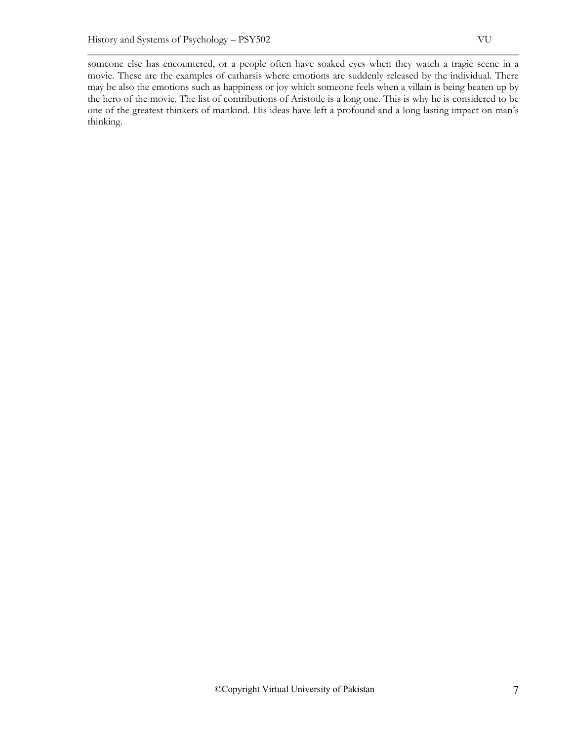someone else has encountered, or a people often have soaked eyes when they watch a tragic scene in a movie. These are the examples of catharsis where emotions are suddenly released by the individual. There may be also the emotions such as happiness or joy which someone feels when a villain is being beaten up by the hero of the movie. The list of contributions of Aristotle is a long one. This is why he is considered to be one of the greatest thinkers of mankind. His ideas have left a profound and a long lasting impact on man's thinking.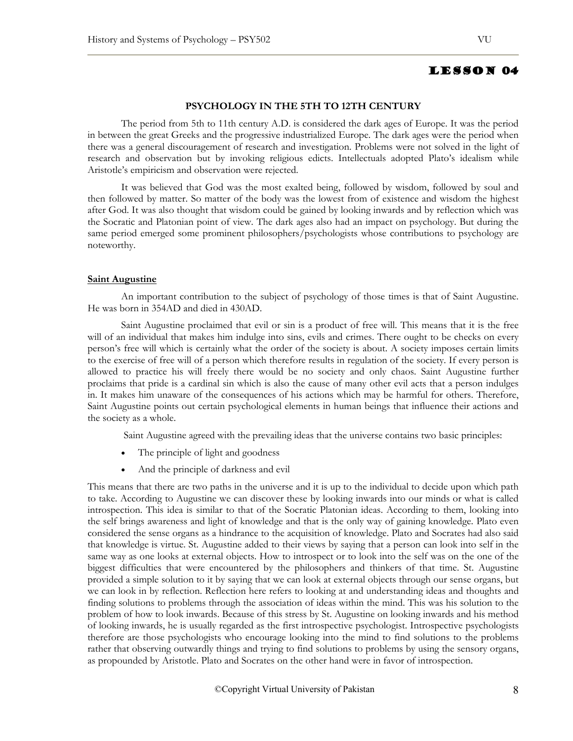# **PSYCHOLOGY IN THE 5TH TO 12TH CENTURY**

The period from 5th to 11th century A.D. is considered the dark ages of Europe. It was the period in between the great Greeks and the progressive industrialized Europe. The dark ages were the period when there was a general discouragement of research and investigation. Problems were not solved in the light of research and observation but by invoking religious edicts. Intellectuals adopted Plato's idealism while Aristotle's empiricism and observation were rejected.

It was believed that God was the most exalted being, followed by wisdom, followed by soul and then followed by matter. So matter of the body was the lowest from of existence and wisdom the highest after God. It was also thought that wisdom could be gained by looking inwards and by reflection which was the Socratic and Platonian point of view. The dark ages also had an impact on psychology. But during the same period emerged some prominent philosophers/psychologists whose contributions to psychology are noteworthy.

# **Saint Augustine**

An important contribution to the subject of psychology of those times is that of Saint Augustine. He was born in 354AD and died in 430AD.

Saint Augustine proclaimed that evil or sin is a product of free will. This means that it is the free will of an individual that makes him indulge into sins, evils and crimes. There ought to be checks on every person's free will which is certainly what the order of the society is about. A society imposes certain limits to the exercise of free will of a person which therefore results in regulation of the society. If every person is allowed to practice his will freely there would be no society and only chaos. Saint Augustine further proclaims that pride is a cardinal sin which is also the cause of many other evil acts that a person indulges in. It makes him unaware of the consequences of his actions which may be harmful for others. Therefore, Saint Augustine points out certain psychological elements in human beings that influence their actions and the society as a whole.

Saint Augustine agreed with the prevailing ideas that the universe contains two basic principles:

- The principle of light and goodness
- And the principle of darkness and evil

This means that there are two paths in the universe and it is up to the individual to decide upon which path to take. According to Augustine we can discover these by looking inwards into our minds or what is called introspection. This idea is similar to that of the Socratic Platonian ideas. According to them, looking into the self brings awareness and light of knowledge and that is the only way of gaining knowledge. Plato even considered the sense organs as a hindrance to the acquisition of knowledge. Plato and Socrates had also said that knowledge is virtue. St. Augustine added to their views by saying that a person can look into self in the same way as one looks at external objects. How to introspect or to look into the self was on the one of the biggest difficulties that were encountered by the philosophers and thinkers of that time. St. Augustine provided a simple solution to it by saying that we can look at external objects through our sense organs, but we can look in by reflection. Reflection here refers to looking at and understanding ideas and thoughts and finding solutions to problems through the association of ideas within the mind. This was his solution to the problem of how to look inwards. Because of this stress by St. Augustine on looking inwards and his method of looking inwards, he is usually regarded as the first introspective psychologist. Introspective psychologists therefore are those psychologists who encourage looking into the mind to find solutions to the problems rather that observing outwardly things and trying to find solutions to problems by using the sensory organs, as propounded by Aristotle. Plato and Socrates on the other hand were in favor of introspection.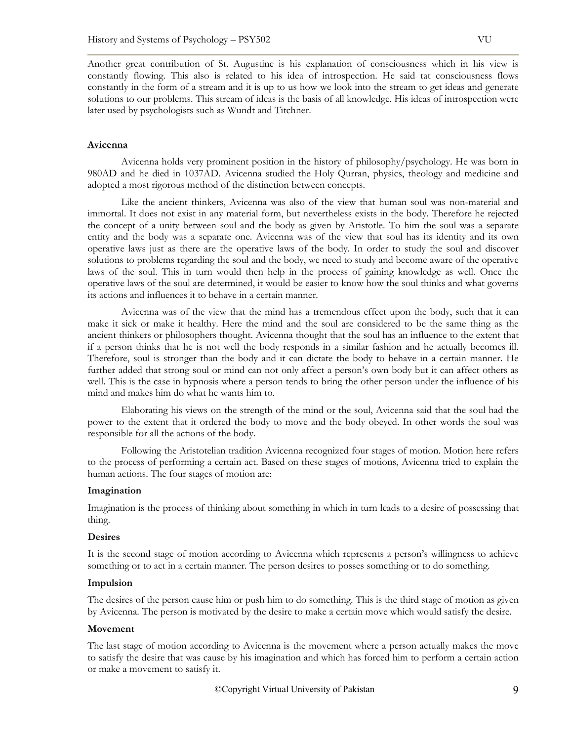Another great contribution of St. Augustine is his explanation of consciousness which in his view is constantly flowing. This also is related to his idea of introspection. He said tat consciousness flows constantly in the form of a stream and it is up to us how we look into the stream to get ideas and generate solutions to our problems. This stream of ideas is the basis of all knowledge. His ideas of introspection were later used by psychologists such as Wundt and Titchner.

### **Avicenna**

Avicenna holds very prominent position in the history of philosophy/psychology. He was born in 980AD and he died in 1037AD. Avicenna studied the Holy Qurran, physics, theology and medicine and adopted a most rigorous method of the distinction between concepts.

Like the ancient thinkers, Avicenna was also of the view that human soul was non-material and immortal. It does not exist in any material form, but nevertheless exists in the body. Therefore he rejected the concept of a unity between soul and the body as given by Aristotle. To him the soul was a separate entity and the body was a separate one. Avicenna was of the view that soul has its identity and its own operative laws just as there are the operative laws of the body. In order to study the soul and discover solutions to problems regarding the soul and the body, we need to study and become aware of the operative laws of the soul. This in turn would then help in the process of gaining knowledge as well. Once the operative laws of the soul are determined, it would be easier to know how the soul thinks and what governs its actions and influences it to behave in a certain manner.

Avicenna was of the view that the mind has a tremendous effect upon the body, such that it can make it sick or make it healthy. Here the mind and the soul are considered to be the same thing as the ancient thinkers or philosophers thought. Avicenna thought that the soul has an influence to the extent that if a person thinks that he is not well the body responds in a similar fashion and he actually becomes ill. Therefore, soul is stronger than the body and it can dictate the body to behave in a certain manner. He further added that strong soul or mind can not only affect a person's own body but it can affect others as well. This is the case in hypnosis where a person tends to bring the other person under the influence of his mind and makes him do what he wants him to.

Elaborating his views on the strength of the mind or the soul, Avicenna said that the soul had the power to the extent that it ordered the body to move and the body obeyed. In other words the soul was responsible for all the actions of the body.

Following the Aristotelian tradition Avicenna recognized four stages of motion. Motion here refers to the process of performing a certain act. Based on these stages of motions, Avicenna tried to explain the human actions. The four stages of motion are:

### **Imagination**

Imagination is the process of thinking about something in which in turn leads to a desire of possessing that thing.

### **Desires**

It is the second stage of motion according to Avicenna which represents a person's willingness to achieve something or to act in a certain manner. The person desires to posses something or to do something.

### **Impulsion**

The desires of the person cause him or push him to do something. This is the third stage of motion as given by Avicenna. The person is motivated by the desire to make a certain move which would satisfy the desire.

### **Movement**

The last stage of motion according to Avicenna is the movement where a person actually makes the move to satisfy the desire that was cause by his imagination and which has forced him to perform a certain action or make a movement to satisfy it.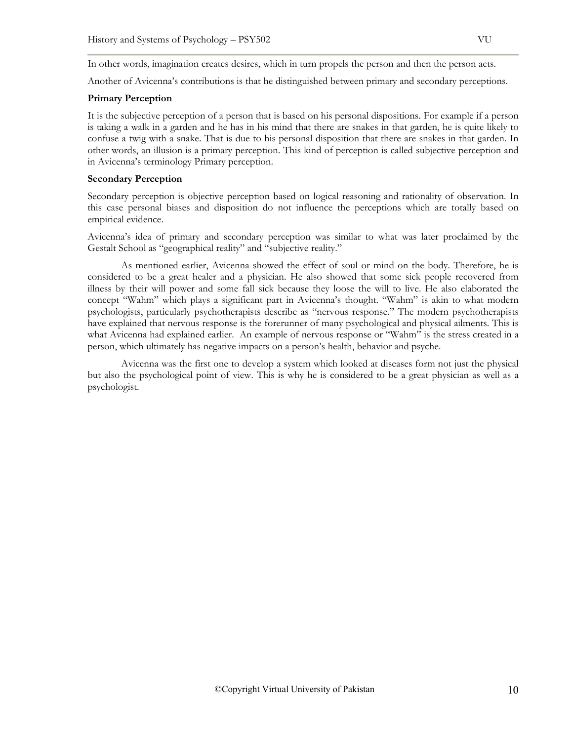In other words, imagination creates desires, which in turn propels the person and then the person acts.

Another of Avicenna's contributions is that he distinguished between primary and secondary perceptions.

## **Primary Perception**

It is the subjective perception of a person that is based on his personal dispositions. For example if a person is taking a walk in a garden and he has in his mind that there are snakes in that garden, he is quite likely to confuse a twig with a snake. That is due to his personal disposition that there are snakes in that garden. In other words, an illusion is a primary perception. This kind of perception is called subjective perception and in Avicenna's terminology Primary perception.

## **Secondary Perception**

Secondary perception is objective perception based on logical reasoning and rationality of observation. In this case personal biases and disposition do not influence the perceptions which are totally based on empirical evidence.

Avicenna's idea of primary and secondary perception was similar to what was later proclaimed by the Gestalt School as "geographical reality" and "subjective reality."

As mentioned earlier, Avicenna showed the effect of soul or mind on the body. Therefore, he is considered to be a great healer and a physician. He also showed that some sick people recovered from illness by their will power and some fall sick because they loose the will to live. He also elaborated the concept "Wahm" which plays a significant part in Avicenna's thought. "Wahm" is akin to what modern psychologists, particularly psychotherapists describe as "nervous response." The modern psychotherapists have explained that nervous response is the forerunner of many psychological and physical ailments. This is what Avicenna had explained earlier. An example of nervous response or "Wahm" is the stress created in a person, which ultimately has negative impacts on a person's health, behavior and psyche.

Avicenna was the first one to develop a system which looked at diseases form not just the physical but also the psychological point of view. This is why he is considered to be a great physician as well as a psychologist.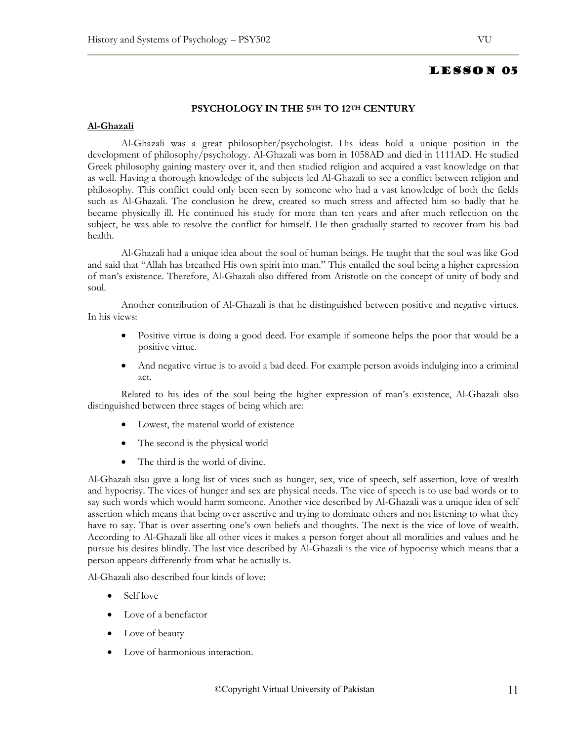# LESSON 05

# **PSYCHOLOGY IN THE 5TH TO 12TH CENTURY**

### **Al-Ghazali**

Al-Ghazali was a great philosopher/psychologist. His ideas hold a unique position in the development of philosophy/psychology. Al-Ghazali was born in 1058AD and died in 1111AD. He studied Greek philosophy gaining mastery over it, and then studied religion and acquired a vast knowledge on that as well. Having a thorough knowledge of the subjects led Al-Ghazali to see a conflict between religion and philosophy. This conflict could only been seen by someone who had a vast knowledge of both the fields such as Al-Ghazali. The conclusion he drew, created so much stress and affected him so badly that he became physically ill. He continued his study for more than ten years and after much reflection on the subject, he was able to resolve the conflict for himself. He then gradually started to recover from his bad health.

Al-Ghazali had a unique idea about the soul of human beings. He taught that the soul was like God and said that "Allah has breathed His own spirit into man." This entailed the soul being a higher expression of man's existence. Therefore, Al-Ghazali also differed from Aristotle on the concept of unity of body and soul.

Another contribution of Al-Ghazali is that he distinguished between positive and negative virtues. In his views:

- Positive virtue is doing a good deed. For example if someone helps the poor that would be a positive virtue.
- And negative virtue is to avoid a bad deed. For example person avoids indulging into a criminal act.

Related to his idea of the soul being the higher expression of man's existence, Al-Ghazali also distinguished between three stages of being which are:

- Lowest, the material world of existence
- The second is the physical world
- The third is the world of divine.

Al-Ghazali also gave a long list of vices such as hunger, sex, vice of speech, self assertion, love of wealth and hypocrisy. The vices of hunger and sex are physical needs. The vice of speech is to use bad words or to say such words which would harm someone. Another vice described by Al-Ghazali was a unique idea of self assertion which means that being over assertive and trying to dominate others and not listening to what they have to say. That is over asserting one's own beliefs and thoughts. The next is the vice of love of wealth. According to Al-Ghazali like all other vices it makes a person forget about all moralities and values and he pursue his desires blindly. The last vice described by Al-Ghazali is the vice of hypocrisy which means that a person appears differently from what he actually is.

Al-Ghazali also described four kinds of love:

- Self love
- Love of a benefactor
- Love of beauty
- Love of harmonious interaction.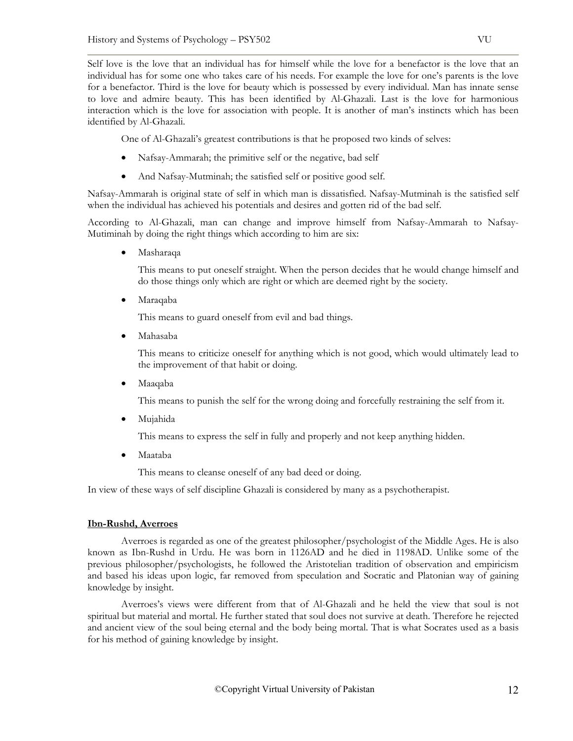Self love is the love that an individual has for himself while the love for a benefactor is the love that an individual has for some one who takes care of his needs. For example the love for one's parents is the love for a benefactor. Third is the love for beauty which is possessed by every individual. Man has innate sense to love and admire beauty. This has been identified by Al-Ghazali. Last is the love for harmonious interaction which is the love for association with people. It is another of man's instincts which has been identified by Al-Ghazali.

One of Al-Ghazali's greatest contributions is that he proposed two kinds of selves:

- Nafsay-Ammarah; the primitive self or the negative, bad self
- And Nafsay-Mutminah; the satisfied self or positive good self.

Nafsay-Ammarah is original state of self in which man is dissatisfied. Nafsay-Mutminah is the satisfied self when the individual has achieved his potentials and desires and gotten rid of the bad self.

According to Al-Ghazali, man can change and improve himself from Nafsay-Ammarah to Nafsay-Mutiminah by doing the right things which according to him are six:

• Masharaqa

This means to put oneself straight. When the person decides that he would change himself and do those things only which are right or which are deemed right by the society.

• Maraqaba

This means to guard oneself from evil and bad things.

• Mahasaba

This means to criticize oneself for anything which is not good, which would ultimately lead to the improvement of that habit or doing.

• Maaqaba

This means to punish the self for the wrong doing and forcefully restraining the self from it.

• Mujahida

This means to express the self in fully and properly and not keep anything hidden.

• Maataba

This means to cleanse oneself of any bad deed or doing.

In view of these ways of self discipline Ghazali is considered by many as a psychotherapist.

# **Ibn-Rushd, Averroes**

Averroes is regarded as one of the greatest philosopher/psychologist of the Middle Ages. He is also known as Ibn-Rushd in Urdu. He was born in 1126AD and he died in 1198AD. Unlike some of the previous philosopher/psychologists, he followed the Aristotelian tradition of observation and empiricism and based his ideas upon logic, far removed from speculation and Socratic and Platonian way of gaining knowledge by insight.

Averroes's views were different from that of Al-Ghazali and he held the view that soul is not spiritual but material and mortal. He further stated that soul does not survive at death. Therefore he rejected and ancient view of the soul being eternal and the body being mortal. That is what Socrates used as a basis for his method of gaining knowledge by insight.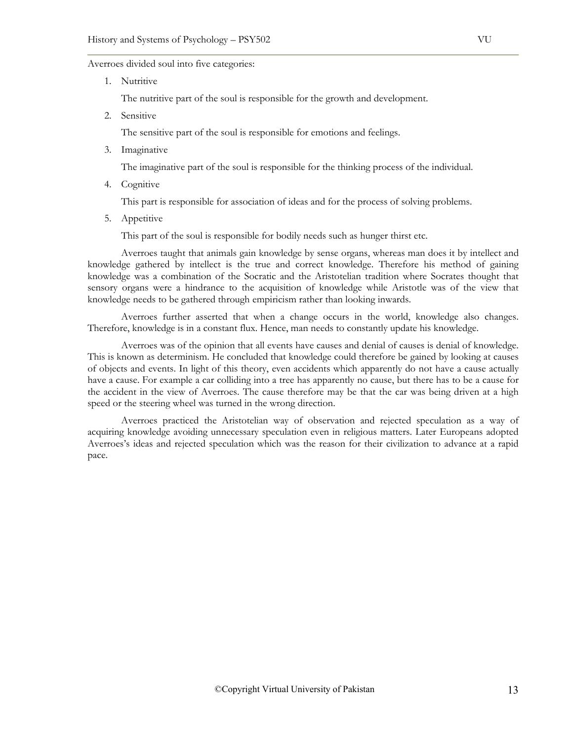### Averroes divided soul into five categories:

1. Nutritive

The nutritive part of the soul is responsible for the growth and development.

2. Sensitive

The sensitive part of the soul is responsible for emotions and feelings.

3. Imaginative

The imaginative part of the soul is responsible for the thinking process of the individual.

4. Cognitive

This part is responsible for association of ideas and for the process of solving problems.

5. Appetitive

This part of the soul is responsible for bodily needs such as hunger thirst etc.

Averroes taught that animals gain knowledge by sense organs, whereas man does it by intellect and knowledge gathered by intellect is the true and correct knowledge. Therefore his method of gaining knowledge was a combination of the Socratic and the Aristotelian tradition where Socrates thought that sensory organs were a hindrance to the acquisition of knowledge while Aristotle was of the view that knowledge needs to be gathered through empiricism rather than looking inwards.

Averroes further asserted that when a change occurs in the world, knowledge also changes. Therefore, knowledge is in a constant flux. Hence, man needs to constantly update his knowledge.

Averroes was of the opinion that all events have causes and denial of causes is denial of knowledge. This is known as determinism. He concluded that knowledge could therefore be gained by looking at causes of objects and events. In light of this theory, even accidents which apparently do not have a cause actually have a cause. For example a car colliding into a tree has apparently no cause, but there has to be a cause for the accident in the view of Averroes. The cause therefore may be that the car was being driven at a high speed or the steering wheel was turned in the wrong direction.

Averroes practiced the Aristotelian way of observation and rejected speculation as a way of acquiring knowledge avoiding unnecessary speculation even in religious matters. Later Europeans adopted Averroes's ideas and rejected speculation which was the reason for their civilization to advance at a rapid pace.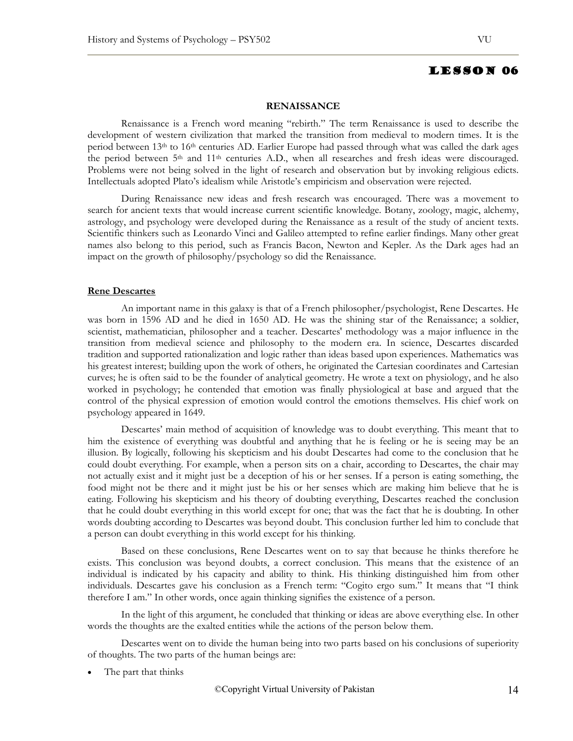### **RENAISSANCE**

Renaissance is a French word meaning "rebirth." The term Renaissance is used to describe the development of western civilization that marked the transition from medieval to modern times. It is the period between 13th to 16th centuries AD. Earlier Europe had passed through what was called the dark ages the period between  $5<sup>th</sup>$  and  $11<sup>th</sup>$  centuries A.D., when all researches and fresh ideas were discouraged. Problems were not being solved in the light of research and observation but by invoking religious edicts. Intellectuals adopted Plato's idealism while Aristotle's empiricism and observation were rejected.

During Renaissance new ideas and fresh research was encouraged. There was a movement to search for ancient texts that would increase current scientific knowledge. Botany, zoology, magic, alchemy, astrology, and psychology were developed during the Renaissance as a result of the study of ancient texts. Scientific thinkers such as Leonardo Vinci and Galileo attempted to refine earlier findings. Many other great names also belong to this period, such as Francis Bacon, Newton and Kepler. As the Dark ages had an impact on the growth of philosophy/psychology so did the Renaissance.

### **Rene Descartes**

An important name in this galaxy is that of a French philosopher/psychologist, Rene Descartes. He was born in 1596 AD and he died in 1650 AD. He was the shining star of the Renaissance; a soldier, scientist, mathematician, philosopher and a teacher. Descartes' methodology was a major influence in the transition from medieval science and philosophy to the modern era. In science, Descartes discarded tradition and supported rationalization and logic rather than ideas based upon experiences. Mathematics was his greatest interest; building upon the work of others, he originated the Cartesian coordinates and Cartesian curves; he is often said to be the founder of analytical geometry. He wrote a text on physiology, and he also worked in psychology; he contended that emotion was finally physiological at base and argued that the control of the physical expression of emotion would control the emotions themselves. His chief work on psychology appeared in 1649.

Descartes' main method of acquisition of knowledge was to doubt everything. This meant that to him the existence of everything was doubtful and anything that he is feeling or he is seeing may be an illusion. By logically, following his skepticism and his doubt Descartes had come to the conclusion that he could doubt everything. For example, when a person sits on a chair, according to Descartes, the chair may not actually exist and it might just be a deception of his or her senses. If a person is eating something, the food might not be there and it might just be his or her senses which are making him believe that he is eating. Following his skepticism and his theory of doubting everything, Descartes reached the conclusion that he could doubt everything in this world except for one; that was the fact that he is doubting. In other words doubting according to Descartes was beyond doubt. This conclusion further led him to conclude that a person can doubt everything in this world except for his thinking.

Based on these conclusions, Rene Descartes went on to say that because he thinks therefore he exists. This conclusion was beyond doubts, a correct conclusion. This means that the existence of an individual is indicated by his capacity and ability to think. His thinking distinguished him from other individuals. Descartes gave his conclusion as a French term: "Cogito ergo sum." It means that "I think therefore I am." In other words, once again thinking signifies the existence of a person.

In the light of this argument, he concluded that thinking or ideas are above everything else. In other words the thoughts are the exalted entities while the actions of the person below them.

Descartes went on to divide the human being into two parts based on his conclusions of superiority of thoughts. The two parts of the human beings are:

The part that thinks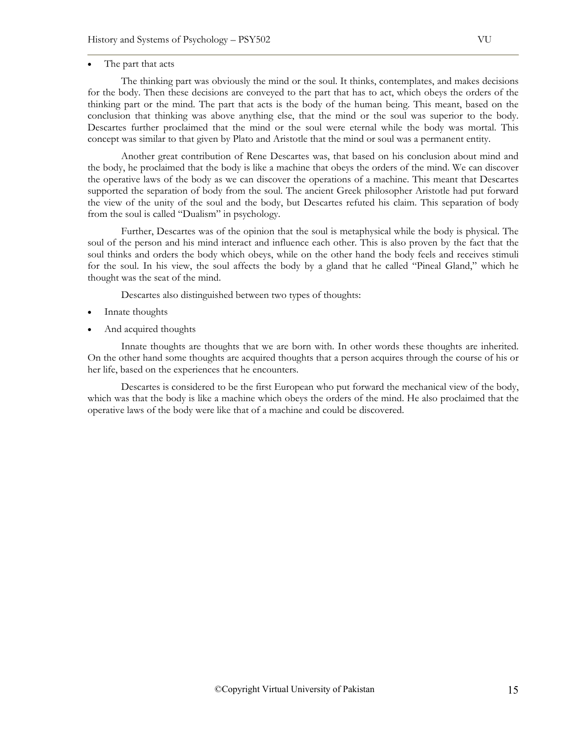# The part that acts

The thinking part was obviously the mind or the soul. It thinks, contemplates, and makes decisions for the body. Then these decisions are conveyed to the part that has to act, which obeys the orders of the thinking part or the mind. The part that acts is the body of the human being. This meant, based on the conclusion that thinking was above anything else, that the mind or the soul was superior to the body. Descartes further proclaimed that the mind or the soul were eternal while the body was mortal. This concept was similar to that given by Plato and Aristotle that the mind or soul was a permanent entity.

Another great contribution of Rene Descartes was, that based on his conclusion about mind and the body, he proclaimed that the body is like a machine that obeys the orders of the mind. We can discover the operative laws of the body as we can discover the operations of a machine. This meant that Descartes supported the separation of body from the soul. The ancient Greek philosopher Aristotle had put forward the view of the unity of the soul and the body, but Descartes refuted his claim. This separation of body from the soul is called "Dualism" in psychology.

Further, Descartes was of the opinion that the soul is metaphysical while the body is physical. The soul of the person and his mind interact and influence each other. This is also proven by the fact that the soul thinks and orders the body which obeys, while on the other hand the body feels and receives stimuli for the soul. In his view, the soul affects the body by a gland that he called "Pineal Gland," which he thought was the seat of the mind.

Descartes also distinguished between two types of thoughts:

- Innate thoughts
- And acquired thoughts

Innate thoughts are thoughts that we are born with. In other words these thoughts are inherited. On the other hand some thoughts are acquired thoughts that a person acquires through the course of his or her life, based on the experiences that he encounters.

Descartes is considered to be the first European who put forward the mechanical view of the body, which was that the body is like a machine which obeys the orders of the mind. He also proclaimed that the operative laws of the body were like that of a machine and could be discovered.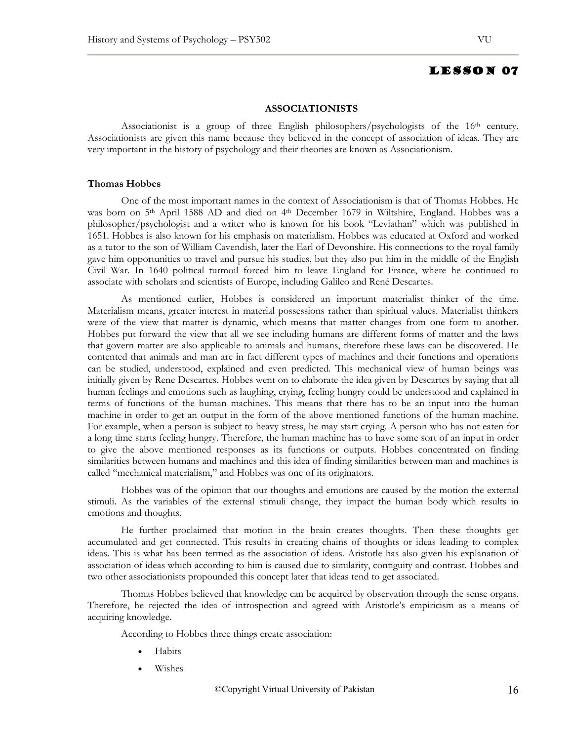### **ASSOCIATIONISTS**

Associationist is a group of three English philosophers/psychologists of the 16<sup>th</sup> century. Associationists are given this name because they believed in the concept of association of ideas. They are very important in the history of psychology and their theories are known as Associationism.

### **Thomas Hobbes**

One of the most important names in the context of Associationism is that of Thomas Hobbes. He was born on 5<sup>th</sup> April 1588 AD and died on 4<sup>th</sup> December 1679 in Wiltshire, England. Hobbes was a philosopher/psychologist and a writer who is known for his book "Leviathan" which was published in 1651. Hobbes is also known for his emphasis on materialism. Hobbes was educated at Oxford and worked as a tutor to the son of William Cavendish, later the Earl of Devonshire. His connections to the royal family gave him opportunities to travel and pursue his studies, but they also put him in the middle of the English Civil War. In 1640 political turmoil forced him to leave England for France, where he continued to associate with scholars and scientists of Europe, including Galileo and René Descartes.

As mentioned earlier, Hobbes is considered an important materialist thinker of the time. Materialism means, greater interest in material possessions rather than spiritual values. Materialist thinkers were of the view that matter is dynamic, which means that matter changes from one form to another. Hobbes put forward the view that all we see including humans are different forms of matter and the laws that govern matter are also applicable to animals and humans, therefore these laws can be discovered. He contented that animals and man are in fact different types of machines and their functions and operations can be studied, understood, explained and even predicted. This mechanical view of human beings was initially given by Rene Descartes. Hobbes went on to elaborate the idea given by Descartes by saying that all human feelings and emotions such as laughing, crying, feeling hungry could be understood and explained in terms of functions of the human machines. This means that there has to be an input into the human machine in order to get an output in the form of the above mentioned functions of the human machine. For example, when a person is subject to heavy stress, he may start crying. A person who has not eaten for a long time starts feeling hungry. Therefore, the human machine has to have some sort of an input in order to give the above mentioned responses as its functions or outputs. Hobbes concentrated on finding similarities between humans and machines and this idea of finding similarities between man and machines is called "mechanical materialism," and Hobbes was one of its originators.

Hobbes was of the opinion that our thoughts and emotions are caused by the motion the external stimuli. As the variables of the external stimuli change, they impact the human body which results in emotions and thoughts.

He further proclaimed that motion in the brain creates thoughts. Then these thoughts get accumulated and get connected. This results in creating chains of thoughts or ideas leading to complex ideas. This is what has been termed as the association of ideas. Aristotle has also given his explanation of association of ideas which according to him is caused due to similarity, contiguity and contrast. Hobbes and two other associationists propounded this concept later that ideas tend to get associated.

Thomas Hobbes believed that knowledge can be acquired by observation through the sense organs. Therefore, he rejected the idea of introspection and agreed with Aristotle's empiricism as a means of acquiring knowledge.

According to Hobbes three things create association:

- Habits
- Wishes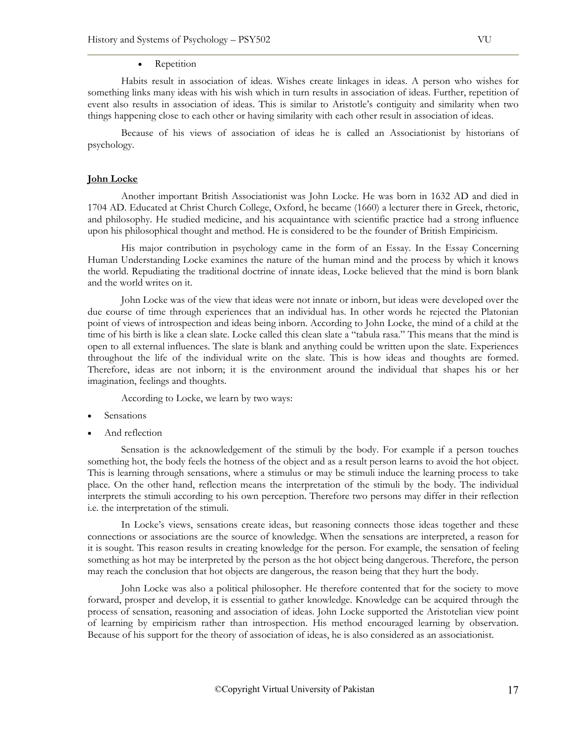### • Repetition

Habits result in association of ideas. Wishes create linkages in ideas. A person who wishes for something links many ideas with his wish which in turn results in association of ideas. Further, repetition of event also results in association of ideas. This is similar to Aristotle's contiguity and similarity when two things happening close to each other or having similarity with each other result in association of ideas.

Because of his views of association of ideas he is called an Associationist by historians of psychology.

### **John Locke**

Another important British Associationist was John Locke. He was born in 1632 AD and died in 1704 AD. Educated at Christ Church College, Oxford, he became (1660) a lecturer there in Greek, rhetoric, and philosophy. He studied medicine, and his acquaintance with scientific practice had a strong influence upon his philosophical thought and method. He is considered to be the founder of British Empiricism.

His major contribution in psychology came in the form of an Essay. In the Essay Concerning Human Understanding Locke examines the nature of the human mind and the process by which it knows the world. Repudiating the traditional doctrine of innate ideas, Locke believed that the mind is born blank and the world writes on it.

John Locke was of the view that ideas were not innate or inborn, but ideas were developed over the due course of time through experiences that an individual has. In other words he rejected the Platonian point of views of introspection and ideas being inborn. According to John Locke, the mind of a child at the time of his birth is like a clean slate. Locke called this clean slate a "tabula rasa." This means that the mind is open to all external influences. The slate is blank and anything could be written upon the slate. Experiences throughout the life of the individual write on the slate. This is how ideas and thoughts are formed. Therefore, ideas are not inborn; it is the environment around the individual that shapes his or her imagination, feelings and thoughts.

According to Locke, we learn by two ways:

- **Sensations**
- And reflection

Sensation is the acknowledgement of the stimuli by the body. For example if a person touches something hot, the body feels the hotness of the object and as a result person learns to avoid the hot object. This is learning through sensations, where a stimulus or may be stimuli induce the learning process to take place. On the other hand, reflection means the interpretation of the stimuli by the body. The individual interprets the stimuli according to his own perception. Therefore two persons may differ in their reflection i.e. the interpretation of the stimuli.

In Locke's views, sensations create ideas, but reasoning connects those ideas together and these connections or associations are the source of knowledge. When the sensations are interpreted, a reason for it is sought. This reason results in creating knowledge for the person. For example, the sensation of feeling something as hot may be interpreted by the person as the hot object being dangerous. Therefore, the person may reach the conclusion that hot objects are dangerous, the reason being that they hurt the body.

John Locke was also a political philosopher. He therefore contented that for the society to move forward, prosper and develop, it is essential to gather knowledge. Knowledge can be acquired through the process of sensation, reasoning and association of ideas. John Locke supported the Aristotelian view point of learning by empiricism rather than introspection. His method encouraged learning by observation. Because of his support for the theory of association of ideas, he is also considered as an associationist.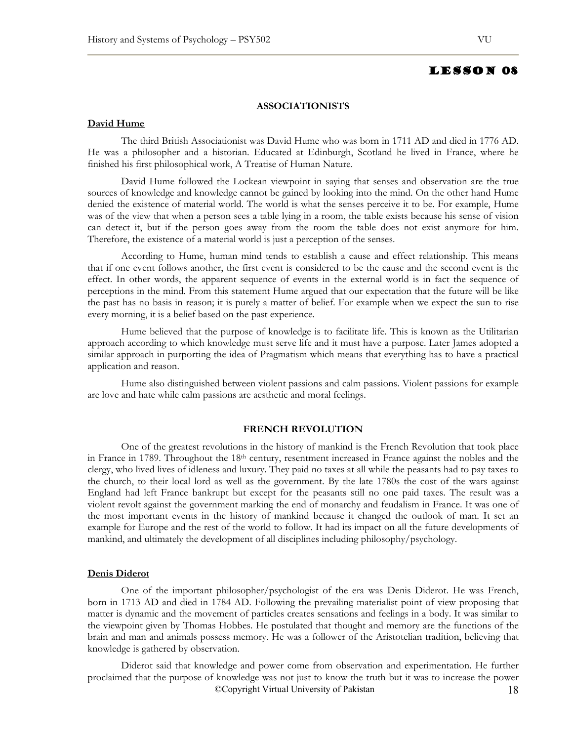### **ASSOCIATIONISTS**

## **David Hume**

The third British Associationist was David Hume who was born in 1711 AD and died in 1776 AD. He was a philosopher and a historian. Educated at Edinburgh, Scotland he lived in France, where he finished his first philosophical work, A Treatise of Human Nature.

David Hume followed the Lockean viewpoint in saying that senses and observation are the true sources of knowledge and knowledge cannot be gained by looking into the mind. On the other hand Hume denied the existence of material world. The world is what the senses perceive it to be. For example, Hume was of the view that when a person sees a table lying in a room, the table exists because his sense of vision can detect it, but if the person goes away from the room the table does not exist anymore for him. Therefore, the existence of a material world is just a perception of the senses.

According to Hume, human mind tends to establish a cause and effect relationship. This means that if one event follows another, the first event is considered to be the cause and the second event is the effect. In other words, the apparent sequence of events in the external world is in fact the sequence of perceptions in the mind. From this statement Hume argued that our expectation that the future will be like the past has no basis in reason; it is purely a matter of belief. For example when we expect the sun to rise every morning, it is a belief based on the past experience.

Hume believed that the purpose of knowledge is to facilitate life. This is known as the Utilitarian approach according to which knowledge must serve life and it must have a purpose. Later James adopted a similar approach in purporting the idea of Pragmatism which means that everything has to have a practical application and reason.

Hume also distinguished between violent passions and calm passions. Violent passions for example are love and hate while calm passions are aesthetic and moral feelings.

### **FRENCH REVOLUTION**

One of the greatest revolutions in the history of mankind is the French Revolution that took place in France in 1789. Throughout the 18th century, resentment increased in France against the nobles and the clergy, who lived lives of idleness and luxury. They paid no taxes at all while the peasants had to pay taxes to the church, to their local lord as well as the government. By the late 1780s the cost of the wars against England had left France bankrupt but except for the peasants still no one paid taxes. The result was a violent revolt against the government marking the end of monarchy and feudalism in France. It was one of the most important events in the history of mankind because it changed the outlook of man. It set an example for Europe and the rest of the world to follow. It had its impact on all the future developments of mankind, and ultimately the development of all disciplines including philosophy/psychology.

### **Denis Diderot**

One of the important philosopher/psychologist of the era was Denis Diderot. He was French, born in 1713 AD and died in 1784 AD. Following the prevailing materialist point of view proposing that matter is dynamic and the movement of particles creates sensations and feelings in a body. It was similar to the viewpoint given by Thomas Hobbes. He postulated that thought and memory are the functions of the brain and man and animals possess memory. He was a follower of the Aristotelian tradition, believing that knowledge is gathered by observation.

©Copyright Virtual University of Pakistan 18 Diderot said that knowledge and power come from observation and experimentation. He further proclaimed that the purpose of knowledge was not just to know the truth but it was to increase the power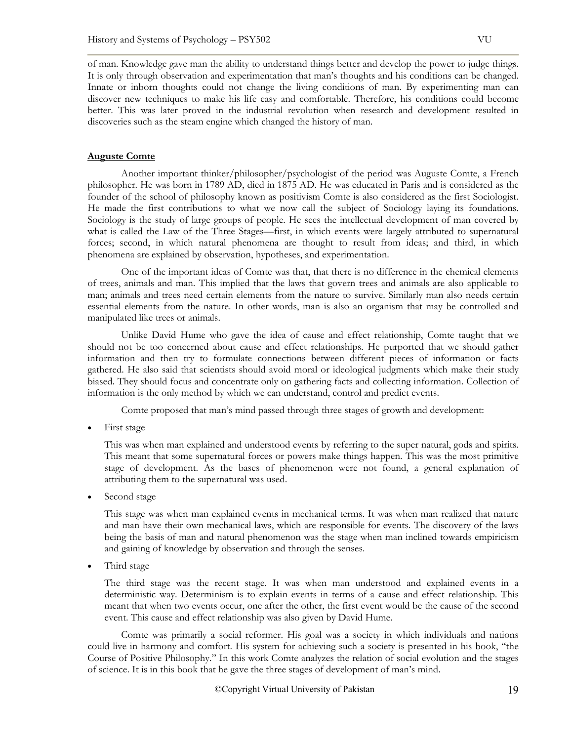of man. Knowledge gave man the ability to understand things better and develop the power to judge things. It is only through observation and experimentation that man's thoughts and his conditions can be changed. Innate or inborn thoughts could not change the living conditions of man. By experimenting man can discover new techniques to make his life easy and comfortable. Therefore, his conditions could become better. This was later proved in the industrial revolution when research and development resulted in discoveries such as the steam engine which changed the history of man.

# **Auguste Comte**

Another important thinker/philosopher/psychologist of the period was Auguste Comte, a French philosopher. He was born in 1789 AD, died in 1875 AD. He was educated in Paris and is considered as the founder of the school of philosophy known as positivism Comte is also considered as the first Sociologist. He made the first contributions to what we now call the subject of Sociology laying its foundations. Sociology is the study of large groups of people. He sees the intellectual development of man covered by what is called the Law of the Three Stages—first, in which events were largely attributed to supernatural forces; second, in which natural phenomena are thought to result from ideas; and third, in which phenomena are explained by observation, hypotheses, and experimentation.

One of the important ideas of Comte was that, that there is no difference in the chemical elements of trees, animals and man. This implied that the laws that govern trees and animals are also applicable to man; animals and trees need certain elements from the nature to survive. Similarly man also needs certain essential elements from the nature. In other words, man is also an organism that may be controlled and manipulated like trees or animals.

Unlike David Hume who gave the idea of cause and effect relationship, Comte taught that we should not be too concerned about cause and effect relationships. He purported that we should gather information and then try to formulate connections between different pieces of information or facts gathered. He also said that scientists should avoid moral or ideological judgments which make their study biased. They should focus and concentrate only on gathering facts and collecting information. Collection of information is the only method by which we can understand, control and predict events.

Comte proposed that man's mind passed through three stages of growth and development:

First stage

This was when man explained and understood events by referring to the super natural, gods and spirits. This meant that some supernatural forces or powers make things happen. This was the most primitive stage of development. As the bases of phenomenon were not found, a general explanation of attributing them to the supernatural was used.

• Second stage

This stage was when man explained events in mechanical terms. It was when man realized that nature and man have their own mechanical laws, which are responsible for events. The discovery of the laws being the basis of man and natural phenomenon was the stage when man inclined towards empiricism and gaining of knowledge by observation and through the senses.

• Third stage

The third stage was the recent stage. It was when man understood and explained events in a deterministic way. Determinism is to explain events in terms of a cause and effect relationship. This meant that when two events occur, one after the other, the first event would be the cause of the second event. This cause and effect relationship was also given by David Hume.

Comte was primarily a social reformer. His goal was a society in which individuals and nations could live in harmony and comfort. His system for achieving such a society is presented in his book, "the Course of Positive Philosophy." In this work Comte analyzes the relation of social evolution and the stages of science. It is in this book that he gave the three stages of development of man's mind.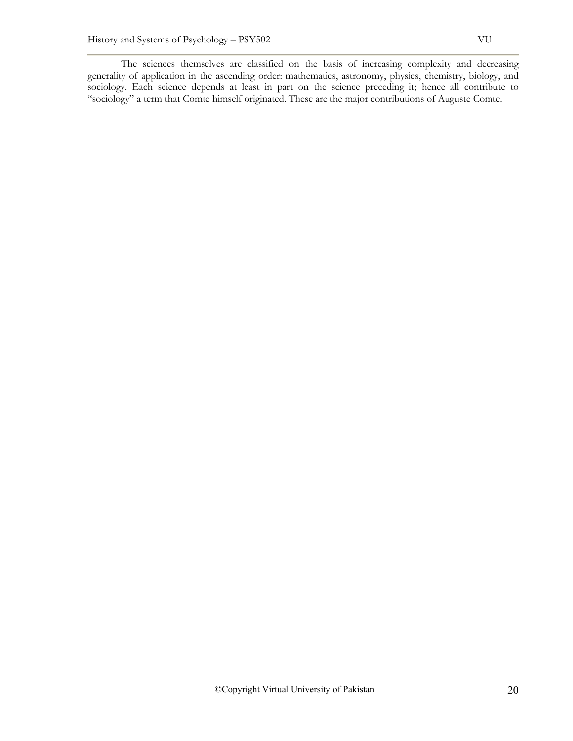The sciences themselves are classified on the basis of increasing complexity and decreasing generality of application in the ascending order: mathematics, astronomy, physics, chemistry, biology, and sociology. Each science depends at least in part on the science preceding it; hence all contribute to "sociology" a term that Comte himself originated. These are the major contributions of Auguste Comte.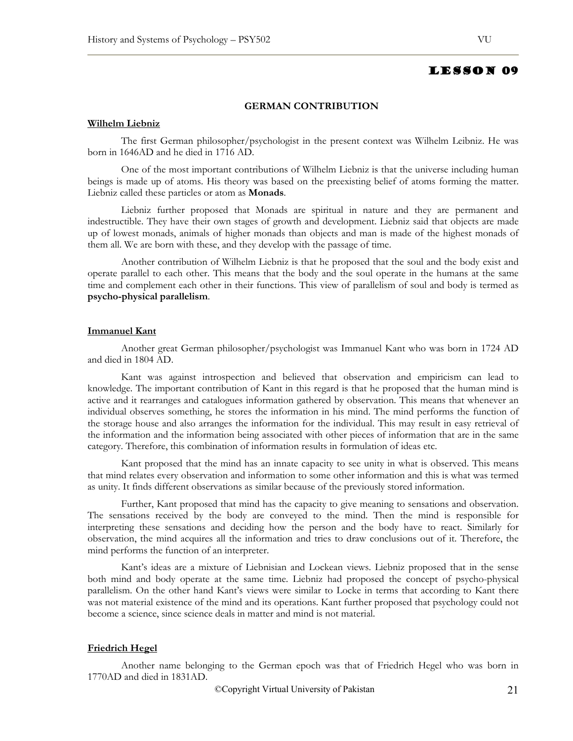### **GERMAN CONTRIBUTION**

## **Wilhelm Liebniz**

The first German philosopher/psychologist in the present context was Wilhelm Leibniz. He was born in 1646AD and he died in 1716 AD.

One of the most important contributions of Wilhelm Liebniz is that the universe including human beings is made up of atoms. His theory was based on the preexisting belief of atoms forming the matter. Liebniz called these particles or atom as **Monads**.

Liebniz further proposed that Monads are spiritual in nature and they are permanent and indestructible. They have their own stages of growth and development. Liebniz said that objects are made up of lowest monads, animals of higher monads than objects and man is made of the highest monads of them all. We are born with these, and they develop with the passage of time.

Another contribution of Wilhelm Liebniz is that he proposed that the soul and the body exist and operate parallel to each other. This means that the body and the soul operate in the humans at the same time and complement each other in their functions. This view of parallelism of soul and body is termed as **psycho-physical parallelism**.

### **Immanuel Kant**

Another great German philosopher/psychologist was Immanuel Kant who was born in 1724 AD and died in 1804 AD.

Kant was against introspection and believed that observation and empiricism can lead to knowledge. The important contribution of Kant in this regard is that he proposed that the human mind is active and it rearranges and catalogues information gathered by observation. This means that whenever an individual observes something, he stores the information in his mind. The mind performs the function of the storage house and also arranges the information for the individual. This may result in easy retrieval of the information and the information being associated with other pieces of information that are in the same category. Therefore, this combination of information results in formulation of ideas etc.

Kant proposed that the mind has an innate capacity to see unity in what is observed. This means that mind relates every observation and information to some other information and this is what was termed as unity. It finds different observations as similar because of the previously stored information.

Further, Kant proposed that mind has the capacity to give meaning to sensations and observation. The sensations received by the body are conveyed to the mind. Then the mind is responsible for interpreting these sensations and deciding how the person and the body have to react. Similarly for observation, the mind acquires all the information and tries to draw conclusions out of it. Therefore, the mind performs the function of an interpreter.

Kant's ideas are a mixture of Liebnisian and Lockean views. Liebniz proposed that in the sense both mind and body operate at the same time. Liebniz had proposed the concept of psycho-physical parallelism. On the other hand Kant's views were similar to Locke in terms that according to Kant there was not material existence of the mind and its operations. Kant further proposed that psychology could not become a science, since science deals in matter and mind is not material.

### **Friedrich Hegel**

Another name belonging to the German epoch was that of Friedrich Hegel who was born in 1770AD and died in 1831AD.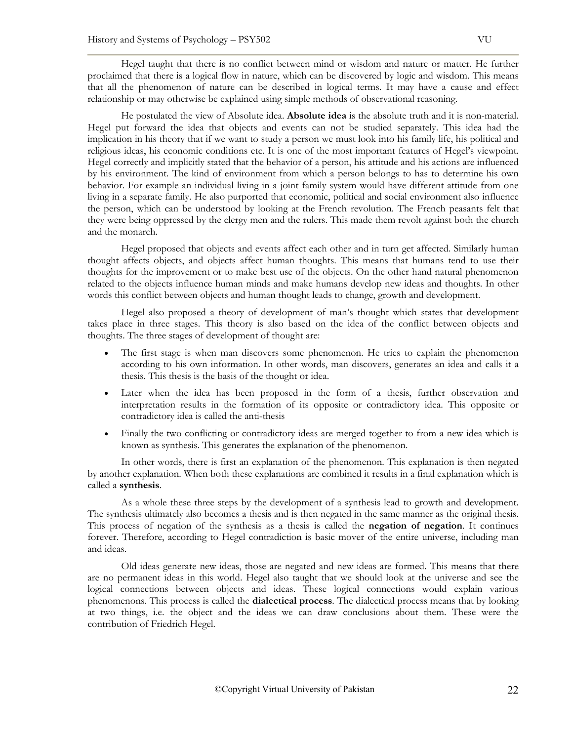Hegel taught that there is no conflict between mind or wisdom and nature or matter. He further proclaimed that there is a logical flow in nature, which can be discovered by logic and wisdom. This means that all the phenomenon of nature can be described in logical terms. It may have a cause and effect relationship or may otherwise be explained using simple methods of observational reasoning.

He postulated the view of Absolute idea. **Absolute idea** is the absolute truth and it is non-material. Hegel put forward the idea that objects and events can not be studied separately. This idea had the implication in his theory that if we want to study a person we must look into his family life, his political and religious ideas, his economic conditions etc. It is one of the most important features of Hegel's viewpoint. Hegel correctly and implicitly stated that the behavior of a person, his attitude and his actions are influenced by his environment. The kind of environment from which a person belongs to has to determine his own behavior. For example an individual living in a joint family system would have different attitude from one living in a separate family. He also purported that economic, political and social environment also influence the person, which can be understood by looking at the French revolution. The French peasants felt that they were being oppressed by the clergy men and the rulers. This made them revolt against both the church and the monarch.

Hegel proposed that objects and events affect each other and in turn get affected. Similarly human thought affects objects, and objects affect human thoughts. This means that humans tend to use their thoughts for the improvement or to make best use of the objects. On the other hand natural phenomenon related to the objects influence human minds and make humans develop new ideas and thoughts. In other words this conflict between objects and human thought leads to change, growth and development.

Hegel also proposed a theory of development of man's thought which states that development takes place in three stages. This theory is also based on the idea of the conflict between objects and thoughts. The three stages of development of thought are:

- The first stage is when man discovers some phenomenon. He tries to explain the phenomenon according to his own information. In other words, man discovers, generates an idea and calls it a thesis. This thesis is the basis of the thought or idea.
- Later when the idea has been proposed in the form of a thesis, further observation and interpretation results in the formation of its opposite or contradictory idea. This opposite or contradictory idea is called the anti-thesis
- Finally the two conflicting or contradictory ideas are merged together to from a new idea which is known as synthesis. This generates the explanation of the phenomenon.

In other words, there is first an explanation of the phenomenon. This explanation is then negated by another explanation. When both these explanations are combined it results in a final explanation which is called a **synthesis**.

As a whole these three steps by the development of a synthesis lead to growth and development. The synthesis ultimately also becomes a thesis and is then negated in the same manner as the original thesis. This process of negation of the synthesis as a thesis is called the **negation of negation**. It continues forever. Therefore, according to Hegel contradiction is basic mover of the entire universe, including man and ideas.

Old ideas generate new ideas, those are negated and new ideas are formed. This means that there are no permanent ideas in this world. Hegel also taught that we should look at the universe and see the logical connections between objects and ideas. These logical connections would explain various phenomenons. This process is called the **dialectical process**. The dialectical process means that by looking at two things, i.e. the object and the ideas we can draw conclusions about them. These were the contribution of Friedrich Hegel.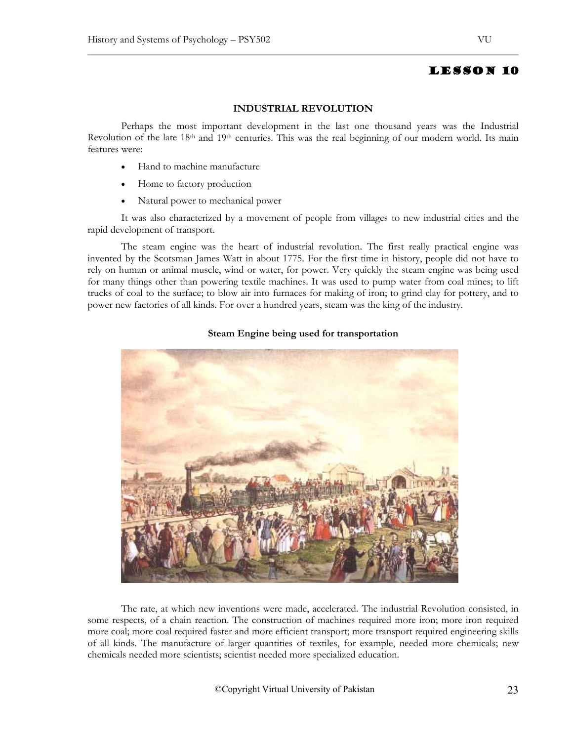### **INDUSTRIAL REVOLUTION**

Perhaps the most important development in the last one thousand years was the Industrial Revolution of the late 18<sup>th</sup> and 19<sup>th</sup> centuries. This was the real beginning of our modern world. Its main features were:

- Hand to machine manufacture
- Home to factory production
- Natural power to mechanical power

It was also characterized by a movement of people from villages to new industrial cities and the rapid development of transport.

The steam engine was the heart of industrial revolution. The first really practical engine was invented by the Scotsman James Watt in about 1775. For the first time in history, people did not have to rely on human or animal muscle, wind or water, for power. Very quickly the steam engine was being used for many things other than powering textile machines. It was used to pump water from coal mines; to lift trucks of coal to the surface; to blow air into furnaces for making of iron; to grind clay for pottery, and to power new factories of all kinds. For over a hundred years, steam was the king of the industry.



## **Steam Engine being used for transportation**

The rate, at which new inventions were made, accelerated. The industrial Revolution consisted, in some respects, of a chain reaction. The construction of machines required more iron; more iron required more coal; more coal required faster and more efficient transport; more transport required engineering skills of all kinds. The manufacture of larger quantities of textiles, for example, needed more chemicals; new chemicals needed more scientists; scientist needed more specialized education.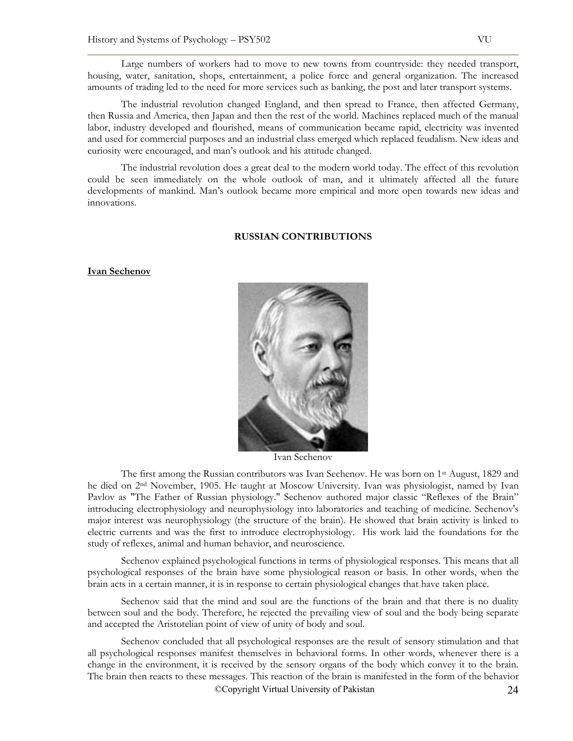Large numbers of workers had to move to new towns from countryside: they needed transport, housing, water, sanitation, shops, entertainment, a police force and general organization. The increased amounts of trading led to the need for more services such as banking, the post and later transport systems.

The industrial revolution changed England, and then spread to France, then affected Germany, then Russia and America, then Japan and then the rest of the world. Machines replaced much of the manual labor, industry developed and flourished, means of communication became rapid, electricity was invented and used for commercial purposes and an industrial class emerged which replaced feudalism. New ideas and curiosity were encouraged, and man's outlook and his attitude changed.

The industrial revolution does a great deal to the modern world today. The effect of this revolution could be seen immediately on the whole outlook of man, and it ultimately affected all the future developments of mankind. Man's outlook became more empirical and more open towards new ideas and innovations.

### **RUSSIAN CONTRIBUTIONS**

### **Ivan Sechenov**



Ivan Sechenov

The first among the Russian contributors was Ivan Sechenov. He was born on 1st August, 1829 and he died on 2nd November, 1905. He taught at Moscow University. Ivan was physiologist, named by Ivan Pavlov as "The Father of Russian physiology." Sechenov authored major classic "Reflexes of the Brain" introducing electrophysiology and neurophysiology into laboratories and teaching of medicine. Sechenov's major interest was neurophysiology (the structure of the brain). He showed that brain activity is linked to electric currents and was the first to introduce electrophysiology. His work laid the foundations for the study of reflexes, animal and human behavior, and neuroscience.

Sechenov explained psychological functions in terms of physiological responses. This means that all psychological responses of the brain have some physiological reason or basis. In other words, when the brain acts in a certain manner, it is in response to certain physiological changes that have taken place.

Sechenov said that the mind and soul are the functions of the brain and that there is no duality between soul and the body. Therefore, he rejected the prevailing view of soul and the body being separate and accepted the Aristotelian point of view of unity of body and soul.

©Copyright Virtual University of Pakistan 24 Sechenov concluded that all psychological responses are the result of sensory stimulation and that all psychological responses manifest themselves in behavioral forms. In other words, whenever there is a change in the environment, it is received by the sensory organs of the body which convey it to the brain. The brain then reacts to these messages. This reaction of the brain is manifested in the form of the behavior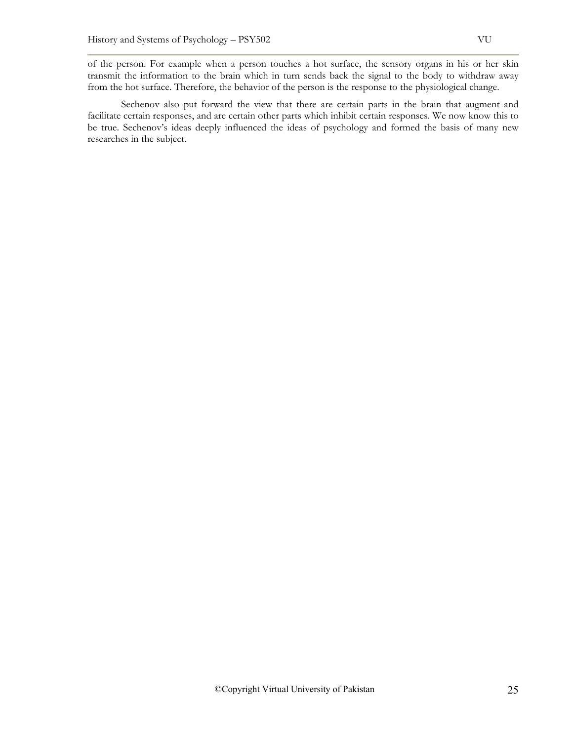of the person. For example when a person touches a hot surface, the sensory organs in his or her skin transmit the information to the brain which in turn sends back the signal to the body to withdraw away from the hot surface. Therefore, the behavior of the person is the response to the physiological change.

Sechenov also put forward the view that there are certain parts in the brain that augment and facilitate certain responses, and are certain other parts which inhibit certain responses. We now know this to be true. Sechenov's ideas deeply influenced the ideas of psychology and formed the basis of many new researches in the subject.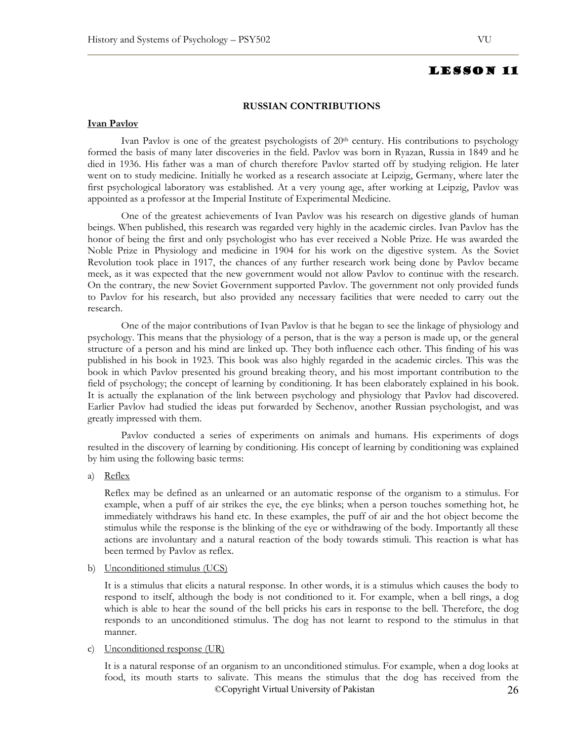### **RUSSIAN CONTRIBUTIONS**

### **Ivan Pavlov**

Ivan Pavlov is one of the greatest psychologists of  $20<sup>th</sup>$  century. His contributions to psychology formed the basis of many later discoveries in the field. Pavlov was born in Ryazan, Russia in 1849 and he died in 1936. His father was a man of church therefore Pavlov started off by studying religion. He later went on to study medicine. Initially he worked as a research associate at Leipzig, Germany, where later the first psychological laboratory was established. At a very young age, after working at Leipzig, Pavlov was appointed as a professor at the Imperial Institute of Experimental Medicine.

One of the greatest achievements of Ivan Pavlov was his research on digestive glands of human beings. When published, this research was regarded very highly in the academic circles. Ivan Pavlov has the honor of being the first and only psychologist who has ever received a Noble Prize. He was awarded the Noble Prize in Physiology and medicine in 1904 for his work on the digestive system. As the Soviet Revolution took place in 1917, the chances of any further research work being done by Pavlov became meek, as it was expected that the new government would not allow Pavlov to continue with the research. On the contrary, the new Soviet Government supported Pavlov. The government not only provided funds to Pavlov for his research, but also provided any necessary facilities that were needed to carry out the research.

One of the major contributions of Ivan Pavlov is that he began to see the linkage of physiology and psychology. This means that the physiology of a person, that is the way a person is made up, or the general structure of a person and his mind are linked up. They both influence each other. This finding of his was published in his book in 1923. This book was also highly regarded in the academic circles. This was the book in which Pavlov presented his ground breaking theory, and his most important contribution to the field of psychology; the concept of learning by conditioning. It has been elaborately explained in his book. It is actually the explanation of the link between psychology and physiology that Pavlov had discovered. Earlier Pavlov had studied the ideas put forwarded by Sechenov, another Russian psychologist, and was greatly impressed with them.

Pavlov conducted a series of experiments on animals and humans. His experiments of dogs resulted in the discovery of learning by conditioning. His concept of learning by conditioning was explained by him using the following basic terms:

a) Reflex

Reflex may be defined as an unlearned or an automatic response of the organism to a stimulus. For example, when a puff of air strikes the eye, the eye blinks; when a person touches something hot, he immediately withdraws his hand etc. In these examples, the puff of air and the hot object become the stimulus while the response is the blinking of the eye or withdrawing of the body. Importantly all these actions are involuntary and a natural reaction of the body towards stimuli. This reaction is what has been termed by Pavlov as reflex.

b) Unconditioned stimulus (UCS)

It is a stimulus that elicits a natural response. In other words, it is a stimulus which causes the body to respond to itself, although the body is not conditioned to it. For example, when a bell rings, a dog which is able to hear the sound of the bell pricks his ears in response to the bell. Therefore, the dog responds to an unconditioned stimulus. The dog has not learnt to respond to the stimulus in that manner.

## c) Unconditioned response (UR)

©Copyright Virtual University of Pakistan 26 It is a natural response of an organism to an unconditioned stimulus. For example, when a dog looks at food, its mouth starts to salivate. This means the stimulus that the dog has received from the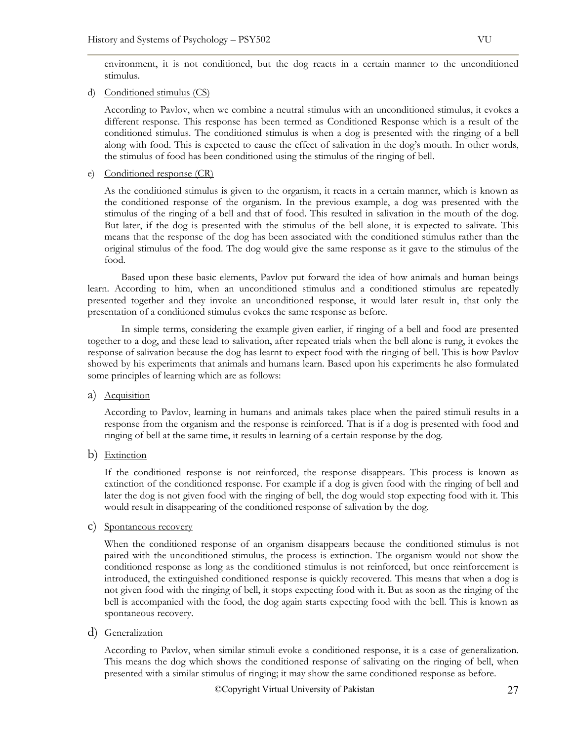environment, it is not conditioned, but the dog reacts in a certain manner to the unconditioned stimulus.

d) Conditioned stimulus (CS)

According to Pavlov, when we combine a neutral stimulus with an unconditioned stimulus, it evokes a different response. This response has been termed as Conditioned Response which is a result of the conditioned stimulus. The conditioned stimulus is when a dog is presented with the ringing of a bell along with food. This is expected to cause the effect of salivation in the dog's mouth. In other words, the stimulus of food has been conditioned using the stimulus of the ringing of bell.

e) Conditioned response (CR)

As the conditioned stimulus is given to the organism, it reacts in a certain manner, which is known as the conditioned response of the organism. In the previous example, a dog was presented with the stimulus of the ringing of a bell and that of food. This resulted in salivation in the mouth of the dog. But later, if the dog is presented with the stimulus of the bell alone, it is expected to salivate. This means that the response of the dog has been associated with the conditioned stimulus rather than the original stimulus of the food. The dog would give the same response as it gave to the stimulus of the food.

Based upon these basic elements, Pavlov put forward the idea of how animals and human beings learn. According to him, when an unconditioned stimulus and a conditioned stimulus are repeatedly presented together and they invoke an unconditioned response, it would later result in, that only the presentation of a conditioned stimulus evokes the same response as before.

In simple terms, considering the example given earlier, if ringing of a bell and food are presented together to a dog, and these lead to salivation, after repeated trials when the bell alone is rung, it evokes the response of salivation because the dog has learnt to expect food with the ringing of bell. This is how Pavlov showed by his experiments that animals and humans learn. Based upon his experiments he also formulated some principles of learning which are as follows:

a) Acquisition

According to Pavlov, learning in humans and animals takes place when the paired stimuli results in a response from the organism and the response is reinforced. That is if a dog is presented with food and ringing of bell at the same time, it results in learning of a certain response by the dog.

b) Extinction

If the conditioned response is not reinforced, the response disappears. This process is known as extinction of the conditioned response. For example if a dog is given food with the ringing of bell and later the dog is not given food with the ringing of bell, the dog would stop expecting food with it. This would result in disappearing of the conditioned response of salivation by the dog.

c) Spontaneous recovery

When the conditioned response of an organism disappears because the conditioned stimulus is not paired with the unconditioned stimulus, the process is extinction. The organism would not show the conditioned response as long as the conditioned stimulus is not reinforced, but once reinforcement is introduced, the extinguished conditioned response is quickly recovered. This means that when a dog is not given food with the ringing of bell, it stops expecting food with it. But as soon as the ringing of the bell is accompanied with the food, the dog again starts expecting food with the bell. This is known as spontaneous recovery.

d) Generalization

According to Pavlov, when similar stimuli evoke a conditioned response, it is a case of generalization. This means the dog which shows the conditioned response of salivating on the ringing of bell, when presented with a similar stimulus of ringing; it may show the same conditioned response as before.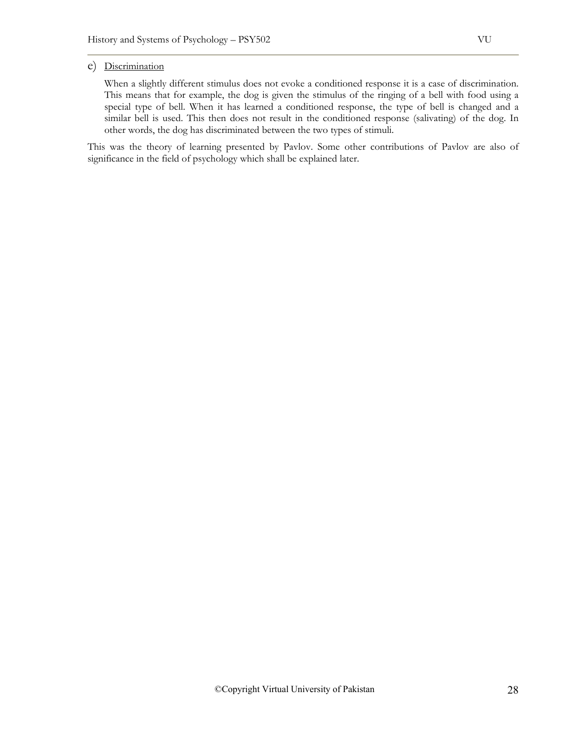# e) Discrimination

When a slightly different stimulus does not evoke a conditioned response it is a case of discrimination. This means that for example, the dog is given the stimulus of the ringing of a bell with food using a special type of bell. When it has learned a conditioned response, the type of bell is changed and a similar bell is used. This then does not result in the conditioned response (salivating) of the dog. In other words, the dog has discriminated between the two types of stimuli.

This was the theory of learning presented by Pavlov. Some other contributions of Pavlov are also of significance in the field of psychology which shall be explained later.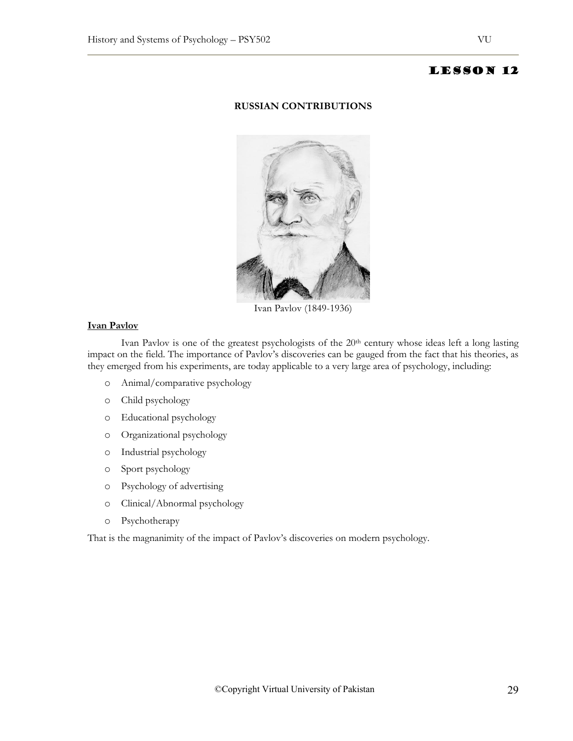# **RUSSIAN CONTRIBUTIONS**



Ivan Pavlov (1849-1936)

# **Ivan Pavlov**

Ivan Pavlov is one of the greatest psychologists of the 20<sup>th</sup> century whose ideas left a long lasting impact on the field. The importance of Pavlov's discoveries can be gauged from the fact that his theories, as they emerged from his experiments, are today applicable to a very large area of psychology, including:

- o Animal/comparative psychology
- o Child psychology
- o Educational psychology
- o Organizational psychology
- o Industrial psychology
- o Sport psychology
- o Psychology of advertising
- o Clinical/Abnormal psychology
- o Psychotherapy

That is the magnanimity of the impact of Pavlov's discoveries on modern psychology.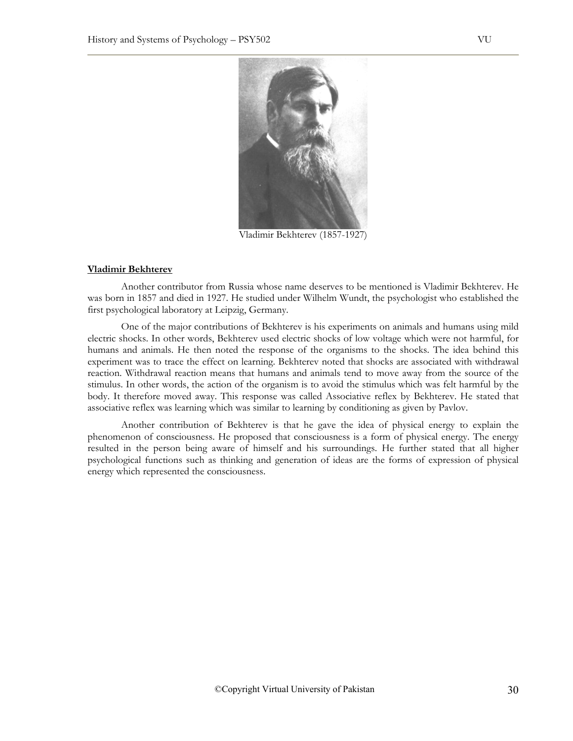

Vladimir Bekhterev (1857-1927)

### **Vladimir Bekhterev**

Another contributor from Russia whose name deserves to be mentioned is Vladimir Bekhterev. He was born in 1857 and died in 1927. He studied under Wilhelm Wundt, the psychologist who established the first psychological laboratory at Leipzig, Germany.

One of the major contributions of Bekhterev is his experiments on animals and humans using mild electric shocks. In other words, Bekhterev used electric shocks of low voltage which were not harmful, for humans and animals. He then noted the response of the organisms to the shocks. The idea behind this experiment was to trace the effect on learning. Bekhterev noted that shocks are associated with withdrawal reaction. Withdrawal reaction means that humans and animals tend to move away from the source of the stimulus. In other words, the action of the organism is to avoid the stimulus which was felt harmful by the body. It therefore moved away. This response was called Associative reflex by Bekhterev. He stated that associative reflex was learning which was similar to learning by conditioning as given by Pavlov.

Another contribution of Bekhterev is that he gave the idea of physical energy to explain the phenomenon of consciousness. He proposed that consciousness is a form of physical energy. The energy resulted in the person being aware of himself and his surroundings. He further stated that all higher psychological functions such as thinking and generation of ideas are the forms of expression of physical energy which represented the consciousness.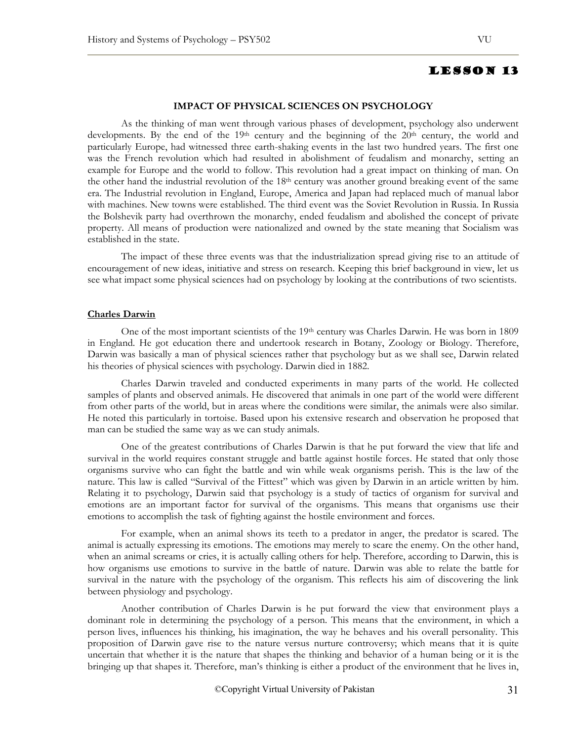### **IMPACT OF PHYSICAL SCIENCES ON PSYCHOLOGY**

As the thinking of man went through various phases of development, psychology also underwent developments. By the end of the 19<sup>th</sup> century and the beginning of the 20<sup>th</sup> century, the world and particularly Europe, had witnessed three earth-shaking events in the last two hundred years. The first one was the French revolution which had resulted in abolishment of feudalism and monarchy, setting an example for Europe and the world to follow. This revolution had a great impact on thinking of man. On the other hand the industrial revolution of the 18th century was another ground breaking event of the same era. The Industrial revolution in England, Europe, America and Japan had replaced much of manual labor with machines. New towns were established. The third event was the Soviet Revolution in Russia. In Russia the Bolshevik party had overthrown the monarchy, ended feudalism and abolished the concept of private property. All means of production were nationalized and owned by the state meaning that Socialism was established in the state.

The impact of these three events was that the industrialization spread giving rise to an attitude of encouragement of new ideas, initiative and stress on research. Keeping this brief background in view, let us see what impact some physical sciences had on psychology by looking at the contributions of two scientists.

### **Charles Darwin**

One of the most important scientists of the 19th century was Charles Darwin. He was born in 1809 in England. He got education there and undertook research in Botany, Zoology or Biology. Therefore, Darwin was basically a man of physical sciences rather that psychology but as we shall see, Darwin related his theories of physical sciences with psychology. Darwin died in 1882.

Charles Darwin traveled and conducted experiments in many parts of the world. He collected samples of plants and observed animals. He discovered that animals in one part of the world were different from other parts of the world, but in areas where the conditions were similar, the animals were also similar. He noted this particularly in tortoise. Based upon his extensive research and observation he proposed that man can be studied the same way as we can study animals.

One of the greatest contributions of Charles Darwin is that he put forward the view that life and survival in the world requires constant struggle and battle against hostile forces. He stated that only those organisms survive who can fight the battle and win while weak organisms perish. This is the law of the nature. This law is called "Survival of the Fittest" which was given by Darwin in an article written by him. Relating it to psychology, Darwin said that psychology is a study of tactics of organism for survival and emotions are an important factor for survival of the organisms. This means that organisms use their emotions to accomplish the task of fighting against the hostile environment and forces.

For example, when an animal shows its teeth to a predator in anger, the predator is scared. The animal is actually expressing its emotions. The emotions may merely to scare the enemy. On the other hand, when an animal screams or cries, it is actually calling others for help. Therefore, according to Darwin, this is how organisms use emotions to survive in the battle of nature. Darwin was able to relate the battle for survival in the nature with the psychology of the organism. This reflects his aim of discovering the link between physiology and psychology.

Another contribution of Charles Darwin is he put forward the view that environment plays a dominant role in determining the psychology of a person. This means that the environment, in which a person lives, influences his thinking, his imagination, the way he behaves and his overall personality. This proposition of Darwin gave rise to the nature versus nurture controversy; which means that it is quite uncertain that whether it is the nature that shapes the thinking and behavior of a human being or it is the bringing up that shapes it. Therefore, man's thinking is either a product of the environment that he lives in,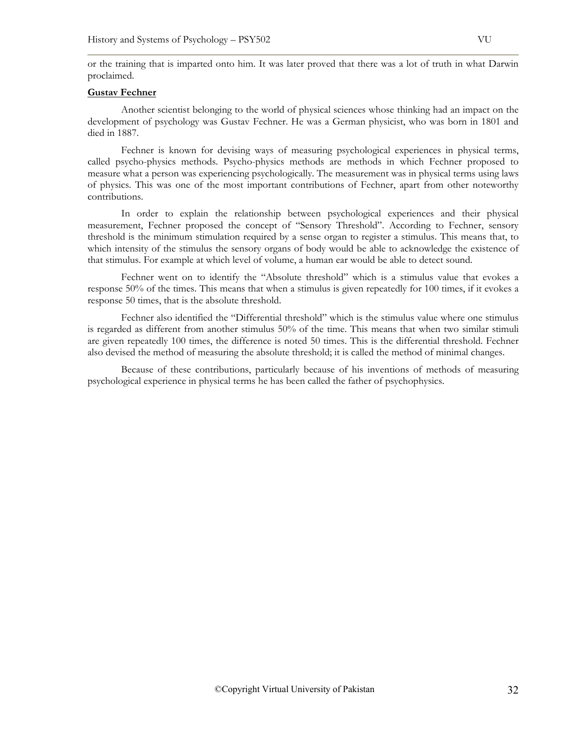or the training that is imparted onto him. It was later proved that there was a lot of truth in what Darwin proclaimed.

## **Gustav Fechner**

Another scientist belonging to the world of physical sciences whose thinking had an impact on the development of psychology was Gustav Fechner. He was a German physicist, who was born in 1801 and died in 1887.

Fechner is known for devising ways of measuring psychological experiences in physical terms, called psycho-physics methods. Psycho-physics methods are methods in which Fechner proposed to measure what a person was experiencing psychologically. The measurement was in physical terms using laws of physics. This was one of the most important contributions of Fechner, apart from other noteworthy contributions.

In order to explain the relationship between psychological experiences and their physical measurement, Fechner proposed the concept of "Sensory Threshold". According to Fechner, sensory threshold is the minimum stimulation required by a sense organ to register a stimulus. This means that, to which intensity of the stimulus the sensory organs of body would be able to acknowledge the existence of that stimulus. For example at which level of volume, a human ear would be able to detect sound.

Fechner went on to identify the "Absolute threshold" which is a stimulus value that evokes a response 50% of the times. This means that when a stimulus is given repeatedly for 100 times, if it evokes a response 50 times, that is the absolute threshold.

Fechner also identified the "Differential threshold" which is the stimulus value where one stimulus is regarded as different from another stimulus 50% of the time. This means that when two similar stimuli are given repeatedly 100 times, the difference is noted 50 times. This is the differential threshold. Fechner also devised the method of measuring the absolute threshold; it is called the method of minimal changes.

Because of these contributions, particularly because of his inventions of methods of measuring psychological experience in physical terms he has been called the father of psychophysics.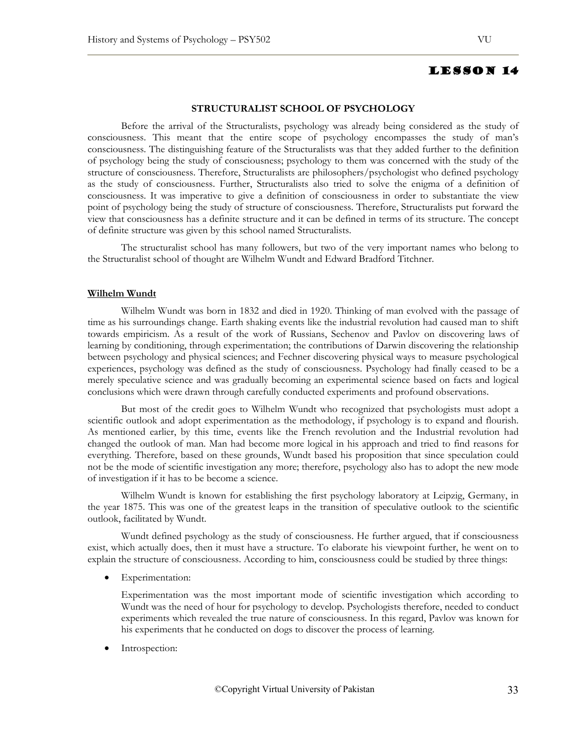## **STRUCTURALIST SCHOOL OF PSYCHOLOGY**

Before the arrival of the Structuralists, psychology was already being considered as the study of consciousness. This meant that the entire scope of psychology encompasses the study of man's consciousness. The distinguishing feature of the Structuralists was that they added further to the definition of psychology being the study of consciousness; psychology to them was concerned with the study of the structure of consciousness. Therefore, Structuralists are philosophers/psychologist who defined psychology as the study of consciousness. Further, Structuralists also tried to solve the enigma of a definition of consciousness. It was imperative to give a definition of consciousness in order to substantiate the view point of psychology being the study of structure of consciousness. Therefore, Structuralists put forward the view that consciousness has a definite structure and it can be defined in terms of its structure. The concept of definite structure was given by this school named Structuralists.

The structuralist school has many followers, but two of the very important names who belong to the Structuralist school of thought are Wilhelm Wundt and Edward Bradford Titchner.

### **Wilhelm Wundt**

Wilhelm Wundt was born in 1832 and died in 1920. Thinking of man evolved with the passage of time as his surroundings change. Earth shaking events like the industrial revolution had caused man to shift towards empiricism. As a result of the work of Russians, Sechenov and Pavlov on discovering laws of learning by conditioning, through experimentation; the contributions of Darwin discovering the relationship between psychology and physical sciences; and Fechner discovering physical ways to measure psychological experiences, psychology was defined as the study of consciousness. Psychology had finally ceased to be a merely speculative science and was gradually becoming an experimental science based on facts and logical conclusions which were drawn through carefully conducted experiments and profound observations.

But most of the credit goes to Wilhelm Wundt who recognized that psychologists must adopt a scientific outlook and adopt experimentation as the methodology, if psychology is to expand and flourish. As mentioned earlier, by this time, events like the French revolution and the Industrial revolution had changed the outlook of man. Man had become more logical in his approach and tried to find reasons for everything. Therefore, based on these grounds, Wundt based his proposition that since speculation could not be the mode of scientific investigation any more; therefore, psychology also has to adopt the new mode of investigation if it has to be become a science.

Wilhelm Wundt is known for establishing the first psychology laboratory at Leipzig, Germany, in the year 1875. This was one of the greatest leaps in the transition of speculative outlook to the scientific outlook, facilitated by Wundt.

Wundt defined psychology as the study of consciousness. He further argued, that if consciousness exist, which actually does, then it must have a structure. To elaborate his viewpoint further, he went on to explain the structure of consciousness. According to him, consciousness could be studied by three things:

Experimentation:

Experimentation was the most important mode of scientific investigation which according to Wundt was the need of hour for psychology to develop. Psychologists therefore, needed to conduct experiments which revealed the true nature of consciousness. In this regard, Pavlov was known for his experiments that he conducted on dogs to discover the process of learning.

Introspection: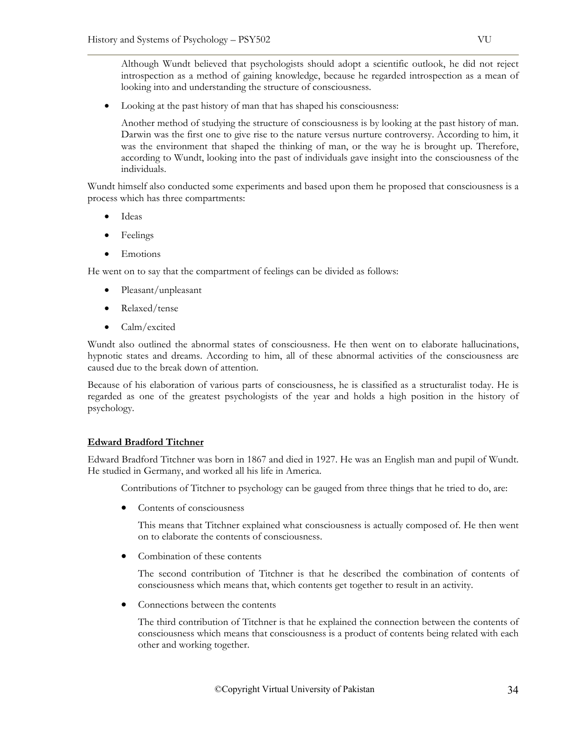Although Wundt believed that psychologists should adopt a scientific outlook, he did not reject introspection as a method of gaining knowledge, because he regarded introspection as a mean of looking into and understanding the structure of consciousness.

• Looking at the past history of man that has shaped his consciousness:

Another method of studying the structure of consciousness is by looking at the past history of man. Darwin was the first one to give rise to the nature versus nurture controversy. According to him, it was the environment that shaped the thinking of man, or the way he is brought up. Therefore, according to Wundt, looking into the past of individuals gave insight into the consciousness of the individuals.

Wundt himself also conducted some experiments and based upon them he proposed that consciousness is a process which has three compartments:

- Ideas
- Feelings
- Emotions

He went on to say that the compartment of feelings can be divided as follows:

- Pleasant/unpleasant
- Relaxed/tense
- Calm/excited

Wundt also outlined the abnormal states of consciousness. He then went on to elaborate hallucinations, hypnotic states and dreams. According to him, all of these abnormal activities of the consciousness are caused due to the break down of attention.

Because of his elaboration of various parts of consciousness, he is classified as a structuralist today. He is regarded as one of the greatest psychologists of the year and holds a high position in the history of psychology.

# **Edward Bradford Titchner**

Edward Bradford Titchner was born in 1867 and died in 1927. He was an English man and pupil of Wundt. He studied in Germany, and worked all his life in America.

Contributions of Titchner to psychology can be gauged from three things that he tried to do, are:

• Contents of consciousness

This means that Titchner explained what consciousness is actually composed of. He then went on to elaborate the contents of consciousness.

• Combination of these contents

The second contribution of Titchner is that he described the combination of contents of consciousness which means that, which contents get together to result in an activity.

• Connections between the contents

The third contribution of Titchner is that he explained the connection between the contents of consciousness which means that consciousness is a product of contents being related with each other and working together.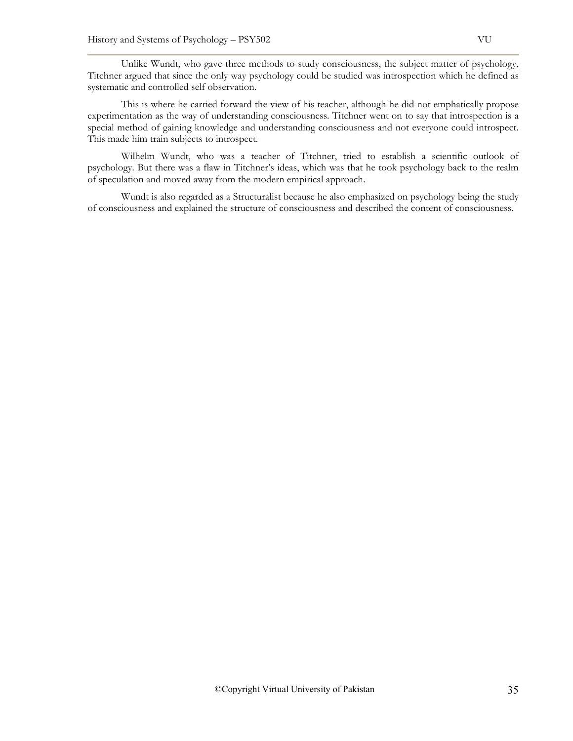Unlike Wundt, who gave three methods to study consciousness, the subject matter of psychology, Titchner argued that since the only way psychology could be studied was introspection which he defined as systematic and controlled self observation.

This is where he carried forward the view of his teacher, although he did not emphatically propose experimentation as the way of understanding consciousness. Titchner went on to say that introspection is a special method of gaining knowledge and understanding consciousness and not everyone could introspect. This made him train subjects to introspect.

Wilhelm Wundt, who was a teacher of Titchner, tried to establish a scientific outlook of psychology. But there was a flaw in Titchner's ideas, which was that he took psychology back to the realm of speculation and moved away from the modern empirical approach.

Wundt is also regarded as a Structuralist because he also emphasized on psychology being the study of consciousness and explained the structure of consciousness and described the content of consciousness.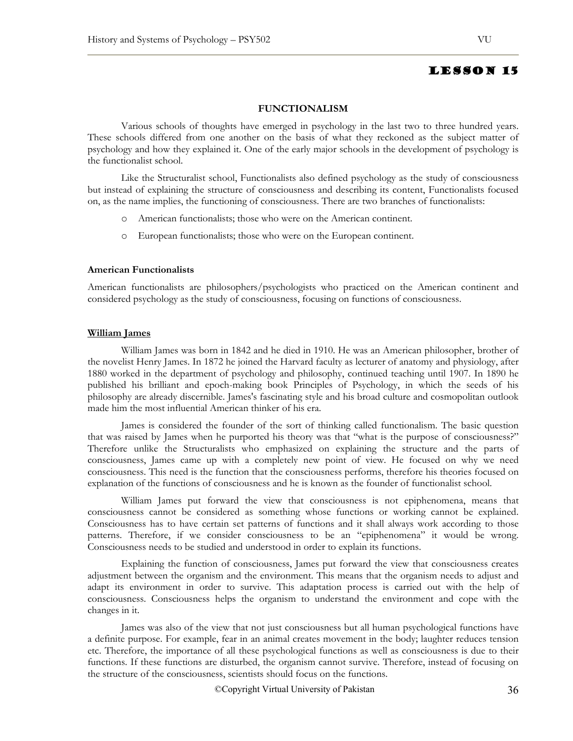### **FUNCTIONALISM**

Various schools of thoughts have emerged in psychology in the last two to three hundred years. These schools differed from one another on the basis of what they reckoned as the subject matter of psychology and how they explained it. One of the early major schools in the development of psychology is the functionalist school.

Like the Structuralist school, Functionalists also defined psychology as the study of consciousness but instead of explaining the structure of consciousness and describing its content, Functionalists focused on, as the name implies, the functioning of consciousness. There are two branches of functionalists:

- o American functionalists; those who were on the American continent.
- o European functionalists; those who were on the European continent.

### **American Functionalists**

American functionalists are philosophers/psychologists who practiced on the American continent and considered psychology as the study of consciousness, focusing on functions of consciousness.

### **William James**

William James was born in 1842 and he died in 1910. He was an American philosopher, brother of the novelist Henry James. In 1872 he joined the Harvard faculty as lecturer of anatomy and physiology, after 1880 worked in the department of psychology and philosophy, continued teaching until 1907. In 1890 he published his brilliant and epoch-making book Principles of Psychology, in which the seeds of his philosophy are already discernible. James's fascinating style and his broad culture and cosmopolitan outlook made him the most influential American thinker of his era.

James is considered the founder of the sort of thinking called functionalism. The basic question that was raised by James when he purported his theory was that "what is the purpose of consciousness?" Therefore unlike the Structuralists who emphasized on explaining the structure and the parts of consciousness, James came up with a completely new point of view. He focused on why we need consciousness. This need is the function that the consciousness performs, therefore his theories focused on explanation of the functions of consciousness and he is known as the founder of functionalist school.

William James put forward the view that consciousness is not epiphenomena, means that consciousness cannot be considered as something whose functions or working cannot be explained. Consciousness has to have certain set patterns of functions and it shall always work according to those patterns. Therefore, if we consider consciousness to be an "epiphenomena" it would be wrong. Consciousness needs to be studied and understood in order to explain its functions.

Explaining the function of consciousness, James put forward the view that consciousness creates adjustment between the organism and the environment. This means that the organism needs to adjust and adapt its environment in order to survive. This adaptation process is carried out with the help of consciousness. Consciousness helps the organism to understand the environment and cope with the changes in it.

James was also of the view that not just consciousness but all human psychological functions have a definite purpose. For example, fear in an animal creates movement in the body; laughter reduces tension etc. Therefore, the importance of all these psychological functions as well as consciousness is due to their functions. If these functions are disturbed, the organism cannot survive. Therefore, instead of focusing on the structure of the consciousness, scientists should focus on the functions.

©Copyright Virtual University of Pakistan 36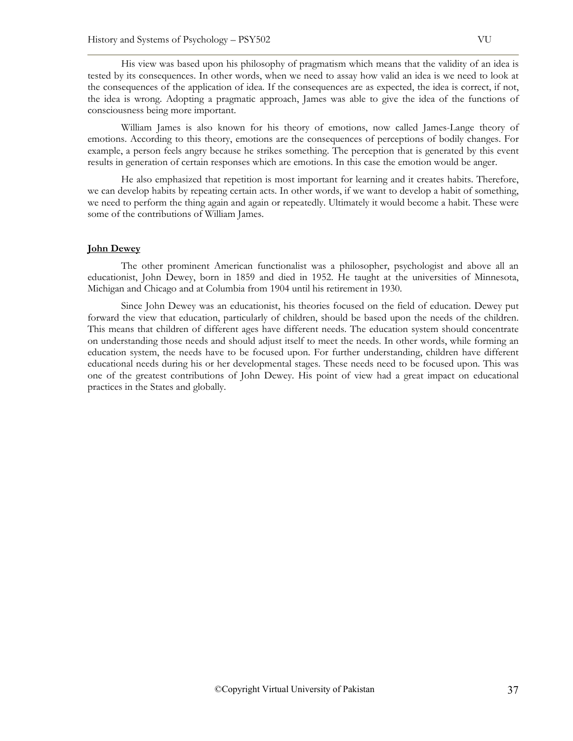His view was based upon his philosophy of pragmatism which means that the validity of an idea is tested by its consequences. In other words, when we need to assay how valid an idea is we need to look at the consequences of the application of idea. If the consequences are as expected, the idea is correct, if not, the idea is wrong. Adopting a pragmatic approach, James was able to give the idea of the functions of consciousness being more important.

William James is also known for his theory of emotions, now called James-Lange theory of emotions. According to this theory, emotions are the consequences of perceptions of bodily changes. For example, a person feels angry because he strikes something. The perception that is generated by this event results in generation of certain responses which are emotions. In this case the emotion would be anger.

He also emphasized that repetition is most important for learning and it creates habits. Therefore, we can develop habits by repeating certain acts. In other words, if we want to develop a habit of something, we need to perform the thing again and again or repeatedly. Ultimately it would become a habit. These were some of the contributions of William James.

#### **John Dewey**

The other prominent American functionalist was a philosopher, psychologist and above all an educationist, John Dewey, born in 1859 and died in 1952. He taught at the universities of Minnesota, Michigan and Chicago and at Columbia from 1904 until his retirement in 1930.

Since John Dewey was an educationist, his theories focused on the field of education. Dewey put forward the view that education, particularly of children, should be based upon the needs of the children. This means that children of different ages have different needs. The education system should concentrate on understanding those needs and should adjust itself to meet the needs. In other words, while forming an education system, the needs have to be focused upon. For further understanding, children have different educational needs during his or her developmental stages. These needs need to be focused upon. This was one of the greatest contributions of John Dewey. His point of view had a great impact on educational practices in the States and globally.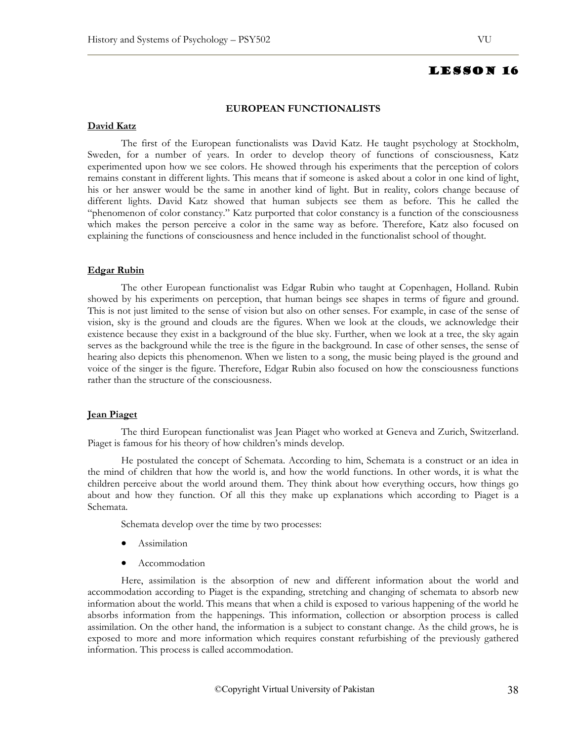#### **EUROPEAN FUNCTIONALISTS**

## **David Katz**

The first of the European functionalists was David Katz. He taught psychology at Stockholm, Sweden, for a number of years. In order to develop theory of functions of consciousness, Katz experimented upon how we see colors. He showed through his experiments that the perception of colors remains constant in different lights. This means that if someone is asked about a color in one kind of light, his or her answer would be the same in another kind of light. But in reality, colors change because of different lights. David Katz showed that human subjects see them as before. This he called the "phenomenon of color constancy." Katz purported that color constancy is a function of the consciousness which makes the person perceive a color in the same way as before. Therefore, Katz also focused on explaining the functions of consciousness and hence included in the functionalist school of thought.

#### **Edgar Rubin**

The other European functionalist was Edgar Rubin who taught at Copenhagen, Holland. Rubin showed by his experiments on perception, that human beings see shapes in terms of figure and ground. This is not just limited to the sense of vision but also on other senses. For example, in case of the sense of vision, sky is the ground and clouds are the figures. When we look at the clouds, we acknowledge their existence because they exist in a background of the blue sky. Further, when we look at a tree, the sky again serves as the background while the tree is the figure in the background. In case of other senses, the sense of hearing also depicts this phenomenon. When we listen to a song, the music being played is the ground and voice of the singer is the figure. Therefore, Edgar Rubin also focused on how the consciousness functions rather than the structure of the consciousness.

#### **Jean Piaget**

The third European functionalist was Jean Piaget who worked at Geneva and Zurich, Switzerland. Piaget is famous for his theory of how children's minds develop.

He postulated the concept of Schemata. According to him, Schemata is a construct or an idea in the mind of children that how the world is, and how the world functions. In other words, it is what the children perceive about the world around them. They think about how everything occurs, how things go about and how they function. Of all this they make up explanations which according to Piaget is a Schemata.

Schemata develop over the time by two processes:

- Assimilation
- Accommodation

Here, assimilation is the absorption of new and different information about the world and accommodation according to Piaget is the expanding, stretching and changing of schemata to absorb new information about the world. This means that when a child is exposed to various happening of the world he absorbs information from the happenings. This information, collection or absorption process is called assimilation. On the other hand, the information is a subject to constant change. As the child grows, he is exposed to more and more information which requires constant refurbishing of the previously gathered information. This process is called accommodation.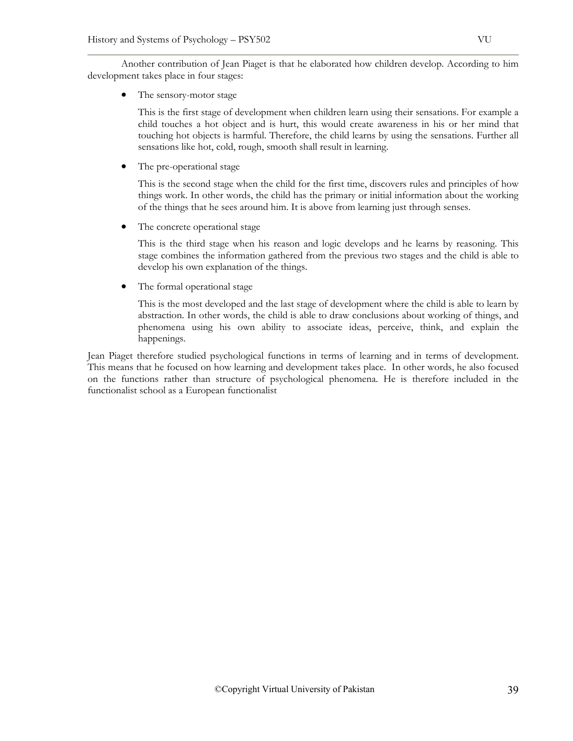Another contribution of Jean Piaget is that he elaborated how children develop. According to him development takes place in four stages:

The sensory-motor stage

This is the first stage of development when children learn using their sensations. For example a child touches a hot object and is hurt, this would create awareness in his or her mind that touching hot objects is harmful. Therefore, the child learns by using the sensations. Further all sensations like hot, cold, rough, smooth shall result in learning.

The pre-operational stage

This is the second stage when the child for the first time, discovers rules and principles of how things work. In other words, the child has the primary or initial information about the working of the things that he sees around him. It is above from learning just through senses.

The concrete operational stage

This is the third stage when his reason and logic develops and he learns by reasoning. This stage combines the information gathered from the previous two stages and the child is able to develop his own explanation of the things.

The formal operational stage

This is the most developed and the last stage of development where the child is able to learn by abstraction. In other words, the child is able to draw conclusions about working of things, and phenomena using his own ability to associate ideas, perceive, think, and explain the happenings.

Jean Piaget therefore studied psychological functions in terms of learning and in terms of development. This means that he focused on how learning and development takes place. In other words, he also focused on the functions rather than structure of psychological phenomena. He is therefore included in the functionalist school as a European functionalist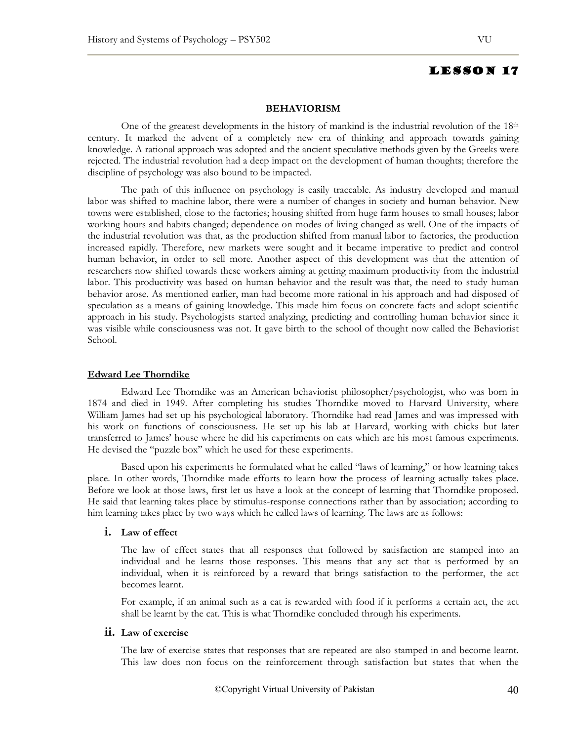### **BEHAVIORISM**

One of the greatest developments in the history of mankind is the industrial revolution of the  $18<sup>th</sup>$ century. It marked the advent of a completely new era of thinking and approach towards gaining knowledge. A rational approach was adopted and the ancient speculative methods given by the Greeks were rejected. The industrial revolution had a deep impact on the development of human thoughts; therefore the discipline of psychology was also bound to be impacted.

The path of this influence on psychology is easily traceable. As industry developed and manual labor was shifted to machine labor, there were a number of changes in society and human behavior. New towns were established, close to the factories; housing shifted from huge farm houses to small houses; labor working hours and habits changed; dependence on modes of living changed as well. One of the impacts of the industrial revolution was that, as the production shifted from manual labor to factories, the production increased rapidly. Therefore, new markets were sought and it became imperative to predict and control human behavior, in order to sell more. Another aspect of this development was that the attention of researchers now shifted towards these workers aiming at getting maximum productivity from the industrial labor. This productivity was based on human behavior and the result was that, the need to study human behavior arose. As mentioned earlier, man had become more rational in his approach and had disposed of speculation as a means of gaining knowledge. This made him focus on concrete facts and adopt scientific approach in his study. Psychologists started analyzing, predicting and controlling human behavior since it was visible while consciousness was not. It gave birth to the school of thought now called the Behaviorist School.

#### **Edward Lee Thorndike**

Edward Lee Thorndike was an American behaviorist philosopher/psychologist, who was born in 1874 and died in 1949. After completing his studies Thorndike moved to Harvard University, where William James had set up his psychological laboratory. Thorndike had read James and was impressed with his work on functions of consciousness. He set up his lab at Harvard, working with chicks but later transferred to James' house where he did his experiments on cats which are his most famous experiments. He devised the "puzzle box" which he used for these experiments.

Based upon his experiments he formulated what he called "laws of learning," or how learning takes place. In other words, Thorndike made efforts to learn how the process of learning actually takes place. Before we look at those laws, first let us have a look at the concept of learning that Thorndike proposed. He said that learning takes place by stimulus-response connections rather than by association; according to him learning takes place by two ways which he called laws of learning. The laws are as follows:

## **i. Law of effect**

The law of effect states that all responses that followed by satisfaction are stamped into an individual and he learns those responses. This means that any act that is performed by an individual, when it is reinforced by a reward that brings satisfaction to the performer, the act becomes learnt.

For example, if an animal such as a cat is rewarded with food if it performs a certain act, the act shall be learnt by the cat. This is what Thorndike concluded through his experiments.

# **ii. Law of exercise**

The law of exercise states that responses that are repeated are also stamped in and become learnt. This law does non focus on the reinforcement through satisfaction but states that when the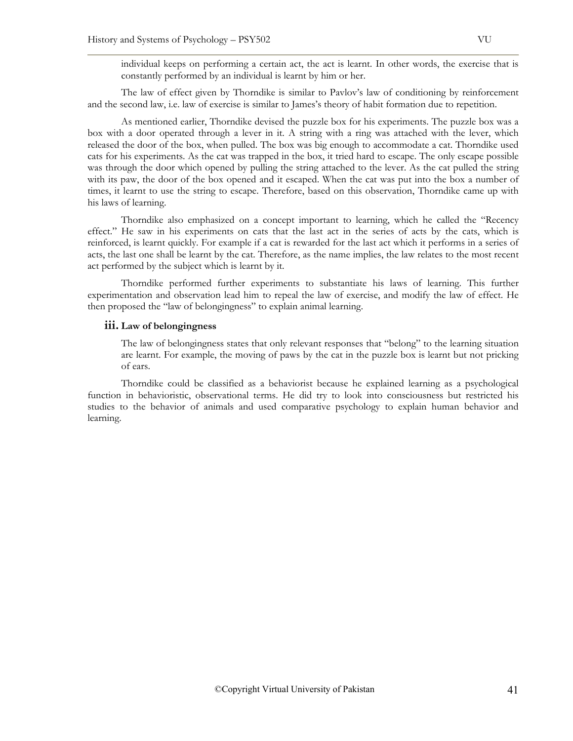individual keeps on performing a certain act, the act is learnt. In other words, the exercise that is constantly performed by an individual is learnt by him or her.

The law of effect given by Thorndike is similar to Pavlov's law of conditioning by reinforcement and the second law, i.e. law of exercise is similar to James's theory of habit formation due to repetition.

 As mentioned earlier, Thorndike devised the puzzle box for his experiments. The puzzle box was a box with a door operated through a lever in it. A string with a ring was attached with the lever, which released the door of the box, when pulled. The box was big enough to accommodate a cat. Thorndike used cats for his experiments. As the cat was trapped in the box, it tried hard to escape. The only escape possible was through the door which opened by pulling the string attached to the lever. As the cat pulled the string with its paw, the door of the box opened and it escaped. When the cat was put into the box a number of times, it learnt to use the string to escape. Therefore, based on this observation, Thorndike came up with his laws of learning.

Thorndike also emphasized on a concept important to learning, which he called the "Recency effect." He saw in his experiments on cats that the last act in the series of acts by the cats, which is reinforced, is learnt quickly. For example if a cat is rewarded for the last act which it performs in a series of acts, the last one shall be learnt by the cat. Therefore, as the name implies, the law relates to the most recent act performed by the subject which is learnt by it.

Thorndike performed further experiments to substantiate his laws of learning. This further experimentation and observation lead him to repeal the law of exercise, and modify the law of effect. He then proposed the "law of belongingness" to explain animal learning.

#### **iii. Law of belongingness**

The law of belongingness states that only relevant responses that "belong" to the learning situation are learnt. For example, the moving of paws by the cat in the puzzle box is learnt but not pricking of ears.

Thorndike could be classified as a behaviorist because he explained learning as a psychological function in behavioristic, observational terms. He did try to look into consciousness but restricted his studies to the behavior of animals and used comparative psychology to explain human behavior and learning.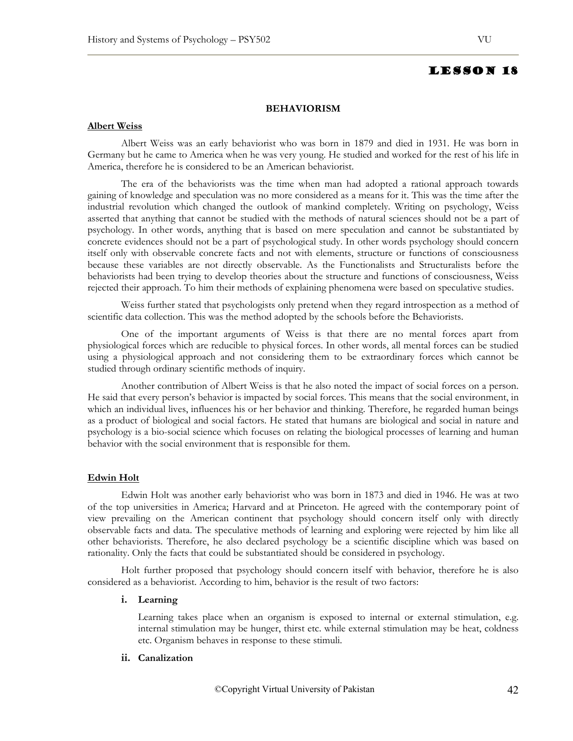#### **BEHAVIORISM**

#### **Albert Weiss**

Albert Weiss was an early behaviorist who was born in 1879 and died in 1931. He was born in Germany but he came to America when he was very young. He studied and worked for the rest of his life in America, therefore he is considered to be an American behaviorist.

The era of the behaviorists was the time when man had adopted a rational approach towards gaining of knowledge and speculation was no more considered as a means for it. This was the time after the industrial revolution which changed the outlook of mankind completely. Writing on psychology, Weiss asserted that anything that cannot be studied with the methods of natural sciences should not be a part of psychology. In other words, anything that is based on mere speculation and cannot be substantiated by concrete evidences should not be a part of psychological study. In other words psychology should concern itself only with observable concrete facts and not with elements, structure or functions of consciousness because these variables are not directly observable. As the Functionalists and Structuralists before the behaviorists had been trying to develop theories about the structure and functions of consciousness, Weiss rejected their approach. To him their methods of explaining phenomena were based on speculative studies.

Weiss further stated that psychologists only pretend when they regard introspection as a method of scientific data collection. This was the method adopted by the schools before the Behaviorists.

One of the important arguments of Weiss is that there are no mental forces apart from physiological forces which are reducible to physical forces. In other words, all mental forces can be studied using a physiological approach and not considering them to be extraordinary forces which cannot be studied through ordinary scientific methods of inquiry.

Another contribution of Albert Weiss is that he also noted the impact of social forces on a person. He said that every person's behavior is impacted by social forces. This means that the social environment, in which an individual lives, influences his or her behavior and thinking. Therefore, he regarded human beings as a product of biological and social factors. He stated that humans are biological and social in nature and psychology is a bio-social science which focuses on relating the biological processes of learning and human behavior with the social environment that is responsible for them.

## **Edwin Holt**

Edwin Holt was another early behaviorist who was born in 1873 and died in 1946. He was at two of the top universities in America; Harvard and at Princeton. He agreed with the contemporary point of view prevailing on the American continent that psychology should concern itself only with directly observable facts and data. The speculative methods of learning and exploring were rejected by him like all other behaviorists. Therefore, he also declared psychology be a scientific discipline which was based on rationality. Only the facts that could be substantiated should be considered in psychology.

Holt further proposed that psychology should concern itself with behavior, therefore he is also considered as a behaviorist. According to him, behavior is the result of two factors:

#### **i. Learning**

Learning takes place when an organism is exposed to internal or external stimulation, e.g. internal stimulation may be hunger, thirst etc. while external stimulation may be heat, coldness etc. Organism behaves in response to these stimuli.

## **ii. Canalization**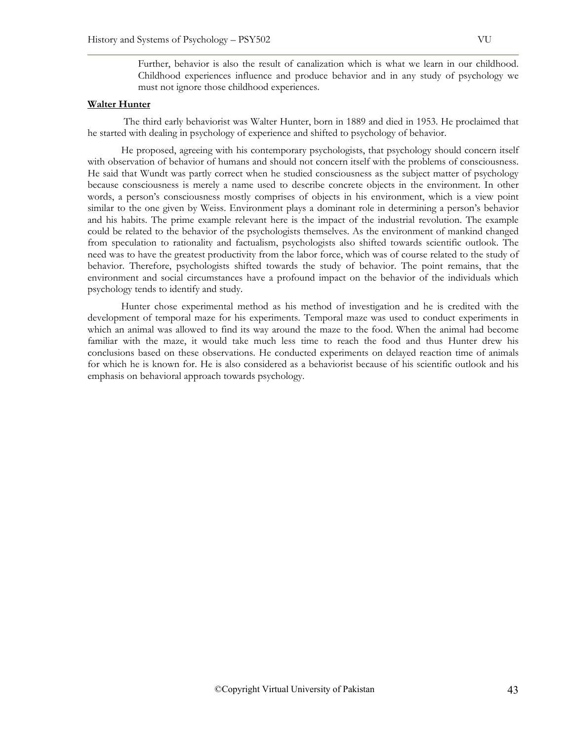Further, behavior is also the result of canalization which is what we learn in our childhood. Childhood experiences influence and produce behavior and in any study of psychology we must not ignore those childhood experiences.

#### **Walter Hunter**

 The third early behaviorist was Walter Hunter, born in 1889 and died in 1953. He proclaimed that he started with dealing in psychology of experience and shifted to psychology of behavior.

He proposed, agreeing with his contemporary psychologists, that psychology should concern itself with observation of behavior of humans and should not concern itself with the problems of consciousness. He said that Wundt was partly correct when he studied consciousness as the subject matter of psychology because consciousness is merely a name used to describe concrete objects in the environment. In other words, a person's consciousness mostly comprises of objects in his environment, which is a view point similar to the one given by Weiss. Environment plays a dominant role in determining a person's behavior and his habits. The prime example relevant here is the impact of the industrial revolution. The example could be related to the behavior of the psychologists themselves. As the environment of mankind changed from speculation to rationality and factualism, psychologists also shifted towards scientific outlook. The need was to have the greatest productivity from the labor force, which was of course related to the study of behavior. Therefore, psychologists shifted towards the study of behavior. The point remains, that the environment and social circumstances have a profound impact on the behavior of the individuals which psychology tends to identify and study.

Hunter chose experimental method as his method of investigation and he is credited with the development of temporal maze for his experiments. Temporal maze was used to conduct experiments in which an animal was allowed to find its way around the maze to the food. When the animal had become familiar with the maze, it would take much less time to reach the food and thus Hunter drew his conclusions based on these observations. He conducted experiments on delayed reaction time of animals for which he is known for. He is also considered as a behaviorist because of his scientific outlook and his emphasis on behavioral approach towards psychology.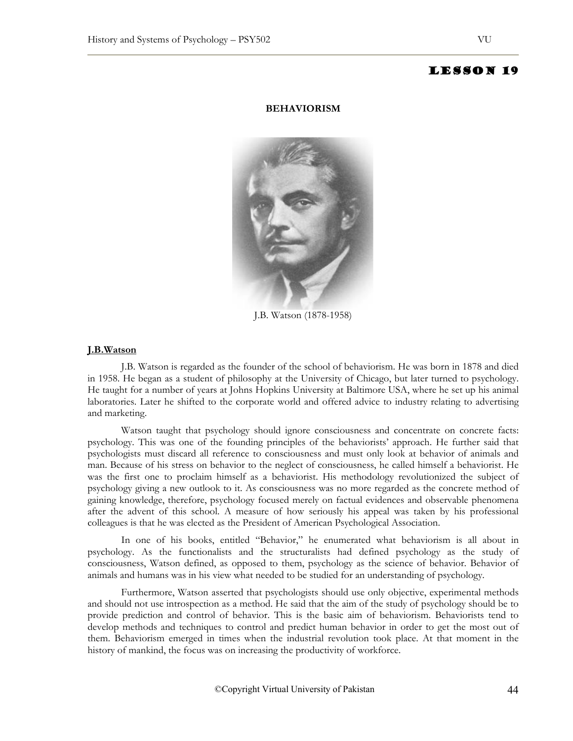#### **BEHAVIORISM**



J.B. Watson (1878-1958)

#### **J.B.Watson**

J.B. Watson is regarded as the founder of the school of behaviorism. He was born in 1878 and died in 1958. He began as a student of philosophy at the University of Chicago, but later turned to psychology. He taught for a number of years at Johns Hopkins University at Baltimore USA, where he set up his animal laboratories. Later he shifted to the corporate world and offered advice to industry relating to advertising and marketing.

Watson taught that psychology should ignore consciousness and concentrate on concrete facts: psychology. This was one of the founding principles of the behaviorists' approach. He further said that psychologists must discard all reference to consciousness and must only look at behavior of animals and man. Because of his stress on behavior to the neglect of consciousness, he called himself a behaviorist. He was the first one to proclaim himself as a behaviorist. His methodology revolutionized the subject of psychology giving a new outlook to it. As consciousness was no more regarded as the concrete method of gaining knowledge, therefore, psychology focused merely on factual evidences and observable phenomena after the advent of this school. A measure of how seriously his appeal was taken by his professional colleagues is that he was elected as the President of American Psychological Association.

In one of his books, entitled "Behavior," he enumerated what behaviorism is all about in psychology. As the functionalists and the structuralists had defined psychology as the study of consciousness, Watson defined, as opposed to them, psychology as the science of behavior. Behavior of animals and humans was in his view what needed to be studied for an understanding of psychology.

Furthermore, Watson asserted that psychologists should use only objective, experimental methods and should not use introspection as a method. He said that the aim of the study of psychology should be to provide prediction and control of behavior. This is the basic aim of behaviorism. Behaviorists tend to develop methods and techniques to control and predict human behavior in order to get the most out of them. Behaviorism emerged in times when the industrial revolution took place. At that moment in the history of mankind, the focus was on increasing the productivity of workforce.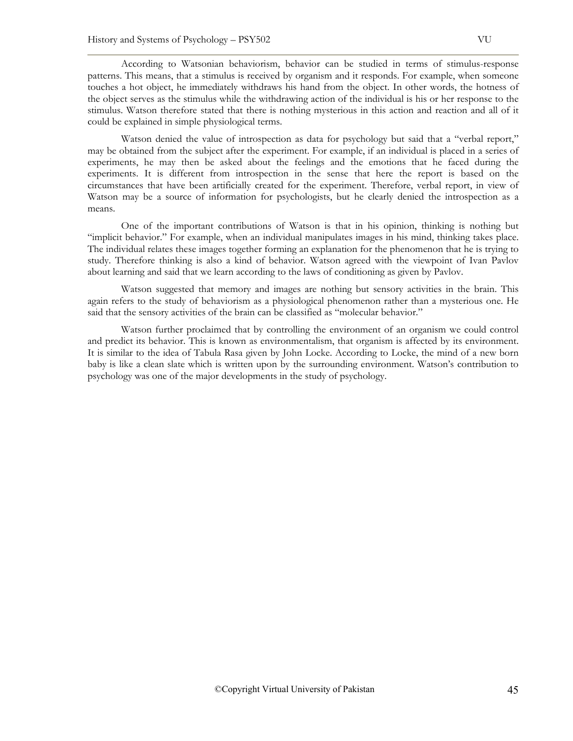According to Watsonian behaviorism, behavior can be studied in terms of stimulus-response patterns. This means, that a stimulus is received by organism and it responds. For example, when someone touches a hot object, he immediately withdraws his hand from the object. In other words, the hotness of the object serves as the stimulus while the withdrawing action of the individual is his or her response to the stimulus. Watson therefore stated that there is nothing mysterious in this action and reaction and all of it could be explained in simple physiological terms.

Watson denied the value of introspection as data for psychology but said that a "verbal report," may be obtained from the subject after the experiment. For example, if an individual is placed in a series of experiments, he may then be asked about the feelings and the emotions that he faced during the experiments. It is different from introspection in the sense that here the report is based on the circumstances that have been artificially created for the experiment. Therefore, verbal report, in view of Watson may be a source of information for psychologists, but he clearly denied the introspection as a means.

One of the important contributions of Watson is that in his opinion, thinking is nothing but "implicit behavior." For example, when an individual manipulates images in his mind, thinking takes place. The individual relates these images together forming an explanation for the phenomenon that he is trying to study. Therefore thinking is also a kind of behavior. Watson agreed with the viewpoint of Ivan Pavlov about learning and said that we learn according to the laws of conditioning as given by Pavlov.

Watson suggested that memory and images are nothing but sensory activities in the brain. This again refers to the study of behaviorism as a physiological phenomenon rather than a mysterious one. He said that the sensory activities of the brain can be classified as "molecular behavior."

Watson further proclaimed that by controlling the environment of an organism we could control and predict its behavior. This is known as environmentalism, that organism is affected by its environment. It is similar to the idea of Tabula Rasa given by John Locke. According to Locke, the mind of a new born baby is like a clean slate which is written upon by the surrounding environment. Watson's contribution to psychology was one of the major developments in the study of psychology.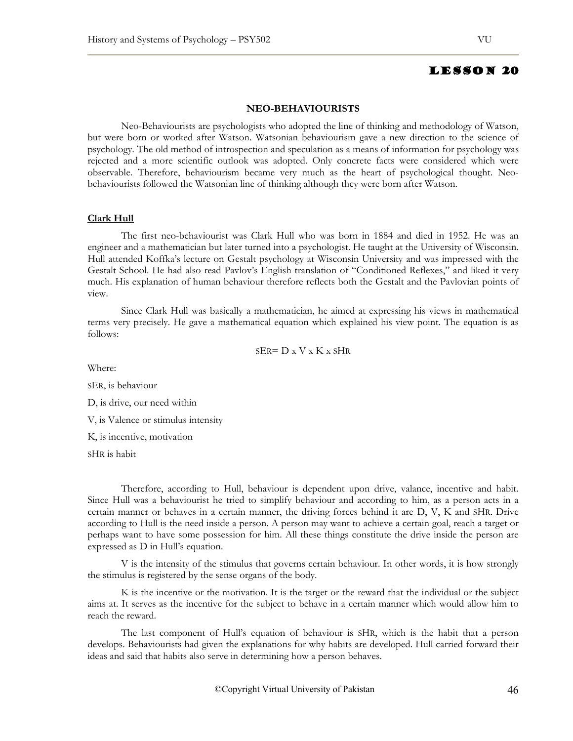#### **NEO-BEHAVIOURISTS**

Neo-Behaviourists are psychologists who adopted the line of thinking and methodology of Watson, but were born or worked after Watson. Watsonian behaviourism gave a new direction to the science of psychology. The old method of introspection and speculation as a means of information for psychology was rejected and a more scientific outlook was adopted. Only concrete facts were considered which were observable. Therefore, behaviourism became very much as the heart of psychological thought. Neobehaviourists followed the Watsonian line of thinking although they were born after Watson.

## **Clark Hull**

The first neo-behaviourist was Clark Hull who was born in 1884 and died in 1952. He was an engineer and a mathematician but later turned into a psychologist. He taught at the University of Wisconsin. Hull attended Koffka's lecture on Gestalt psychology at Wisconsin University and was impressed with the Gestalt School. He had also read Pavlov's English translation of "Conditioned Reflexes," and liked it very much. His explanation of human behaviour therefore reflects both the Gestalt and the Pavlovian points of view.

 Since Clark Hull was basically a mathematician, he aimed at expressing his views in mathematical terms very precisely. He gave a mathematical equation which explained his view point. The equation is as follows:

$$
SER = D \times V \times K \times SHR
$$

Where:

SER, is behaviour

D, is drive, our need within

V, is Valence or stimulus intensity

K, is incentive, motivation

SHR is habit

Therefore, according to Hull, behaviour is dependent upon drive, valance, incentive and habit. Since Hull was a behaviourist he tried to simplify behaviour and according to him, as a person acts in a certain manner or behaves in a certain manner, the driving forces behind it are D, V, K and SHR. Drive according to Hull is the need inside a person. A person may want to achieve a certain goal, reach a target or perhaps want to have some possession for him. All these things constitute the drive inside the person are expressed as D in Hull's equation.

V is the intensity of the stimulus that governs certain behaviour. In other words, it is how strongly the stimulus is registered by the sense organs of the body.

K is the incentive or the motivation. It is the target or the reward that the individual or the subject aims at. It serves as the incentive for the subject to behave in a certain manner which would allow him to reach the reward.

The last component of Hull's equation of behaviour is SHR, which is the habit that a person develops. Behaviourists had given the explanations for why habits are developed. Hull carried forward their ideas and said that habits also serve in determining how a person behaves.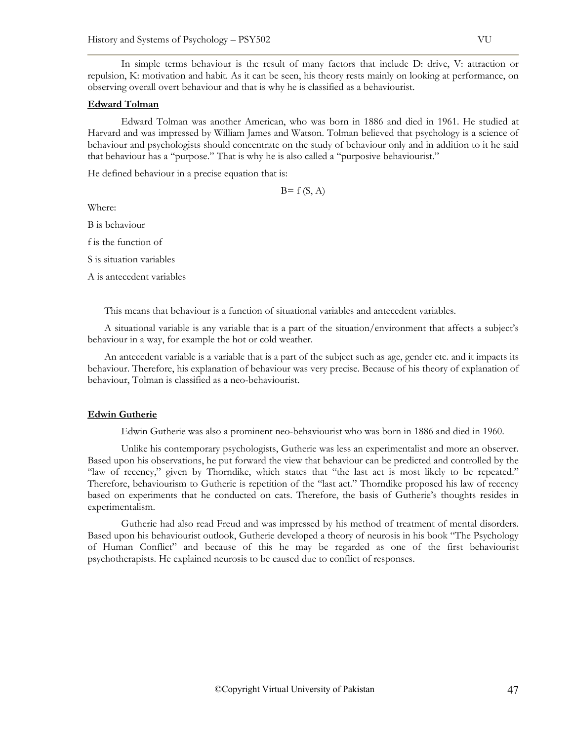In simple terms behaviour is the result of many factors that include D: drive, V: attraction or repulsion, K: motivation and habit. As it can be seen, his theory rests mainly on looking at performance, on observing overall overt behaviour and that is why he is classified as a behaviourist.

#### **Edward Tolman**

Edward Tolman was another American, who was born in 1886 and died in 1961. He studied at Harvard and was impressed by William James and Watson. Tolman believed that psychology is a science of behaviour and psychologists should concentrate on the study of behaviour only and in addition to it he said that behaviour has a "purpose." That is why he is also called a "purposive behaviourist."

He defined behaviour in a precise equation that is:

 $B=f(S, A)$ 

Where:

B is behaviour

f is the function of

S is situation variables

A is antecedent variables

This means that behaviour is a function of situational variables and antecedent variables.

A situational variable is any variable that is a part of the situation/environment that affects a subject's behaviour in a way, for example the hot or cold weather.

An antecedent variable is a variable that is a part of the subject such as age, gender etc. and it impacts its behaviour. Therefore, his explanation of behaviour was very precise. Because of his theory of explanation of behaviour, Tolman is classified as a neo-behaviourist.

#### **Edwin Gutherie**

Edwin Gutherie was also a prominent neo-behaviourist who was born in 1886 and died in 1960.

Unlike his contemporary psychologists, Gutherie was less an experimentalist and more an observer. Based upon his observations, he put forward the view that behaviour can be predicted and controlled by the "law of recency," given by Thorndike, which states that "the last act is most likely to be repeated." Therefore, behaviourism to Gutherie is repetition of the "last act." Thorndike proposed his law of recency based on experiments that he conducted on cats. Therefore, the basis of Gutherie's thoughts resides in experimentalism.

Gutherie had also read Freud and was impressed by his method of treatment of mental disorders. Based upon his behaviourist outlook, Gutherie developed a theory of neurosis in his book "The Psychology of Human Conflict" and because of this he may be regarded as one of the first behaviourist psychotherapists. He explained neurosis to be caused due to conflict of responses.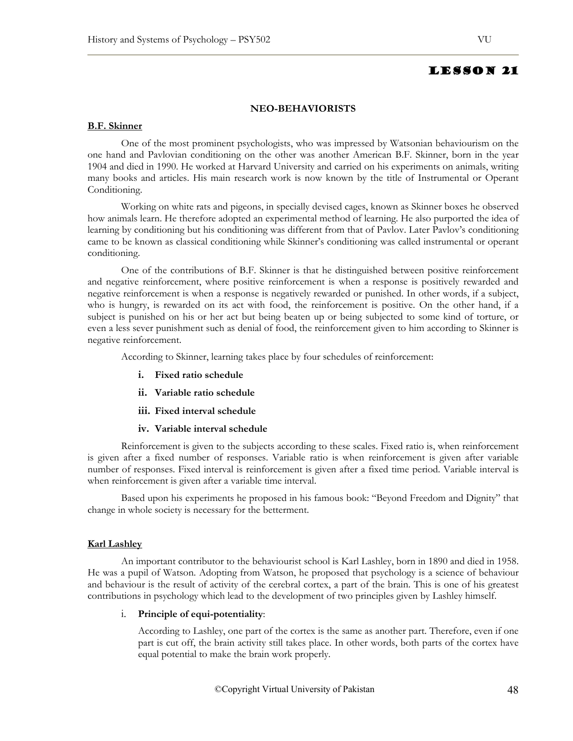#### **NEO-BEHAVIORISTS**

## **B.F. Skinner**

One of the most prominent psychologists, who was impressed by Watsonian behaviourism on the one hand and Pavlovian conditioning on the other was another American B.F. Skinner, born in the year 1904 and died in 1990. He worked at Harvard University and carried on his experiments on animals, writing many books and articles. His main research work is now known by the title of Instrumental or Operant Conditioning.

Working on white rats and pigeons, in specially devised cages, known as Skinner boxes he observed how animals learn. He therefore adopted an experimental method of learning. He also purported the idea of learning by conditioning but his conditioning was different from that of Pavlov. Later Pavlov's conditioning came to be known as classical conditioning while Skinner's conditioning was called instrumental or operant conditioning.

One of the contributions of B.F. Skinner is that he distinguished between positive reinforcement and negative reinforcement, where positive reinforcement is when a response is positively rewarded and negative reinforcement is when a response is negatively rewarded or punished. In other words, if a subject, who is hungry, is rewarded on its act with food, the reinforcement is positive. On the other hand, if a subject is punished on his or her act but being beaten up or being subjected to some kind of torture, or even a less sever punishment such as denial of food, the reinforcement given to him according to Skinner is negative reinforcement.

According to Skinner, learning takes place by four schedules of reinforcement:

- **i. Fixed ratio schedule**
- **ii. Variable ratio schedule**
- **iii. Fixed interval schedule**
- **iv. Variable interval schedule**

Reinforcement is given to the subjects according to these scales. Fixed ratio is, when reinforcement is given after a fixed number of responses. Variable ratio is when reinforcement is given after variable number of responses. Fixed interval is reinforcement is given after a fixed time period. Variable interval is when reinforcement is given after a variable time interval.

Based upon his experiments he proposed in his famous book: "Beyond Freedom and Dignity" that change in whole society is necessary for the betterment.

## **Karl Lashley**

An important contributor to the behaviourist school is Karl Lashley, born in 1890 and died in 1958. He was a pupil of Watson. Adopting from Watson, he proposed that psychology is a science of behaviour and behaviour is the result of activity of the cerebral cortex, a part of the brain. This is one of his greatest contributions in psychology which lead to the development of two principles given by Lashley himself.

## i. **Principle of equi-potentiality**:

According to Lashley, one part of the cortex is the same as another part. Therefore, even if one part is cut off, the brain activity still takes place. In other words, both parts of the cortex have equal potential to make the brain work properly.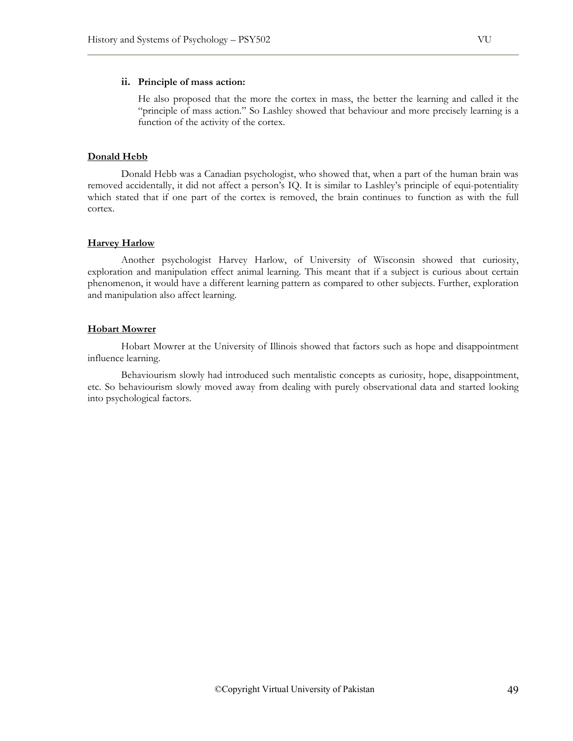#### **ii. Principle of mass action:**

He also proposed that the more the cortex in mass, the better the learning and called it the "principle of mass action." So Lashley showed that behaviour and more precisely learning is a function of the activity of the cortex.

## **Donald Hebb**

Donald Hebb was a Canadian psychologist, who showed that, when a part of the human brain was removed accidentally, it did not affect a person's IQ. It is similar to Lashley's principle of equi-potentiality which stated that if one part of the cortex is removed, the brain continues to function as with the full cortex.

#### **Harvey Harlow**

Another psychologist Harvey Harlow, of University of Wisconsin showed that curiosity, exploration and manipulation effect animal learning. This meant that if a subject is curious about certain phenomenon, it would have a different learning pattern as compared to other subjects. Further, exploration and manipulation also affect learning.

## **Hobart Mowrer**

Hobart Mowrer at the University of Illinois showed that factors such as hope and disappointment influence learning.

Behaviourism slowly had introduced such mentalistic concepts as curiosity, hope, disappointment, etc. So behaviourism slowly moved away from dealing with purely observational data and started looking into psychological factors.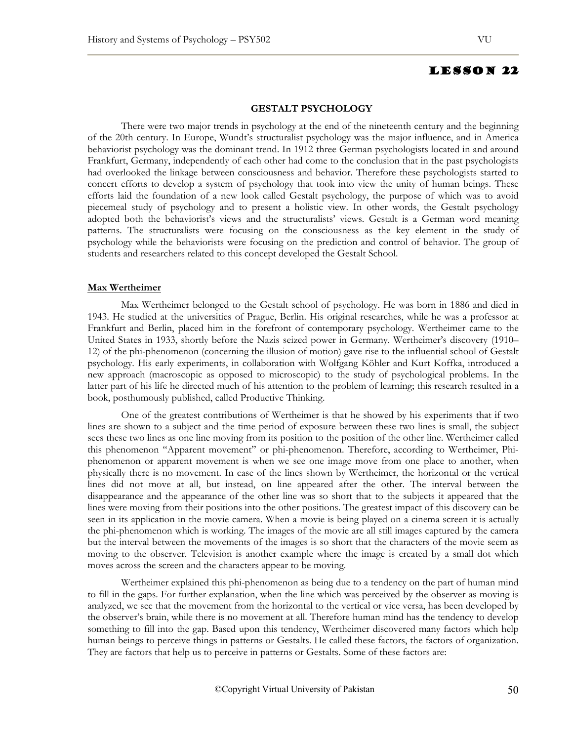#### **GESTALT PSYCHOLOGY**

There were two major trends in psychology at the end of the nineteenth century and the beginning of the 20th century. In Europe, Wundt's structuralist psychology was the major influence, and in America behaviorist psychology was the dominant trend. In 1912 three German psychologists located in and around Frankfurt, Germany, independently of each other had come to the conclusion that in the past psychologists had overlooked the linkage between consciousness and behavior. Therefore these psychologists started to concert efforts to develop a system of psychology that took into view the unity of human beings. These efforts laid the foundation of a new look called Gestalt psychology, the purpose of which was to avoid piecemeal study of psychology and to present a holistic view. In other words, the Gestalt psychology adopted both the behaviorist's views and the structuralists' views. Gestalt is a German word meaning patterns. The structuralists were focusing on the consciousness as the key element in the study of psychology while the behaviorists were focusing on the prediction and control of behavior. The group of students and researchers related to this concept developed the Gestalt School.

#### **Max Wertheimer**

Max Wertheimer belonged to the Gestalt school of psychology. He was born in 1886 and died in 1943. He studied at the universities of Prague, Berlin. His original researches, while he was a professor at Frankfurt and Berlin, placed him in the forefront of contemporary psychology. Wertheimer came to the United States in 1933, shortly before the Nazis seized power in Germany. Wertheimer's discovery (1910– 12) of the phi-phenomenon (concerning the illusion of motion) gave rise to the influential school of Gestalt psychology. His early experiments, in collaboration with Wolfgang Köhler and Kurt Koffka, introduced a new approach (macroscopic as opposed to microscopic) to the study of psychological problems. In the latter part of his life he directed much of his attention to the problem of learning; this research resulted in a book, posthumously published, called Productive Thinking.

One of the greatest contributions of Wertheimer is that he showed by his experiments that if two lines are shown to a subject and the time period of exposure between these two lines is small, the subject sees these two lines as one line moving from its position to the position of the other line. Wertheimer called this phenomenon "Apparent movement" or phi-phenomenon. Therefore, according to Wertheimer, Phiphenomenon or apparent movement is when we see one image move from one place to another, when physically there is no movement. In case of the lines shown by Wertheimer, the horizontal or the vertical lines did not move at all, but instead, on line appeared after the other. The interval between the disappearance and the appearance of the other line was so short that to the subjects it appeared that the lines were moving from their positions into the other positions. The greatest impact of this discovery can be seen in its application in the movie camera. When a movie is being played on a cinema screen it is actually the phi-phenomenon which is working. The images of the movie are all still images captured by the camera but the interval between the movements of the images is so short that the characters of the movie seem as moving to the observer. Television is another example where the image is created by a small dot which moves across the screen and the characters appear to be moving.

Wertheimer explained this phi-phenomenon as being due to a tendency on the part of human mind to fill in the gaps. For further explanation, when the line which was perceived by the observer as moving is analyzed, we see that the movement from the horizontal to the vertical or vice versa, has been developed by the observer's brain, while there is no movement at all. Therefore human mind has the tendency to develop something to fill into the gap. Based upon this tendency, Wertheimer discovered many factors which help human beings to perceive things in patterns or Gestalts. He called these factors, the factors of organization. They are factors that help us to perceive in patterns or Gestalts. Some of these factors are: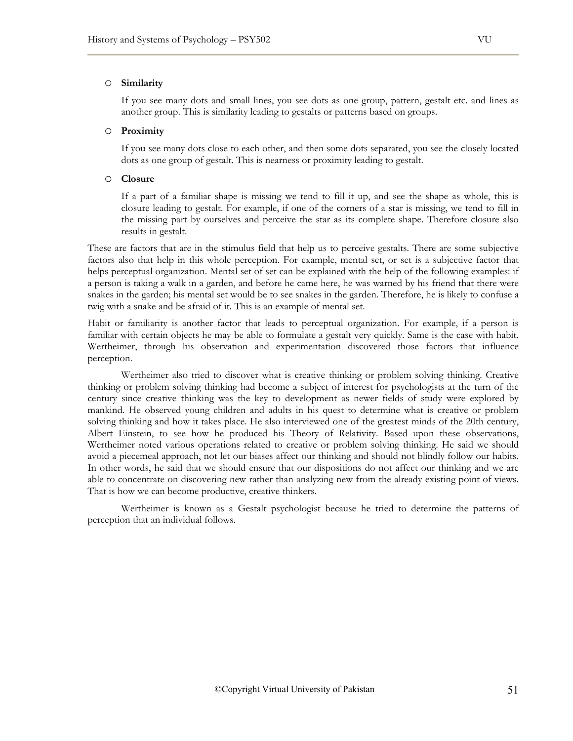## o **Similarity**

If you see many dots and small lines, you see dots as one group, pattern, gestalt etc. and lines as another group. This is similarity leading to gestalts or patterns based on groups.

#### o **Proximity**

If you see many dots close to each other, and then some dots separated, you see the closely located dots as one group of gestalt. This is nearness or proximity leading to gestalt.

#### o **Closure**

If a part of a familiar shape is missing we tend to fill it up, and see the shape as whole, this is closure leading to gestalt. For example, if one of the corners of a star is missing, we tend to fill in the missing part by ourselves and perceive the star as its complete shape. Therefore closure also results in gestalt.

These are factors that are in the stimulus field that help us to perceive gestalts. There are some subjective factors also that help in this whole perception. For example, mental set, or set is a subjective factor that helps perceptual organization. Mental set of set can be explained with the help of the following examples: if a person is taking a walk in a garden, and before he came here, he was warned by his friend that there were snakes in the garden; his mental set would be to see snakes in the garden. Therefore, he is likely to confuse a twig with a snake and be afraid of it. This is an example of mental set.

Habit or familiarity is another factor that leads to perceptual organization. For example, if a person is familiar with certain objects he may be able to formulate a gestalt very quickly. Same is the case with habit. Wertheimer, through his observation and experimentation discovered those factors that influence perception.

Wertheimer also tried to discover what is creative thinking or problem solving thinking. Creative thinking or problem solving thinking had become a subject of interest for psychologists at the turn of the century since creative thinking was the key to development as newer fields of study were explored by mankind. He observed young children and adults in his quest to determine what is creative or problem solving thinking and how it takes place. He also interviewed one of the greatest minds of the 20th century, Albert Einstein, to see how he produced his Theory of Relativity. Based upon these observations, Wertheimer noted various operations related to creative or problem solving thinking. He said we should avoid a piecemeal approach, not let our biases affect our thinking and should not blindly follow our habits. In other words, he said that we should ensure that our dispositions do not affect our thinking and we are able to concentrate on discovering new rather than analyzing new from the already existing point of views. That is how we can become productive, creative thinkers.

Wertheimer is known as a Gestalt psychologist because he tried to determine the patterns of perception that an individual follows.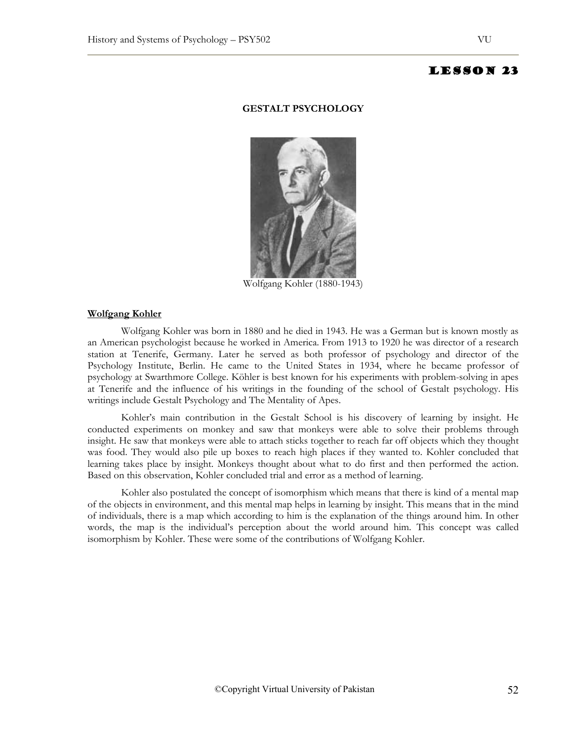#### **GESTALT PSYCHOLOGY**



Wolfgang Kohler (1880-1943)

#### **Wolfgang Kohler**

Wolfgang Kohler was born in 1880 and he died in 1943. He was a German but is known mostly as an American psychologist because he worked in America. From 1913 to 1920 he was director of a research station at Tenerife, Germany. Later he served as both professor of psychology and director of the Psychology Institute, Berlin. He came to the United States in 1934, where he became professor of psychology at Swarthmore College. Köhler is best known for his experiments with problem-solving in apes at Tenerife and the influence of his writings in the founding of the school of Gestalt psychology. His writings include Gestalt Psychology and The Mentality of Apes.

Kohler's main contribution in the Gestalt School is his discovery of learning by insight. He conducted experiments on monkey and saw that monkeys were able to solve their problems through insight. He saw that monkeys were able to attach sticks together to reach far off objects which they thought was food. They would also pile up boxes to reach high places if they wanted to. Kohler concluded that learning takes place by insight. Monkeys thought about what to do first and then performed the action. Based on this observation, Kohler concluded trial and error as a method of learning.

Kohler also postulated the concept of isomorphism which means that there is kind of a mental map of the objects in environment, and this mental map helps in learning by insight. This means that in the mind of individuals, there is a map which according to him is the explanation of the things around him. In other words, the map is the individual's perception about the world around him. This concept was called isomorphism by Kohler. These were some of the contributions of Wolfgang Kohler.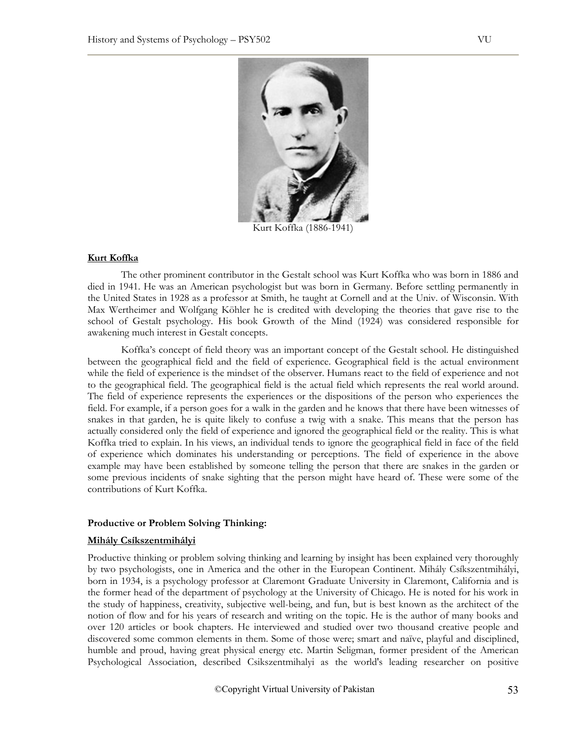

Kurt Koffka (1886-1941)

## **Kurt Koffka**

The other prominent contributor in the Gestalt school was Kurt Koffka who was born in 1886 and died in 1941. He was an American psychologist but was born in Germany. Before settling permanently in the United States in 1928 as a professor at Smith, he taught at Cornell and at the Univ. of Wisconsin. With Max Wertheimer and Wolfgang Köhler he is credited with developing the theories that gave rise to the school of Gestalt psychology. His book Growth of the Mind (1924) was considered responsible for awakening much interest in Gestalt concepts.

Koffka's concept of field theory was an important concept of the Gestalt school. He distinguished between the geographical field and the field of experience. Geographical field is the actual environment while the field of experience is the mindset of the observer. Humans react to the field of experience and not to the geographical field. The geographical field is the actual field which represents the real world around. The field of experience represents the experiences or the dispositions of the person who experiences the field. For example, if a person goes for a walk in the garden and he knows that there have been witnesses of snakes in that garden, he is quite likely to confuse a twig with a snake. This means that the person has actually considered only the field of experience and ignored the geographical field or the reality. This is what Koffka tried to explain. In his views, an individual tends to ignore the geographical field in face of the field of experience which dominates his understanding or perceptions. The field of experience in the above example may have been established by someone telling the person that there are snakes in the garden or some previous incidents of snake sighting that the person might have heard of. These were some of the contributions of Kurt Koffka.

#### **Productive or Problem Solving Thinking:**

#### **Mihály Csíkszentmihályi**

Productive thinking or problem solving thinking and learning by insight has been explained very thoroughly by two psychologists, one in America and the other in the European Continent. Mihály Csíkszentmihályi, born in 1934, is a psychology professor at Claremont Graduate University in Claremont, California and is the former head of the department of psychology at the University of Chicago. He is noted for his work in the study of happiness, creativity, subjective well-being, and fun, but is best known as the architect of the notion of flow and for his years of research and writing on the topic. He is the author of many books and over 120 articles or book chapters. He interviewed and studied over two thousand creative people and discovered some common elements in them. Some of those were; smart and naïve, playful and disciplined, humble and proud, having great physical energy etc. Martin Seligman, former president of the American Psychological Association, described Csikszentmihalyi as the world's leading researcher on positive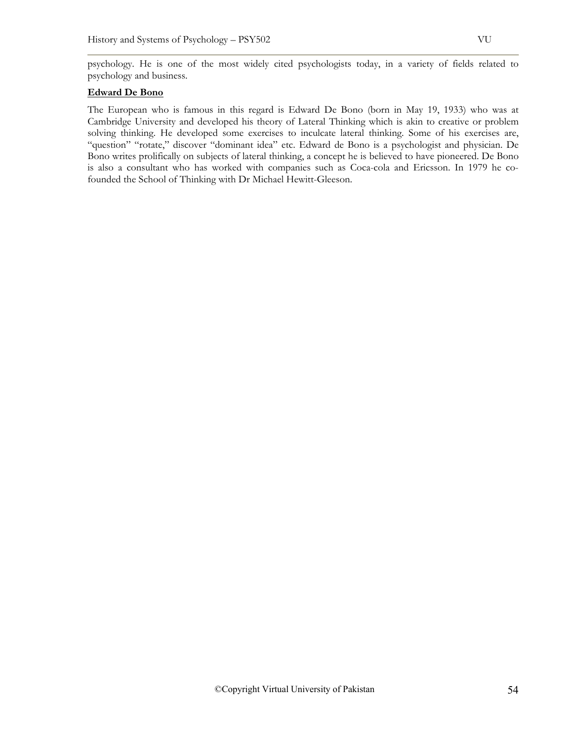psychology. He is one of the most widely cited psychologists today, in a variety of fields related to psychology and business.

# **Edward De Bono**

The European who is famous in this regard is Edward De Bono (born in May 19, 1933) who was at Cambridge University and developed his theory of Lateral Thinking which is akin to creative or problem solving thinking. He developed some exercises to inculcate lateral thinking. Some of his exercises are, "question" "rotate," discover "dominant idea" etc. Edward de Bono is a psychologist and physician. De Bono writes prolifically on subjects of lateral thinking, a concept he is believed to have pioneered. De Bono is also a consultant who has worked with companies such as Coca-cola and Ericsson. In 1979 he cofounded the School of Thinking with Dr Michael Hewitt-Gleeson.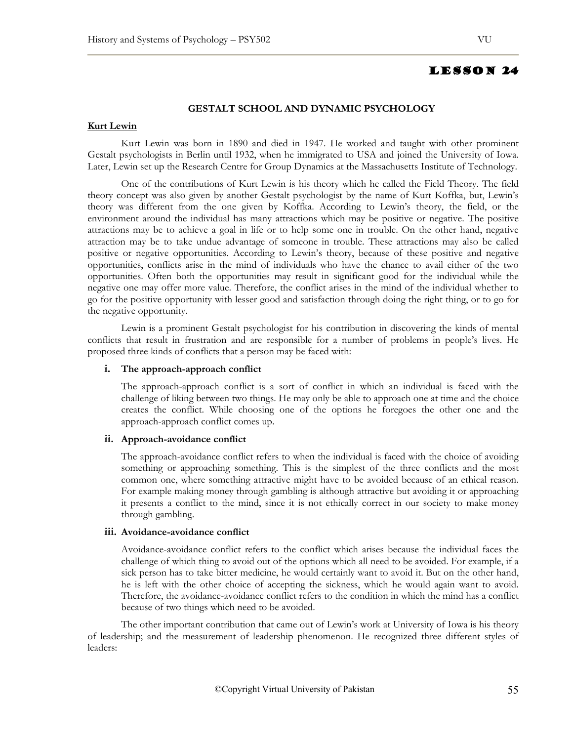## **GESTALT SCHOOL AND DYNAMIC PSYCHOLOGY**

#### **Kurt Lewin**

Kurt Lewin was born in 1890 and died in 1947. He worked and taught with other prominent Gestalt psychologists in Berlin until 1932, when he immigrated to USA and joined the University of Iowa. Later, Lewin set up the Research Centre for Group Dynamics at the Massachusetts Institute of Technology.

One of the contributions of Kurt Lewin is his theory which he called the Field Theory. The field theory concept was also given by another Gestalt psychologist by the name of Kurt Koffka, but, Lewin's theory was different from the one given by Koffka. According to Lewin's theory, the field, or the environment around the individual has many attractions which may be positive or negative. The positive attractions may be to achieve a goal in life or to help some one in trouble. On the other hand, negative attraction may be to take undue advantage of someone in trouble. These attractions may also be called positive or negative opportunities. According to Lewin's theory, because of these positive and negative opportunities, conflicts arise in the mind of individuals who have the chance to avail either of the two opportunities. Often both the opportunities may result in significant good for the individual while the negative one may offer more value. Therefore, the conflict arises in the mind of the individual whether to go for the positive opportunity with lesser good and satisfaction through doing the right thing, or to go for the negative opportunity.

Lewin is a prominent Gestalt psychologist for his contribution in discovering the kinds of mental conflicts that result in frustration and are responsible for a number of problems in people's lives. He proposed three kinds of conflicts that a person may be faced with:

#### **i. The approach-approach conflict**

The approach-approach conflict is a sort of conflict in which an individual is faced with the challenge of liking between two things. He may only be able to approach one at time and the choice creates the conflict. While choosing one of the options he foregoes the other one and the approach-approach conflict comes up.

#### **ii. Approach-avoidance conflict**

The approach-avoidance conflict refers to when the individual is faced with the choice of avoiding something or approaching something. This is the simplest of the three conflicts and the most common one, where something attractive might have to be avoided because of an ethical reason. For example making money through gambling is although attractive but avoiding it or approaching it presents a conflict to the mind, since it is not ethically correct in our society to make money through gambling.

## **iii. Avoidance-avoidance conflict**

Avoidance-avoidance conflict refers to the conflict which arises because the individual faces the challenge of which thing to avoid out of the options which all need to be avoided. For example, if a sick person has to take bitter medicine, he would certainly want to avoid it. But on the other hand, he is left with the other choice of accepting the sickness, which he would again want to avoid. Therefore, the avoidance-avoidance conflict refers to the condition in which the mind has a conflict because of two things which need to be avoided.

The other important contribution that came out of Lewin's work at University of Iowa is his theory of leadership; and the measurement of leadership phenomenon. He recognized three different styles of leaders: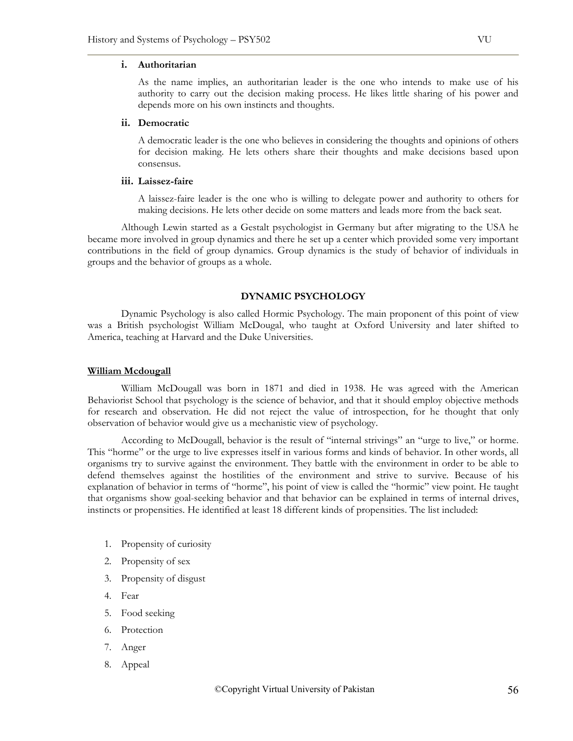#### **i. Authoritarian**

As the name implies, an authoritarian leader is the one who intends to make use of his authority to carry out the decision making process. He likes little sharing of his power and depends more on his own instincts and thoughts.

## **ii. Democratic**

A democratic leader is the one who believes in considering the thoughts and opinions of others for decision making. He lets others share their thoughts and make decisions based upon consensus.

#### **iii. Laissez-faire**

A laissez-faire leader is the one who is willing to delegate power and authority to others for making decisions. He lets other decide on some matters and leads more from the back seat.

Although Lewin started as a Gestalt psychologist in Germany but after migrating to the USA he became more involved in group dynamics and there he set up a center which provided some very important contributions in the field of group dynamics. Group dynamics is the study of behavior of individuals in groups and the behavior of groups as a whole.

#### **DYNAMIC PSYCHOLOGY**

Dynamic Psychology is also called Hormic Psychology. The main proponent of this point of view was a British psychologist William McDougal, who taught at Oxford University and later shifted to America, teaching at Harvard and the Duke Universities.

#### **William Mcdougall**

William McDougall was born in 1871 and died in 1938. He was agreed with the American Behaviorist School that psychology is the science of behavior, and that it should employ objective methods for research and observation. He did not reject the value of introspection, for he thought that only observation of behavior would give us a mechanistic view of psychology.

According to McDougall, behavior is the result of "internal strivings" an "urge to live," or horme. This "horme" or the urge to live expresses itself in various forms and kinds of behavior. In other words, all organisms try to survive against the environment. They battle with the environment in order to be able to defend themselves against the hostilities of the environment and strive to survive. Because of his explanation of behavior in terms of "horme", his point of view is called the "hormic" view point. He taught that organisms show goal-seeking behavior and that behavior can be explained in terms of internal drives, instincts or propensities. He identified at least 18 different kinds of propensities. The list included:

- 1. Propensity of curiosity
- 2. Propensity of sex
- 3. Propensity of disgust
- 4. Fear
- 5. Food seeking
- 6. Protection
- 7. Anger
- 8. Appeal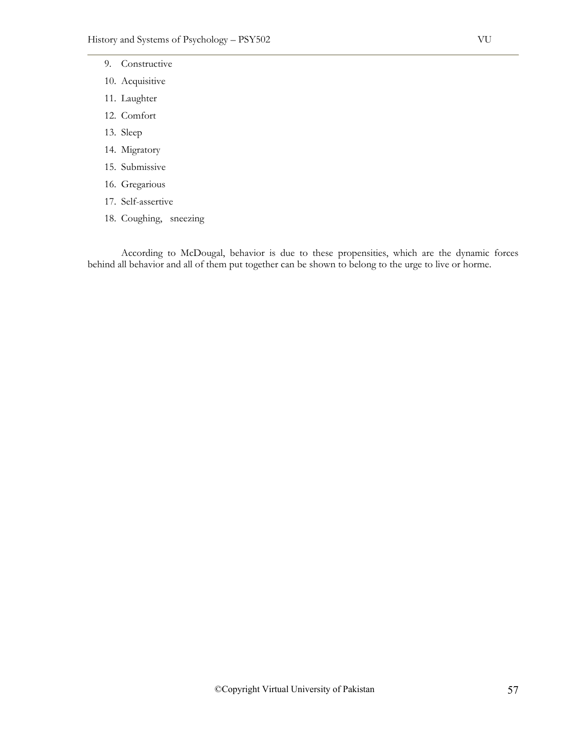- 9. Constructive
- 10. Acquisitive
- 11. Laughter
- 12. Comfort
- 13. Sleep
- 14. Migratory
- 15. Submissive
- 16. Gregarious
- 17. Self-assertive
- 18. Coughing, sneezing

According to McDougal, behavior is due to these propensities, which are the dynamic forces behind all behavior and all of them put together can be shown to belong to the urge to live or horme.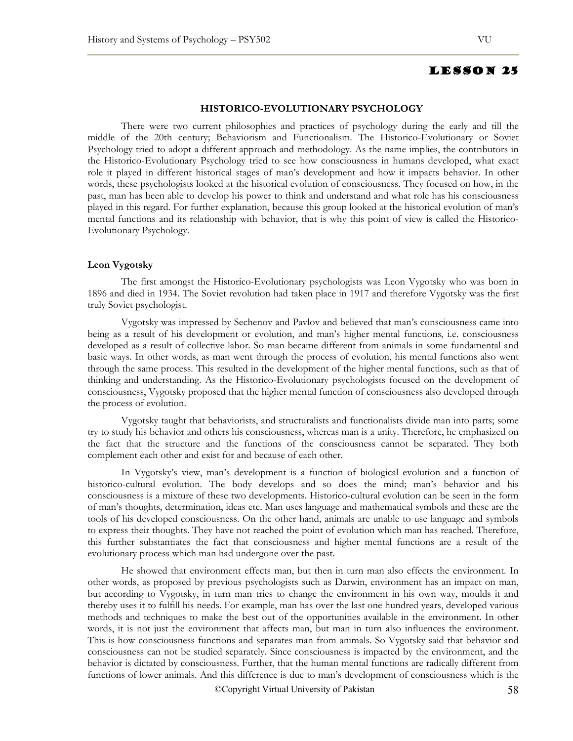#### **HISTORICO-EVOLUTIONARY PSYCHOLOGY**

There were two current philosophies and practices of psychology during the early and till the middle of the 20th century; Behaviorism and Functionalism. The Historico-Evolutionary or Soviet Psychology tried to adopt a different approach and methodology. As the name implies, the contributors in the Historico-Evolutionary Psychology tried to see how consciousness in humans developed, what exact role it played in different historical stages of man's development and how it impacts behavior. In other words, these psychologists looked at the historical evolution of consciousness. They focused on how, in the past, man has been able to develop his power to think and understand and what role has his consciousness played in this regard. For further explanation, because this group looked at the historical evolution of man's mental functions and its relationship with behavior, that is why this point of view is called the Historico-Evolutionary Psychology.

#### **Leon Vygotsky**

The first amongst the Historico-Evolutionary psychologists was Leon Vygotsky who was born in 1896 and died in 1934. The Soviet revolution had taken place in 1917 and therefore Vygotsky was the first truly Soviet psychologist.

Vygotsky was impressed by Sechenov and Pavlov and believed that man's consciousness came into being as a result of his development or evolution, and man's higher mental functions, i.e. consciousness developed as a result of collective labor. So man became different from animals in some fundamental and basic ways. In other words, as man went through the process of evolution, his mental functions also went through the same process. This resulted in the development of the higher mental functions, such as that of thinking and understanding. As the Historico-Evolutionary psychologists focused on the development of consciousness, Vygotsky proposed that the higher mental function of consciousness also developed through the process of evolution.

Vygotsky taught that behaviorists, and structuralists and functionalists divide man into parts; some try to study his behavior and others his consciousness, whereas man is a unity. Therefore, he emphasized on the fact that the structure and the functions of the consciousness cannot be separated. They both complement each other and exist for and because of each other.

In Vygotsky's view, man's development is a function of biological evolution and a function of historico-cultural evolution. The body develops and so does the mind; man's behavior and his consciousness is a mixture of these two developments. Historico-cultural evolution can be seen in the form of man's thoughts, determination, ideas etc. Man uses language and mathematical symbols and these are the tools of his developed consciousness. On the other hand, animals are unable to use language and symbols to express their thoughts. They have not reached the point of evolution which man has reached. Therefore, this further substantiates the fact that consciousness and higher mental functions are a result of the evolutionary process which man had undergone over the past.

He showed that environment effects man, but then in turn man also effects the environment. In other words, as proposed by previous psychologists such as Darwin, environment has an impact on man, but according to Vygotsky, in turn man tries to change the environment in his own way, moulds it and thereby uses it to fulfill his needs. For example, man has over the last one hundred years, developed various methods and techniques to make the best out of the opportunities available in the environment. In other words, it is not just the environment that affects man, but man in turn also influences the environment. This is how consciousness functions and separates man from animals. So Vygotsky said that behavior and consciousness can not be studied separately. Since consciousness is impacted by the environment, and the behavior is dictated by consciousness. Further, that the human mental functions are radically different from functions of lower animals. And this difference is due to man's development of consciousness which is the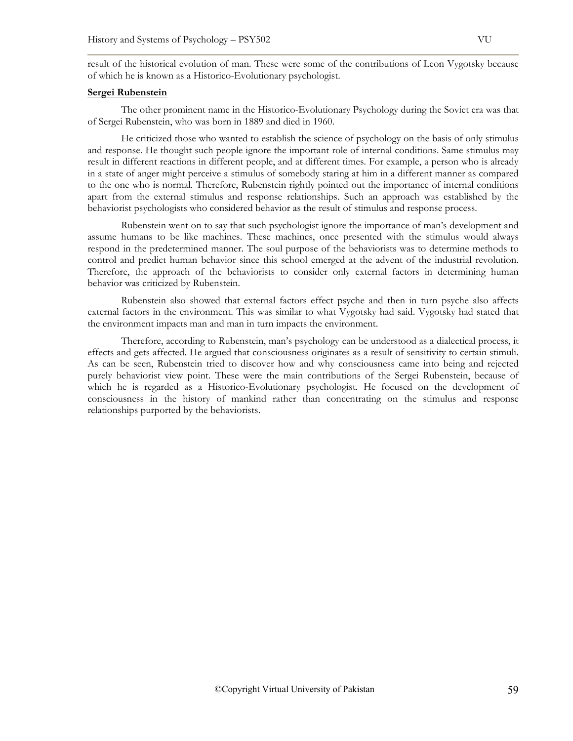result of the historical evolution of man. These were some of the contributions of Leon Vygotsky because of which he is known as a Historico-Evolutionary psychologist.

#### **Sergei Rubenstein**

The other prominent name in the Historico-Evolutionary Psychology during the Soviet era was that of Sergei Rubenstein, who was born in 1889 and died in 1960.

He criticized those who wanted to establish the science of psychology on the basis of only stimulus and response. He thought such people ignore the important role of internal conditions. Same stimulus may result in different reactions in different people, and at different times. For example, a person who is already in a state of anger might perceive a stimulus of somebody staring at him in a different manner as compared to the one who is normal. Therefore, Rubenstein rightly pointed out the importance of internal conditions apart from the external stimulus and response relationships. Such an approach was established by the behaviorist psychologists who considered behavior as the result of stimulus and response process.

Rubenstein went on to say that such psychologist ignore the importance of man's development and assume humans to be like machines. These machines, once presented with the stimulus would always respond in the predetermined manner. The soul purpose of the behaviorists was to determine methods to control and predict human behavior since this school emerged at the advent of the industrial revolution. Therefore, the approach of the behaviorists to consider only external factors in determining human behavior was criticized by Rubenstein.

Rubenstein also showed that external factors effect psyche and then in turn psyche also affects external factors in the environment. This was similar to what Vygotsky had said. Vygotsky had stated that the environment impacts man and man in turn impacts the environment.

Therefore, according to Rubenstein, man's psychology can be understood as a dialectical process, it effects and gets affected. He argued that consciousness originates as a result of sensitivity to certain stimuli. As can be seen, Rubenstein tried to discover how and why consciousness came into being and rejected purely behaviorist view point. These were the main contributions of the Sergei Rubenstein, because of which he is regarded as a Historico-Evolutionary psychologist. He focused on the development of consciousness in the history of mankind rather than concentrating on the stimulus and response relationships purported by the behaviorists.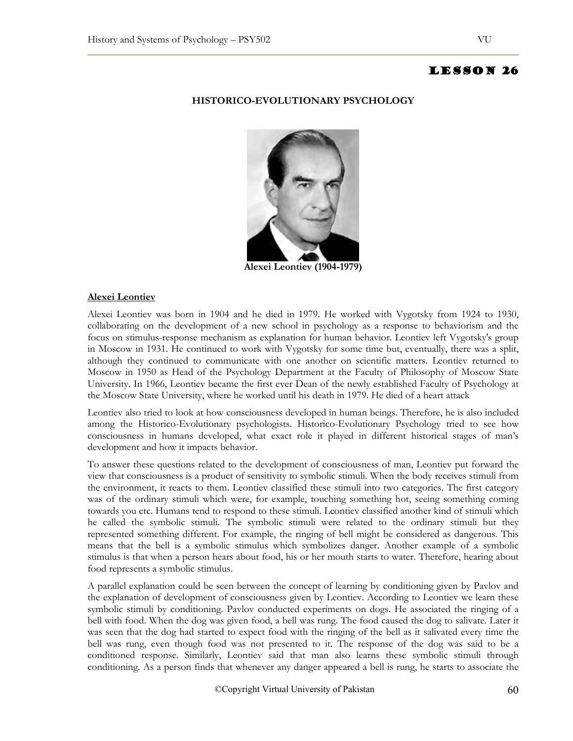## **HISTORICO-EVOLUTIONARY PSYCHOLOGY**



**Alexei Leontiev (1904-1979)** 

#### **Alexei Leontiev**

Alexei Leontiev was born in 1904 and he died in 1979. He worked with Vygotsky from 1924 to 1930, collaborating on the development of a new school in psychology as a response to behaviorism and the focus on stimulus-response mechanism as explanation for human behavior. Leontiev left Vygotsky's group in Moscow in 1931. He continued to work with Vygotsky for some time but, eventually, there was a split, although they continued to communicate with one another on scientific matters. Leontiev returned to Moscow in 1950 as Head of the Psychology Department at the Faculty of Philosophy of Moscow State University. In 1966, Leontiev became the first ever Dean of the newly established Faculty of Psychology at the Moscow State University, where he worked until his death in 1979. He died of a heart attack

Leontiev also tried to look at how consciousness developed in human beings. Therefore, he is also included among the Historico-Evolutionary psychologists. Historico-Evolutionary Psychology tried to see how consciousness in humans developed, what exact role it played in different historical stages of man's development and how it impacts behavior.

To answer these questions related to the development of consciousness of man, Leontiev put forward the view that consciousness is a product of sensitivity to symbolic stimuli. When the body receives stimuli from the environment, it reacts to them. Leontiev classified these stimuli into two categories. The first category was of the ordinary stimuli which were, for example, touching something hot, seeing something coming towards you etc. Humans tend to respond to these stimuli. Leontiev classified another kind of stimuli which he called the symbolic stimuli. The symbolic stimuli were related to the ordinary stimuli but they represented something different. For example, the ringing of bell might be considered as dangerous. This means that the bell is a symbolic stimulus which symbolizes danger. Another example of a symbolic stimulus is that when a person hears about food, his or her mouth starts to water. Therefore, hearing about food represents a symbolic stimulus.

A parallel explanation could be seen between the concept of learning by conditioning given by Pavlov and the explanation of development of consciousness given by Leontiev. According to Leontiev we learn these symbolic stimuli by conditioning. Pavlov conducted experiments on dogs. He associated the ringing of a bell with food. When the dog was given food, a bell was rung. The food caused the dog to salivate. Later it was seen that the dog had started to expect food with the ringing of the bell as it salivated every time the bell was rung, even though food was not presented to it. The response of the dog was said to be a conditioned response. Similarly, Leontiev said that man also learns these symbolic stimuli through conditioning. As a person finds that whenever any danger appeared a bell is rung, he starts to associate the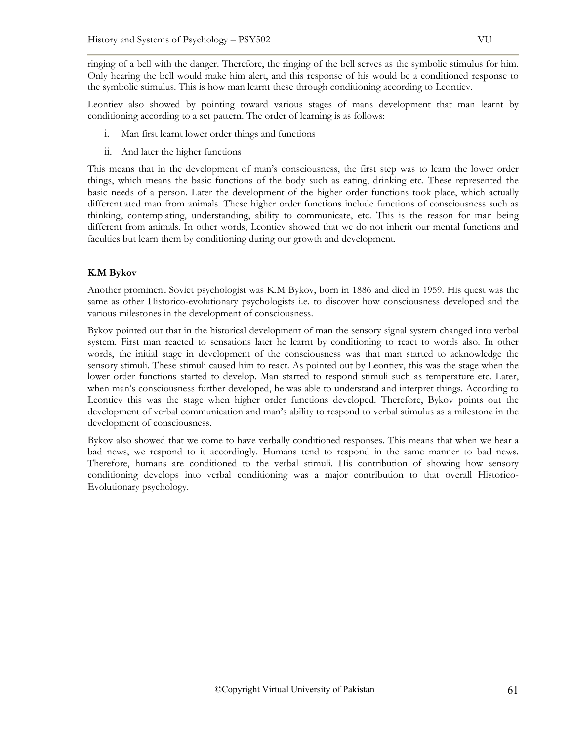ringing of a bell with the danger. Therefore, the ringing of the bell serves as the symbolic stimulus for him. Only hearing the bell would make him alert, and this response of his would be a conditioned response to the symbolic stimulus. This is how man learnt these through conditioning according to Leontiev.

Leontiev also showed by pointing toward various stages of mans development that man learnt by conditioning according to a set pattern. The order of learning is as follows:

- i. Man first learnt lower order things and functions
- ii. And later the higher functions

This means that in the development of man's consciousness, the first step was to learn the lower order things, which means the basic functions of the body such as eating, drinking etc. These represented the basic needs of a person. Later the development of the higher order functions took place, which actually differentiated man from animals. These higher order functions include functions of consciousness such as thinking, contemplating, understanding, ability to communicate, etc. This is the reason for man being different from animals. In other words, Leontiev showed that we do not inherit our mental functions and faculties but learn them by conditioning during our growth and development.

# **K.M Bykov**

Another prominent Soviet psychologist was K.M Bykov, born in 1886 and died in 1959. His quest was the same as other Historico-evolutionary psychologists i.e. to discover how consciousness developed and the various milestones in the development of consciousness.

Bykov pointed out that in the historical development of man the sensory signal system changed into verbal system. First man reacted to sensations later he learnt by conditioning to react to words also. In other words, the initial stage in development of the consciousness was that man started to acknowledge the sensory stimuli. These stimuli caused him to react. As pointed out by Leontiev, this was the stage when the lower order functions started to develop. Man started to respond stimuli such as temperature etc. Later, when man's consciousness further developed, he was able to understand and interpret things. According to Leontiev this was the stage when higher order functions developed. Therefore, Bykov points out the development of verbal communication and man's ability to respond to verbal stimulus as a milestone in the development of consciousness.

Bykov also showed that we come to have verbally conditioned responses. This means that when we hear a bad news, we respond to it accordingly. Humans tend to respond in the same manner to bad news. Therefore, humans are conditioned to the verbal stimuli. His contribution of showing how sensory conditioning develops into verbal conditioning was a major contribution to that overall Historico-Evolutionary psychology.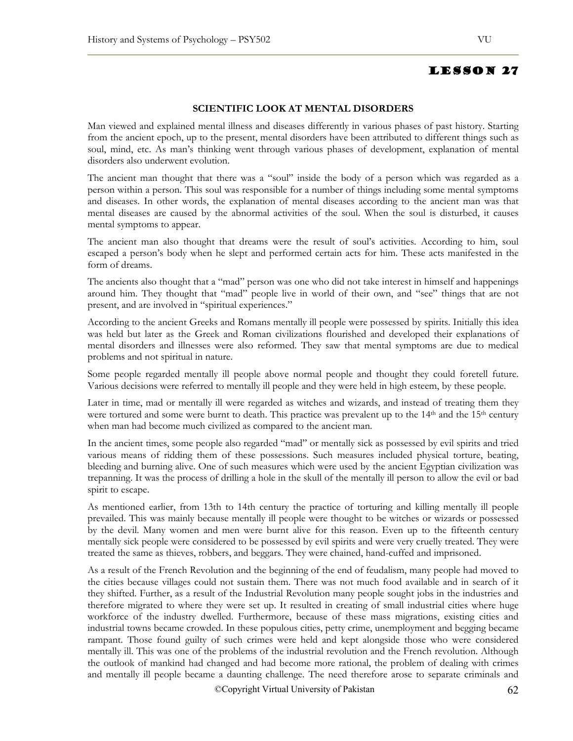# **SCIENTIFIC LOOK AT MENTAL DISORDERS**

Man viewed and explained mental illness and diseases differently in various phases of past history. Starting from the ancient epoch, up to the present, mental disorders have been attributed to different things such as soul, mind, etc. As man's thinking went through various phases of development, explanation of mental disorders also underwent evolution.

The ancient man thought that there was a "soul" inside the body of a person which was regarded as a person within a person. This soul was responsible for a number of things including some mental symptoms and diseases. In other words, the explanation of mental diseases according to the ancient man was that mental diseases are caused by the abnormal activities of the soul. When the soul is disturbed, it causes mental symptoms to appear.

The ancient man also thought that dreams were the result of soul's activities. According to him, soul escaped a person's body when he slept and performed certain acts for him. These acts manifested in the form of dreams.

The ancients also thought that a "mad" person was one who did not take interest in himself and happenings around him. They thought that "mad" people live in world of their own, and "see" things that are not present, and are involved in "spiritual experiences."

According to the ancient Greeks and Romans mentally ill people were possessed by spirits. Initially this idea was held but later as the Greek and Roman civilizations flourished and developed their explanations of mental disorders and illnesses were also reformed. They saw that mental symptoms are due to medical problems and not spiritual in nature.

Some people regarded mentally ill people above normal people and thought they could foretell future. Various decisions were referred to mentally ill people and they were held in high esteem, by these people.

Later in time, mad or mentally ill were regarded as witches and wizards, and instead of treating them they were tortured and some were burnt to death. This practice was prevalent up to the 14<sup>th</sup> and the 15<sup>th</sup> century when man had become much civilized as compared to the ancient man.

In the ancient times, some people also regarded "mad" or mentally sick as possessed by evil spirits and tried various means of ridding them of these possessions. Such measures included physical torture, beating, bleeding and burning alive. One of such measures which were used by the ancient Egyptian civilization was trepanning. It was the process of drilling a hole in the skull of the mentally ill person to allow the evil or bad spirit to escape.

As mentioned earlier, from 13th to 14th century the practice of torturing and killing mentally ill people prevailed. This was mainly because mentally ill people were thought to be witches or wizards or possessed by the devil. Many women and men were burnt alive for this reason. Even up to the fifteenth century mentally sick people were considered to be possessed by evil spirits and were very cruelly treated. They were treated the same as thieves, robbers, and beggars. They were chained, hand-cuffed and imprisoned.

As a result of the French Revolution and the beginning of the end of feudalism, many people had moved to the cities because villages could not sustain them. There was not much food available and in search of it they shifted. Further, as a result of the Industrial Revolution many people sought jobs in the industries and therefore migrated to where they were set up. It resulted in creating of small industrial cities where huge workforce of the industry dwelled. Furthermore, because of these mass migrations, existing cities and industrial towns became crowded. In these populous cities, petty crime, unemployment and begging became rampant. Those found guilty of such crimes were held and kept alongside those who were considered mentally ill. This was one of the problems of the industrial revolution and the French revolution. Although the outlook of mankind had changed and had become more rational, the problem of dealing with crimes and mentally ill people became a daunting challenge. The need therefore arose to separate criminals and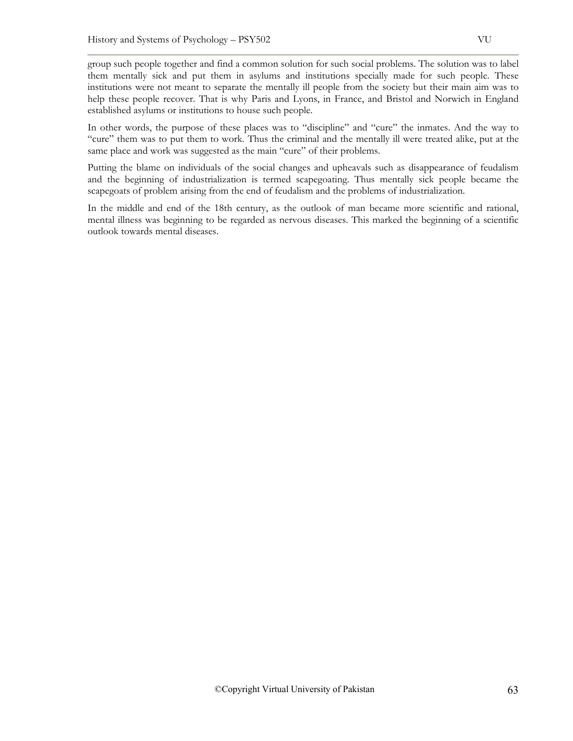group such people together and find a common solution for such social problems. The solution was to label them mentally sick and put them in asylums and institutions specially made for such people. These institutions were not meant to separate the mentally ill people from the society but their main aim was to help these people recover. That is why Paris and Lyons, in France, and Bristol and Norwich in England established asylums or institutions to house such people.

In other words, the purpose of these places was to "discipline" and "cure" the inmates. And the way to "cure" them was to put them to work. Thus the criminal and the mentally ill were treated alike, put at the same place and work was suggested as the main "cure" of their problems.

Putting the blame on individuals of the social changes and upheavals such as disappearance of feudalism and the beginning of industrialization is termed scapegoating. Thus mentally sick people became the scapegoats of problem arising from the end of feudalism and the problems of industrialization.

In the middle and end of the 18th century, as the outlook of man became more scientific and rational, mental illness was beginning to be regarded as nervous diseases. This marked the beginning of a scientific outlook towards mental diseases.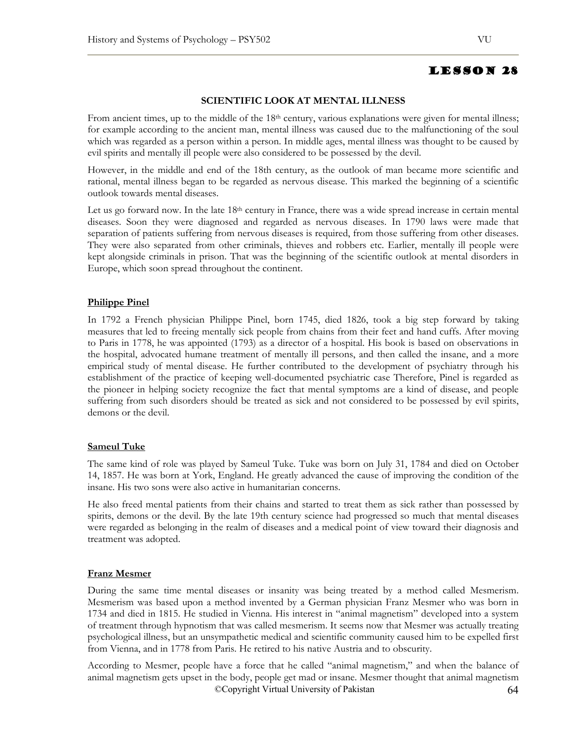## **SCIENTIFIC LOOK AT MENTAL ILLNESS**

From ancient times, up to the middle of the  $18<sup>th</sup>$  century, various explanations were given for mental illness; for example according to the ancient man, mental illness was caused due to the malfunctioning of the soul which was regarded as a person within a person. In middle ages, mental illness was thought to be caused by evil spirits and mentally ill people were also considered to be possessed by the devil.

However, in the middle and end of the 18th century, as the outlook of man became more scientific and rational, mental illness began to be regarded as nervous disease. This marked the beginning of a scientific outlook towards mental diseases.

Let us go forward now. In the late  $18<sup>th</sup>$  century in France, there was a wide spread increase in certain mental diseases. Soon they were diagnosed and regarded as nervous diseases. In 1790 laws were made that separation of patients suffering from nervous diseases is required, from those suffering from other diseases. They were also separated from other criminals, thieves and robbers etc. Earlier, mentally ill people were kept alongside criminals in prison. That was the beginning of the scientific outlook at mental disorders in Europe, which soon spread throughout the continent.

## **Philippe Pinel**

In 1792 a French physician Philippe Pinel, born 1745, died 1826, took a big step forward by taking measures that led to freeing mentally sick people from chains from their feet and hand cuffs. After moving to Paris in 1778, he was appointed (1793) as a director of a hospital. His book is based on observations in the hospital, advocated humane treatment of mentally ill persons, and then called the insane, and a more empirical study of mental disease. He further contributed to the development of psychiatry through his establishment of the practice of keeping well-documented psychiatric case Therefore, Pinel is regarded as the pioneer in helping society recognize the fact that mental symptoms are a kind of disease, and people suffering from such disorders should be treated as sick and not considered to be possessed by evil spirits, demons or the devil.

#### **Sameul Tuke**

The same kind of role was played by Sameul Tuke. Tuke was born on July 31, 1784 and died on October 14, 1857. He was born at York, England. He greatly advanced the cause of improving the condition of the insane. His two sons were also active in humanitarian concerns.

He also freed mental patients from their chains and started to treat them as sick rather than possessed by spirits, demons or the devil. By the late 19th century science had progressed so much that mental diseases were regarded as belonging in the realm of diseases and a medical point of view toward their diagnosis and treatment was adopted.

## **Franz Mesmer**

During the same time mental diseases or insanity was being treated by a method called Mesmerism. Mesmerism was based upon a method invented by a German physician Franz Mesmer who was born in 1734 and died in 1815. He studied in Vienna. His interest in "animal magnetism" developed into a system of treatment through hypnotism that was called mesmerism. It seems now that Mesmer was actually treating psychological illness, but an unsympathetic medical and scientific community caused him to be expelled first from Vienna, and in 1778 from Paris. He retired to his native Austria and to obscurity.

©Copyright Virtual University of Pakistan 64 According to Mesmer, people have a force that he called "animal magnetism," and when the balance of animal magnetism gets upset in the body, people get mad or insane. Mesmer thought that animal magnetism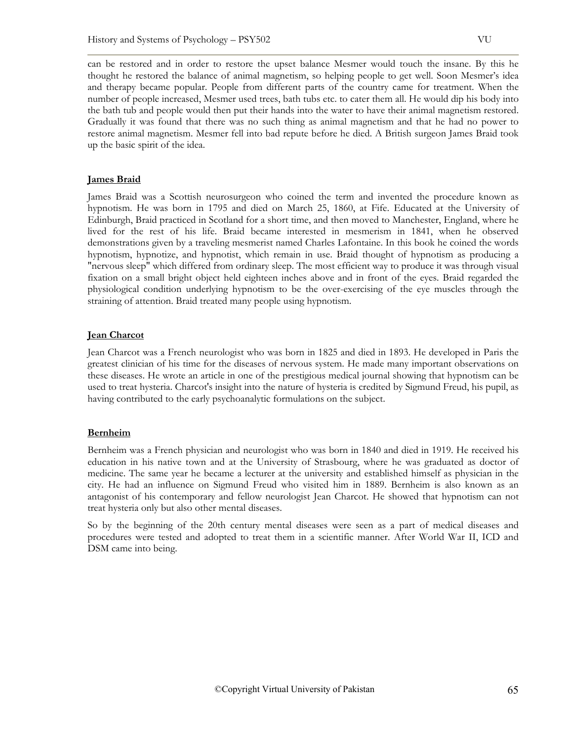can be restored and in order to restore the upset balance Mesmer would touch the insane. By this he thought he restored the balance of animal magnetism, so helping people to get well. Soon Mesmer's idea and therapy became popular. People from different parts of the country came for treatment. When the number of people increased, Mesmer used trees, bath tubs etc. to cater them all. He would dip his body into the bath tub and people would then put their hands into the water to have their animal magnetism restored. Gradually it was found that there was no such thing as animal magnetism and that he had no power to restore animal magnetism. Mesmer fell into bad repute before he died. A British surgeon James Braid took up the basic spirit of the idea.

# **James Braid**

James Braid was a Scottish neurosurgeon who coined the term and invented the procedure known as hypnotism. He was born in 1795 and died on March 25, 1860, at Fife. Educated at the University of Edinburgh, Braid practiced in Scotland for a short time, and then moved to Manchester, England, where he lived for the rest of his life. Braid became interested in mesmerism in 1841, when he observed demonstrations given by a traveling mesmerist named Charles Lafontaine. In this book he coined the words hypnotism, hypnotize, and hypnotist, which remain in use. Braid thought of hypnotism as producing a "nervous sleep" which differed from ordinary sleep. The most efficient way to produce it was through visual fixation on a small bright object held eighteen inches above and in front of the eyes. Braid regarded the physiological condition underlying hypnotism to be the over-exercising of the eye muscles through the straining of attention. Braid treated many people using hypnotism.

# **Jean Charcot**

Jean Charcot was a French neurologist who was born in 1825 and died in 1893. He developed in Paris the greatest clinician of his time for the diseases of nervous system. He made many important observations on these diseases. He wrote an article in one of the prestigious medical journal showing that hypnotism can be used to treat hysteria. Charcot's insight into the nature of hysteria is credited by Sigmund Freud, his pupil, as having contributed to the early psychoanalytic formulations on the subject.

# **Bernheim**

Bernheim was a French physician and neurologist who was born in 1840 and died in 1919. He received his education in his native town and at the University of Strasbourg, where he was graduated as doctor of medicine. The same year he became a lecturer at the university and established himself as physician in the city. He had an influence on Sigmund Freud who visited him in 1889. Bernheim is also known as an antagonist of his contemporary and fellow neurologist Jean Charcot. He showed that hypnotism can not treat hysteria only but also other mental diseases.

So by the beginning of the 20th century mental diseases were seen as a part of medical diseases and procedures were tested and adopted to treat them in a scientific manner. After World War II, ICD and DSM came into being.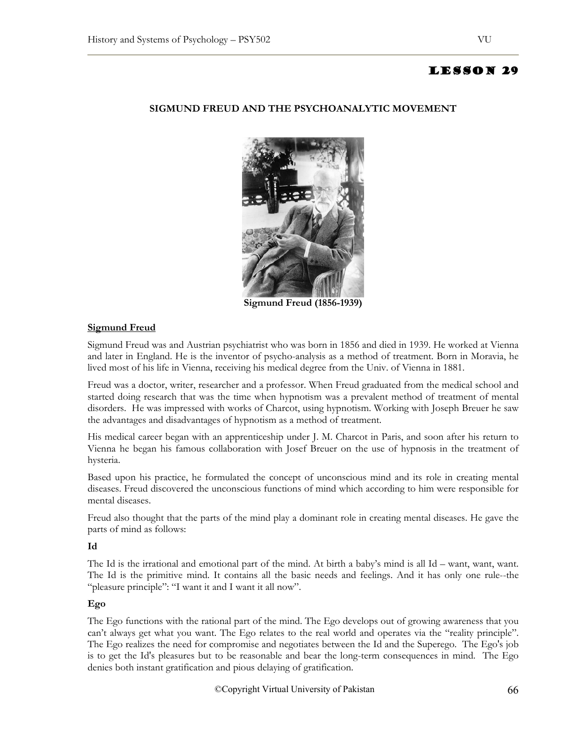# **SIGMUND FREUD AND THE PSYCHOANALYTIC MOVEMENT**



**Sigmund Freud (1856-1939)** 

# **Sigmund Freud**

Sigmund Freud was and Austrian psychiatrist who was born in 1856 and died in 1939. He worked at Vienna and later in England. He is the inventor of psycho-analysis as a method of treatment. Born in Moravia, he lived most of his life in Vienna, receiving his medical degree from the Univ. of Vienna in 1881.

Freud was a doctor, writer, researcher and a professor. When Freud graduated from the medical school and started doing research that was the time when hypnotism was a prevalent method of treatment of mental disorders. He was impressed with works of Charcot, using hypnotism. Working with Joseph Breuer he saw the advantages and disadvantages of hypnotism as a method of treatment.

His medical career began with an apprenticeship under J. M. Charcot in Paris, and soon after his return to Vienna he began his famous collaboration with Josef Breuer on the use of hypnosis in the treatment of hysteria.

Based upon his practice, he formulated the concept of unconscious mind and its role in creating mental diseases. Freud discovered the unconscious functions of mind which according to him were responsible for mental diseases.

Freud also thought that the parts of the mind play a dominant role in creating mental diseases. He gave the parts of mind as follows:

## **Id**

The Id is the irrational and emotional part of the mind. At birth a baby's mind is all Id – want, want, want. The Id is the primitive mind. It contains all the basic needs and feelings. And it has only one rule--the "pleasure principle": "I want it and I want it all now".

## **Ego**

The Ego functions with the rational part of the mind. The Ego develops out of growing awareness that you can't always get what you want. The Ego relates to the real world and operates via the "reality principle". The Ego realizes the need for compromise and negotiates between the Id and the Superego. The Ego's job is to get the Id's pleasures but to be reasonable and bear the long-term consequences in mind. The Ego denies both instant gratification and pious delaying of gratification.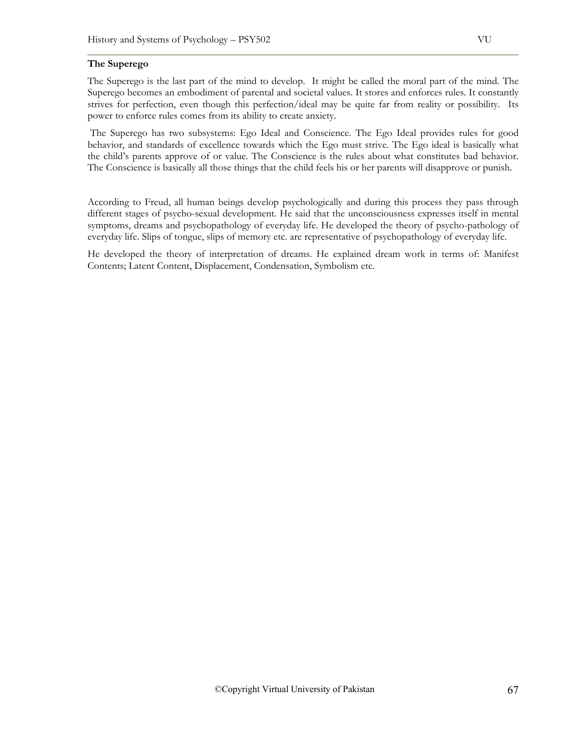## **The Superego**

The Superego is the last part of the mind to develop. It might be called the moral part of the mind. The Superego becomes an embodiment of parental and societal values. It stores and enforces rules. It constantly strives for perfection, even though this perfection/ideal may be quite far from reality or possibility. Its power to enforce rules comes from its ability to create anxiety.

 The Superego has two subsystems: Ego Ideal and Conscience. The Ego Ideal provides rules for good behavior, and standards of excellence towards which the Ego must strive. The Ego ideal is basically what the child's parents approve of or value. The Conscience is the rules about what constitutes bad behavior. The Conscience is basically all those things that the child feels his or her parents will disapprove or punish.

According to Freud, all human beings develop psychologically and during this process they pass through different stages of psycho-sexual development. He said that the unconsciousness expresses itself in mental symptoms, dreams and psychopathology of everyday life. He developed the theory of psycho-pathology of everyday life. Slips of tongue, slips of memory etc. are representative of psychopathology of everyday life.

He developed the theory of interpretation of dreams. He explained dream work in terms of: Manifest Contents; Latent Content, Displacement, Condensation, Symbolism etc.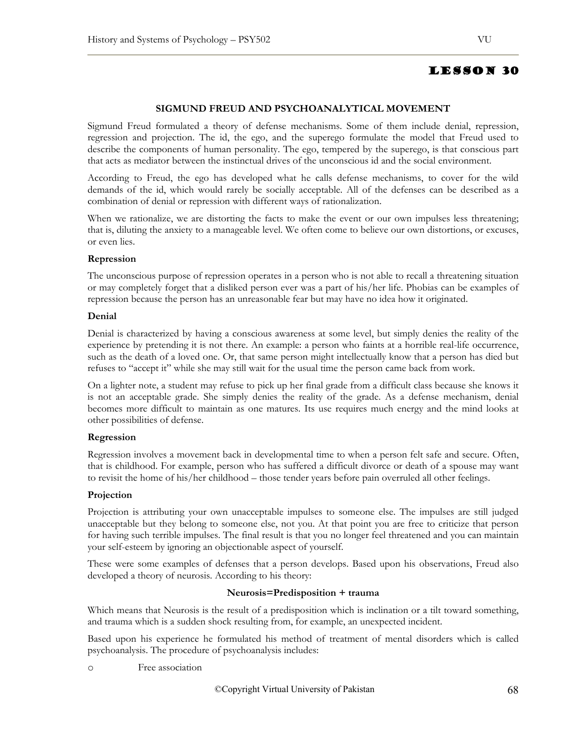## **SIGMUND FREUD AND PSYCHOANALYTICAL MOVEMENT**

Sigmund Freud formulated a theory of defense mechanisms. Some of them include denial, repression, regression and projection. The id, the ego, and the superego formulate the model that Freud used to describe the components of human personality. The ego, tempered by the superego, is that conscious part that acts as mediator between the instinctual drives of the unconscious id and the social environment.

According to Freud, the ego has developed what he calls defense mechanisms, to cover for the wild demands of the id, which would rarely be socially acceptable. All of the defenses can be described as a combination of denial or repression with different ways of rationalization.

When we rationalize, we are distorting the facts to make the event or our own impulses less threatening; that is, diluting the anxiety to a manageable level. We often come to believe our own distortions, or excuses, or even lies.

#### **Repression**

The unconscious purpose of repression operates in a person who is not able to recall a threatening situation or may completely forget that a disliked person ever was a part of his/her life. Phobias can be examples of repression because the person has an unreasonable fear but may have no idea how it originated.

#### **Denial**

Denial is characterized by having a conscious awareness at some level, but simply denies the reality of the experience by pretending it is not there. An example: a person who faints at a horrible real-life occurrence, such as the death of a loved one. Or, that same person might intellectually know that a person has died but refuses to "accept it" while she may still wait for the usual time the person came back from work.

On a lighter note, a student may refuse to pick up her final grade from a difficult class because she knows it is not an acceptable grade. She simply denies the reality of the grade. As a defense mechanism, denial becomes more difficult to maintain as one matures. Its use requires much energy and the mind looks at other possibilities of defense.

## **Regression**

Regression involves a movement back in developmental time to when a person felt safe and secure. Often, that is childhood. For example, person who has suffered a difficult divorce or death of a spouse may want to revisit the home of his/her childhood – those tender years before pain overruled all other feelings.

## **Projection**

Projection is attributing your own unacceptable impulses to someone else. The impulses are still judged unacceptable but they belong to someone else, not you. At that point you are free to criticize that person for having such terrible impulses. The final result is that you no longer feel threatened and you can maintain your self-esteem by ignoring an objectionable aspect of yourself.

These were some examples of defenses that a person develops. Based upon his observations, Freud also developed a theory of neurosis. According to his theory:

#### **Neurosis=Predisposition + trauma**

Which means that Neurosis is the result of a predisposition which is inclination or a tilt toward something, and trauma which is a sudden shock resulting from, for example, an unexpected incident.

Based upon his experience he formulated his method of treatment of mental disorders which is called psychoanalysis. The procedure of psychoanalysis includes:

o Free association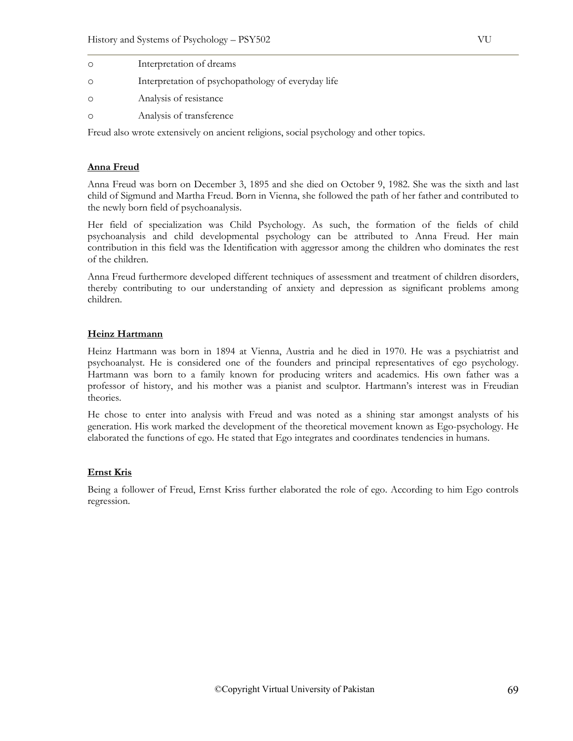| Interpretation of dreams                           |
|----------------------------------------------------|
| Interpretation of psychopathology of everyday life |
| Analysis of resistance                             |
| Analysis of transference                           |

Freud also wrote extensively on ancient religions, social psychology and other topics.

# **Anna Freud**

Anna Freud was born on December 3, 1895 and she died on October 9, 1982. She was the sixth and last child of Sigmund and Martha Freud. Born in Vienna, she followed the path of her father and contributed to the newly born field of psychoanalysis.

Her field of specialization was Child Psychology. As such, the formation of the fields of child psychoanalysis and child developmental psychology can be attributed to Anna Freud. Her main contribution in this field was the Identification with aggressor among the children who dominates the rest of the children.

Anna Freud furthermore developed different techniques of assessment and treatment of children disorders, thereby contributing to our understanding of anxiety and depression as significant problems among children.

# **Heinz Hartmann**

Heinz Hartmann was born in 1894 at Vienna, Austria and he died in 1970. He was a psychiatrist and psychoanalyst. He is considered one of the founders and principal representatives of ego psychology. Hartmann was born to a family known for producing writers and academics. His own father was a professor of history, and his mother was a pianist and sculptor. Hartmann's interest was in Freudian theories.

He chose to enter into analysis with Freud and was noted as a shining star amongst analysts of his generation. His work marked the development of the theoretical movement known as Ego-psychology. He elaborated the functions of ego. He stated that Ego integrates and coordinates tendencies in humans.

## **Ernst Kris**

Being a follower of Freud, Ernst Kriss further elaborated the role of ego. According to him Ego controls regression.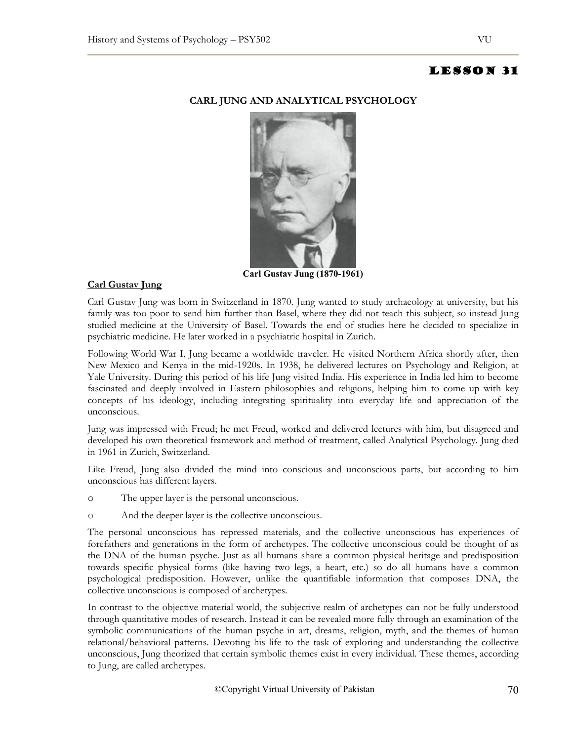

# **CARL JUNG AND ANALYTICAL PSYCHOLOGY**

**Carl Gustav Jung (1870-1961)**

# **Carl Gustav Jung**

Carl Gustav Jung was born in Switzerland in 1870. Jung wanted to study archaeology at university, but his family was too poor to send him further than Basel, where they did not teach this subject, so instead Jung studied medicine at the University of Basel. Towards the end of studies here he decided to specialize in psychiatric medicine. He later worked in a psychiatric hospital in Zurich.

Following World War I, Jung became a worldwide traveler. He visited Northern Africa shortly after, then New Mexico and Kenya in the mid-1920s. In 1938, he delivered lectures on Psychology and Religion, at Yale University. During this period of his life Jung visited India. His experience in India led him to become fascinated and deeply involved in Eastern philosophies and religions, helping him to come up with key concepts of his ideology, including integrating spirituality into everyday life and appreciation of the unconscious.

Jung was impressed with Freud; he met Freud, worked and delivered lectures with him, but disagreed and developed his own theoretical framework and method of treatment, called Analytical Psychology. Jung died in 1961 in Zurich, Switzerland.

Like Freud, Jung also divided the mind into conscious and unconscious parts, but according to him unconscious has different layers.

- o The upper layer is the personal unconscious.
- o And the deeper layer is the collective unconscious.

The personal unconscious has repressed materials, and the collective unconscious has experiences of forefathers and generations in the form of archetypes. The collective unconscious could be thought of as the DNA of the human psyche. Just as all humans share a common physical heritage and predisposition towards specific physical forms (like having two legs, a heart, etc.) so do all humans have a common psychological predisposition. However, unlike the quantifiable information that composes DNA, the collective unconscious is composed of archetypes.

In contrast to the objective material world, the subjective realm of archetypes can not be fully understood through quantitative modes of research. Instead it can be revealed more fully through an examination of the symbolic communications of the human psyche in art, dreams, religion, myth, and the themes of human relational/behavioral patterns. Devoting his life to the task of exploring and understanding the collective unconscious, Jung theorized that certain symbolic themes exist in every individual. These themes, according to Jung, are called archetypes.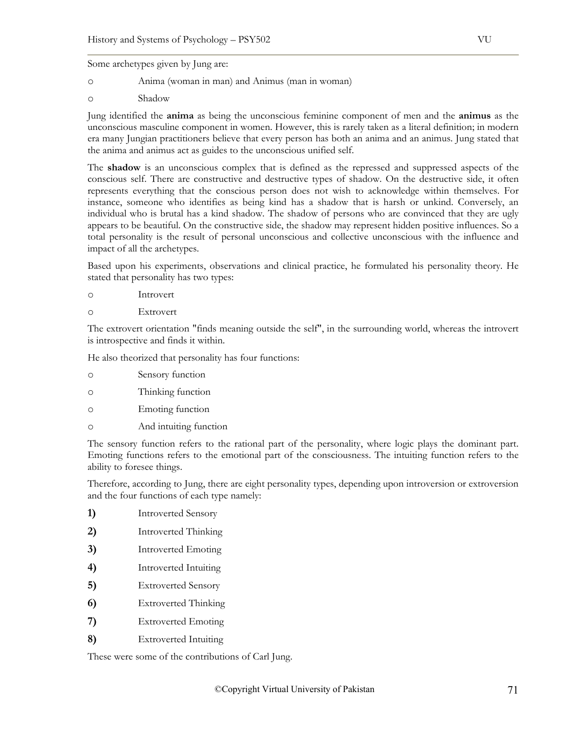Some archetypes given by Jung are:

- o Anima (woman in man) and Animus (man in woman)
- o Shadow

Jung identified the **anima** as being the unconscious feminine component of men and the **animus** as the unconscious masculine component in women. However, this is rarely taken as a literal definition; in modern era many Jungian practitioners believe that every person has both an anima and an animus. Jung stated that the anima and animus act as guides to the unconscious unified self.

The **shadow** is an unconscious complex that is defined as the repressed and suppressed aspects of the conscious self. There are constructive and destructive types of shadow. On the destructive side, it often represents everything that the conscious person does not wish to acknowledge within themselves. For instance, someone who identifies as being kind has a shadow that is harsh or unkind. Conversely, an individual who is brutal has a kind shadow. The shadow of persons who are convinced that they are ugly appears to be beautiful. On the constructive side, the shadow may represent hidden positive influences. So a total personality is the result of personal unconscious and collective unconscious with the influence and impact of all the archetypes.

Based upon his experiments, observations and clinical practice, he formulated his personality theory. He stated that personality has two types:

- o Introvert
- o Extrovert

The extrovert orientation "finds meaning outside the self", in the surrounding world, whereas the introvert is introspective and finds it within.

He also theorized that personality has four functions:

- o Sensory function
- o Thinking function
- o Emoting function
- o And intuiting function

The sensory function refers to the rational part of the personality, where logic plays the dominant part. Emoting functions refers to the emotional part of the consciousness. The intuiting function refers to the ability to foresee things.

Therefore, according to Jung, there are eight personality types, depending upon introversion or extroversion and the four functions of each type namely:

- **1)** Introverted Sensory
- **2)** Introverted Thinking
- **3)** Introverted Emoting
- **4)** Introverted Intuiting
- **5)** Extroverted Sensory
- **6)** Extroverted Thinking
- **7)** Extroverted Emoting
- **8)** Extroverted Intuiting

These were some of the contributions of Carl Jung.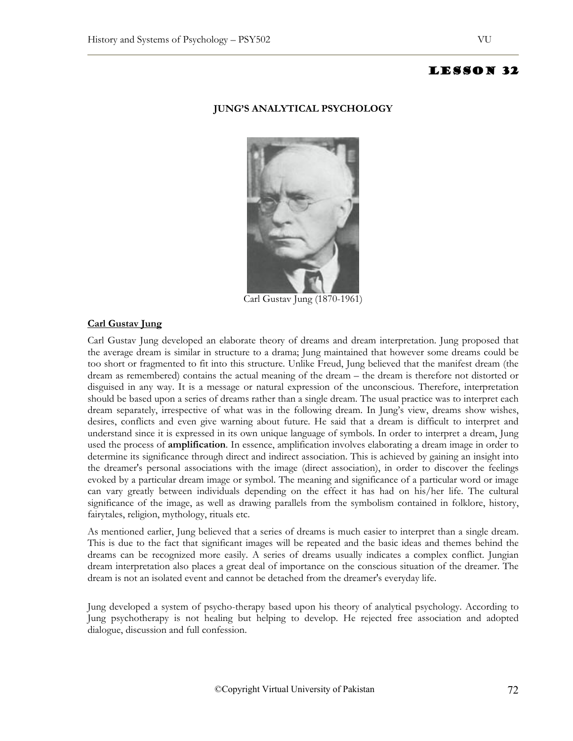## **JUNG'S ANALYTICAL PSYCHOLOGY**



Carl Gustav Jung (1870-1961)

# **Carl Gustav Jung**

Carl Gustav Jung developed an elaborate theory of dreams and dream interpretation. Jung proposed that the average dream is similar in structure to a drama; Jung maintained that however some dreams could be too short or fragmented to fit into this structure. Unlike Freud, Jung believed that the manifest dream (the dream as remembered) contains the actual meaning of the dream – the dream is therefore not distorted or disguised in any way. It is a message or natural expression of the unconscious. Therefore, interpretation should be based upon a series of dreams rather than a single dream. The usual practice was to interpret each dream separately, irrespective of what was in the following dream. In Jung's view, dreams show wishes, desires, conflicts and even give warning about future. He said that a dream is difficult to interpret and understand since it is expressed in its own unique language of symbols. In order to interpret a dream, Jung used the process of **amplification**. In essence, amplification involves elaborating a dream image in order to determine its significance through direct and indirect association. This is achieved by gaining an insight into the dreamer's personal associations with the image (direct association), in order to discover the feelings evoked by a particular dream image or symbol. The meaning and significance of a particular word or image can vary greatly between individuals depending on the effect it has had on his/her life. The cultural significance of the image, as well as drawing parallels from the symbolism contained in folklore, history, fairytales, religion, mythology, rituals etc.

As mentioned earlier, Jung believed that a series of dreams is much easier to interpret than a single dream. This is due to the fact that significant images will be repeated and the basic ideas and themes behind the dreams can be recognized more easily. A series of dreams usually indicates a complex conflict. Jungian dream interpretation also places a great deal of importance on the conscious situation of the dreamer. The dream is not an isolated event and cannot be detached from the dreamer's everyday life.

Jung developed a system of psycho-therapy based upon his theory of analytical psychology. According to Jung psychotherapy is not healing but helping to develop. He rejected free association and adopted dialogue, discussion and full confession.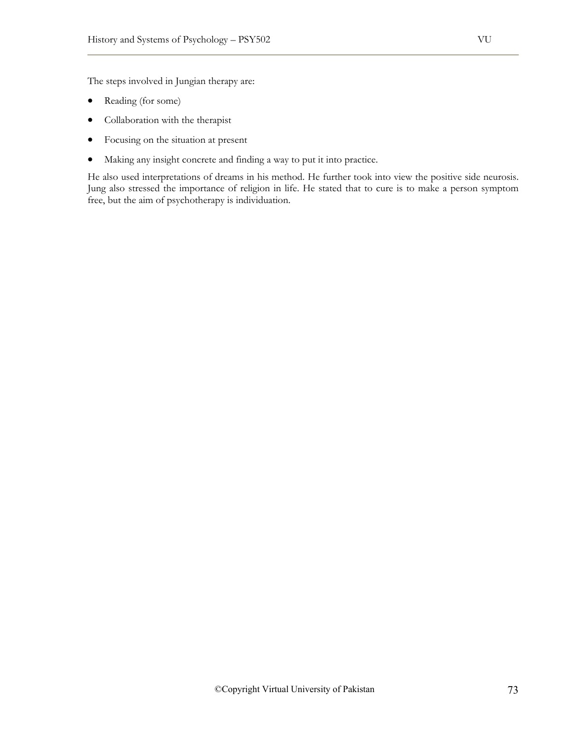The steps involved in Jungian therapy are:

- Reading (for some)
- Collaboration with the therapist
- Focusing on the situation at present
- Making any insight concrete and finding a way to put it into practice.

He also used interpretations of dreams in his method. He further took into view the positive side neurosis. Jung also stressed the importance of religion in life. He stated that to cure is to make a person symptom free, but the aim of psychotherapy is individuation.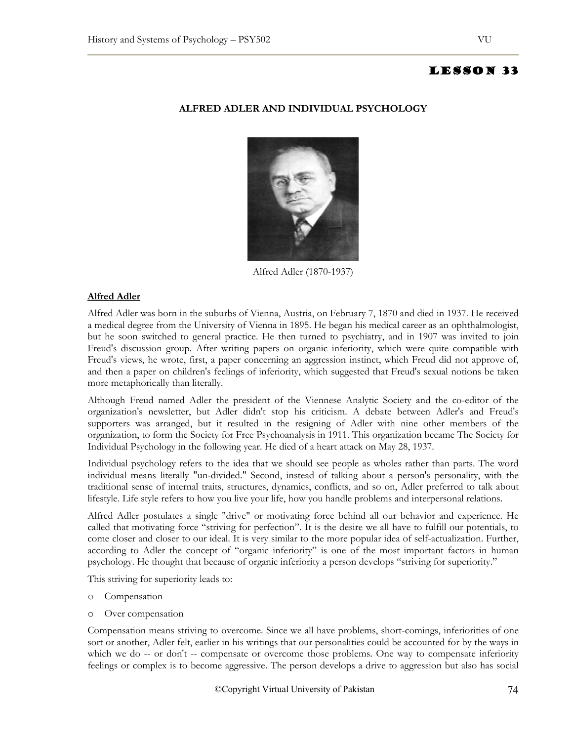# **ALFRED ADLER AND INDIVIDUAL PSYCHOLOGY**



Alfred Adler (1870-1937)

# **Alfred Adler**

Alfred Adler was born in the suburbs of Vienna, Austria, on February 7, 1870 and died in 1937. He received a medical degree from the University of Vienna in 1895. He began his medical career as an ophthalmologist, but he soon switched to general practice. He then turned to psychiatry, and in 1907 was invited to join Freud's discussion group. After writing papers on organic inferiority, which were quite compatible with Freud's views, he wrote, first, a paper concerning an aggression instinct, which Freud did not approve of, and then a paper on children's feelings of inferiority, which suggested that Freud's sexual notions be taken more metaphorically than literally.

Although Freud named Adler the president of the Viennese Analytic Society and the co-editor of the organization's newsletter, but Adler didn't stop his criticism. A debate between Adler's and Freud's supporters was arranged, but it resulted in the resigning of Adler with nine other members of the organization, to form the Society for Free Psychoanalysis in 1911. This organization became The Society for Individual Psychology in the following year. He died of a heart attack on May 28, 1937.

Individual psychology refers to the idea that we should see people as wholes rather than parts. The word individual means literally "un-divided." Second, instead of talking about a person's personality, with the traditional sense of internal traits, structures, dynamics, conflicts, and so on, Adler preferred to talk about lifestyle. Life style refers to how you live your life, how you handle problems and interpersonal relations.

Alfred Adler postulates a single "drive" or motivating force behind all our behavior and experience. He called that motivating force "striving for perfection". It is the desire we all have to fulfill our potentials, to come closer and closer to our ideal. It is very similar to the more popular idea of self-actualization. Further, according to Adler the concept of "organic inferiority" is one of the most important factors in human psychology. He thought that because of organic inferiority a person develops "striving for superiority."

This striving for superiority leads to:

- o Compensation
- o Over compensation

Compensation means striving to overcome. Since we all have problems, short-comings, inferiorities of one sort or another, Adler felt, earlier in his writings that our personalities could be accounted for by the ways in which we do -- or don't -- compensate or overcome those problems. One way to compensate inferiority feelings or complex is to become aggressive. The person develops a drive to aggression but also has social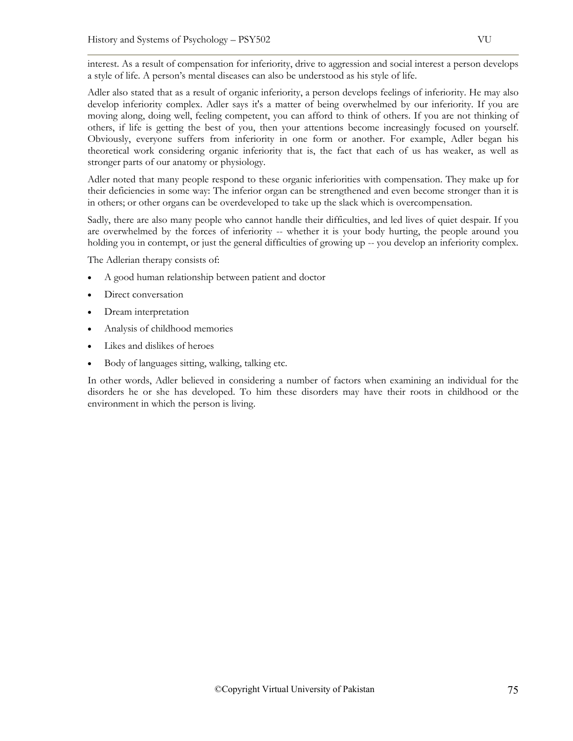interest. As a result of compensation for inferiority, drive to aggression and social interest a person develops a style of life. A person's mental diseases can also be understood as his style of life.

Adler also stated that as a result of organic inferiority, a person develops feelings of inferiority. He may also develop inferiority complex. Adler says it's a matter of being overwhelmed by our inferiority. If you are moving along, doing well, feeling competent, you can afford to think of others. If you are not thinking of others, if life is getting the best of you, then your attentions become increasingly focused on yourself. Obviously, everyone suffers from inferiority in one form or another. For example, Adler began his theoretical work considering organic inferiority that is, the fact that each of us has weaker, as well as stronger parts of our anatomy or physiology.

Adler noted that many people respond to these organic inferiorities with compensation. They make up for their deficiencies in some way: The inferior organ can be strengthened and even become stronger than it is in others; or other organs can be overdeveloped to take up the slack which is overcompensation.

Sadly, there are also many people who cannot handle their difficulties, and led lives of quiet despair. If you are overwhelmed by the forces of inferiority -- whether it is your body hurting, the people around you holding you in contempt, or just the general difficulties of growing up -- you develop an inferiority complex.

The Adlerian therapy consists of:

- A good human relationship between patient and doctor
- Direct conversation
- Dream interpretation
- Analysis of childhood memories
- Likes and dislikes of heroes
- Body of languages sitting, walking, talking etc.

In other words, Adler believed in considering a number of factors when examining an individual for the disorders he or she has developed. To him these disorders may have their roots in childhood or the environment in which the person is living.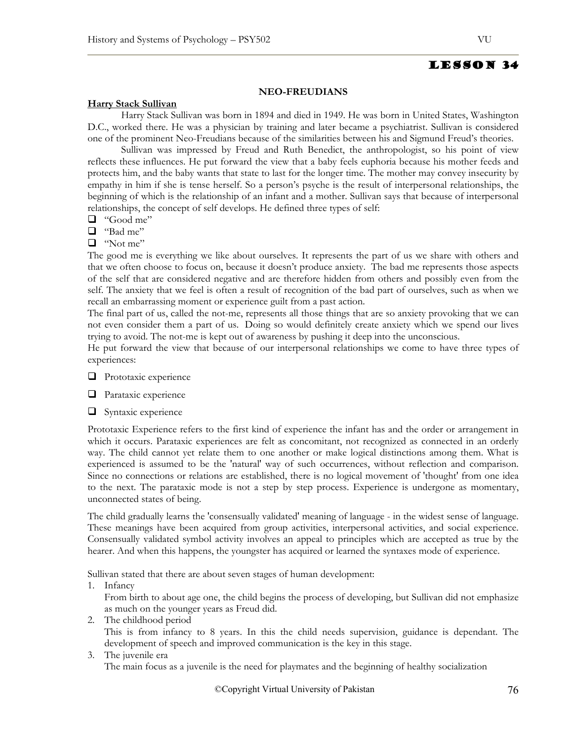## **NEO-FREUDIANS**

#### **Harry Stack Sullivan**

Harry Stack Sullivan was born in 1894 and died in 1949. He was born in United States, Washington D.C., worked there. He was a physician by training and later became a psychiatrist. Sullivan is considered one of the prominent Neo-Freudians because of the similarities between his and Sigmund Freud's theories.

Sullivan was impressed by Freud and Ruth Benedict, the anthropologist, so his point of view reflects these influences. He put forward the view that a baby feels euphoria because his mother feeds and protects him, and the baby wants that state to last for the longer time. The mother may convey insecurity by empathy in him if she is tense herself. So a person's psyche is the result of interpersonal relationships, the beginning of which is the relationship of an infant and a mother. Sullivan says that because of interpersonal relationships, the concept of self develops. He defined three types of self:

- $\Box$  "Good me"
- "Bad me"
- $\Box$  "Not me"

The good me is everything we like about ourselves. It represents the part of us we share with others and that we often choose to focus on, because it doesn't produce anxiety. The bad me represents those aspects of the self that are considered negative and are therefore hidden from others and possibly even from the self. The anxiety that we feel is often a result of recognition of the bad part of ourselves, such as when we recall an embarrassing moment or experience guilt from a past action.

The final part of us, called the not-me, represents all those things that are so anxiety provoking that we can not even consider them a part of us. Doing so would definitely create anxiety which we spend our lives trying to avoid. The not-me is kept out of awareness by pushing it deep into the unconscious.

He put forward the view that because of our interpersonal relationships we come to have three types of experiences:

**Prototaxic experience** 

**Parataxic experience** 

 $\Box$  Syntaxic experience

Prototaxic Experience refers to the first kind of experience the infant has and the order or arrangement in which it occurs. Parataxic experiences are felt as concomitant, not recognized as connected in an orderly way. The child cannot yet relate them to one another or make logical distinctions among them. What is experienced is assumed to be the 'natural' way of such occurrences, without reflection and comparison. Since no connections or relations are established, there is no logical movement of 'thought' from one idea to the next. The parataxic mode is not a step by step process. Experience is undergone as momentary, unconnected states of being.

The child gradually learns the 'consensually validated' meaning of language - in the widest sense of language. These meanings have been acquired from group activities, interpersonal activities, and social experience. Consensually validated symbol activity involves an appeal to principles which are accepted as true by the hearer. And when this happens, the youngster has acquired or learned the syntaxes mode of experience.

Sullivan stated that there are about seven stages of human development:

1. Infancy

From birth to about age one, the child begins the process of developing, but Sullivan did not emphasize as much on the younger years as Freud did.

2. The childhood period

This is from infancy to 8 years. In this the child needs supervision, guidance is dependant. The development of speech and improved communication is the key in this stage.

# 3. The juvenile era

The main focus as a juvenile is the need for playmates and the beginning of healthy socialization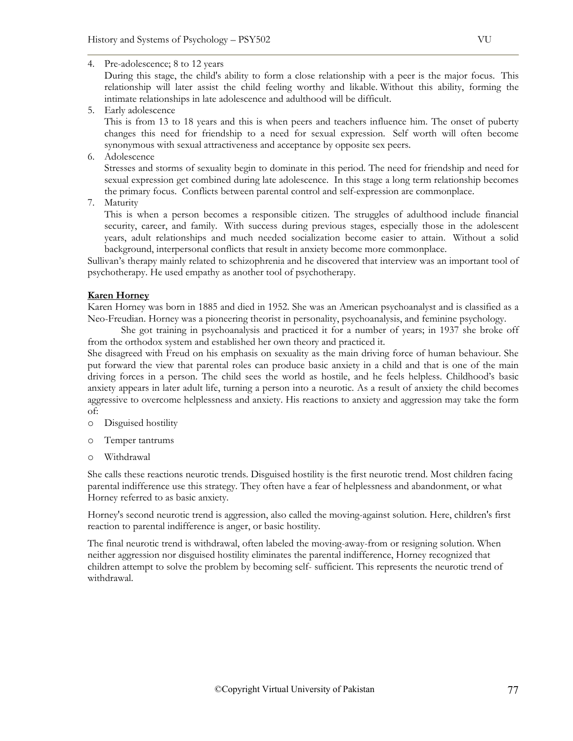4. Pre-adolescence; 8 to 12 years

During this stage, the child's ability to form a close relationship with a peer is the major focus. This relationship will later assist the child feeling worthy and likable. Without this ability, forming the intimate relationships in late adolescence and adulthood will be difficult.

5. Early adolescence

This is from 13 to 18 years and this is when peers and teachers influence him. The onset of puberty changes this need for friendship to a need for sexual expression. Self worth will often become synonymous with sexual attractiveness and acceptance by opposite sex peers.

6. Adolescence

Stresses and storms of sexuality begin to dominate in this period. The need for friendship and need for sexual expression get combined during late adolescence. In this stage a long term relationship becomes the primary focus. Conflicts between parental control and self-expression are commonplace.

7. Maturity

This is when a person becomes a responsible citizen. The struggles of adulthood include financial security, career, and family. With success during previous stages, especially those in the adolescent years, adult relationships and much needed socialization become easier to attain. Without a solid background, interpersonal conflicts that result in anxiety become more commonplace.

Sullivan's therapy mainly related to schizophrenia and he discovered that interview was an important tool of psychotherapy. He used empathy as another tool of psychotherapy.

## **Karen Horney**

Karen Horney was born in 1885 and died in 1952. She was an American psychoanalyst and is classified as a Neo-Freudian. Horney was a pioneering theorist in personality, psychoanalysis, and feminine psychology.

She got training in psychoanalysis and practiced it for a number of years; in 1937 she broke off from the orthodox system and established her own theory and practiced it.

She disagreed with Freud on his emphasis on sexuality as the main driving force of human behaviour. She put forward the view that parental roles can produce basic anxiety in a child and that is one of the main driving forces in a person. The child sees the world as hostile, and he feels helpless. Childhood's basic anxiety appears in later adult life, turning a person into a neurotic. As a result of anxiety the child becomes aggressive to overcome helplessness and anxiety. His reactions to anxiety and aggression may take the form of:

- o Disguised hostility
- o Temper tantrums
- o Withdrawal

She calls these reactions neurotic trends. Disguised hostility is the first neurotic trend. Most children facing parental indifference use this strategy. They often have a fear of helplessness and abandonment, or what Horney referred to as basic anxiety.

Horney's second neurotic trend is aggression, also called the moving-against solution. Here, children's first reaction to parental indifference is anger, or basic hostility.

The final neurotic trend is withdrawal, often labeled the moving-away-from or resigning solution. When neither aggression nor disguised hostility eliminates the parental indifference, Horney recognized that children attempt to solve the problem by becoming self- sufficient. This represents the neurotic trend of withdrawal.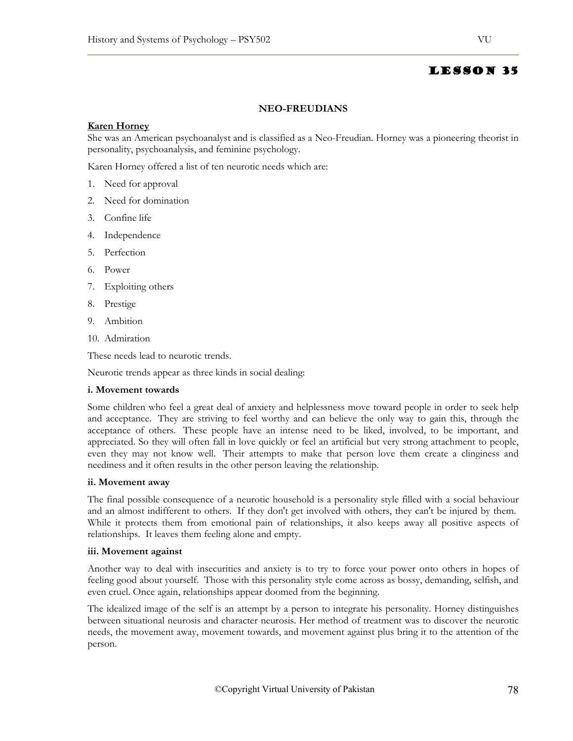#### **NEO-FREUDIANS**

## **Karen Horney**

She was an American psychoanalyst and is classified as a Neo-Freudian. Horney was a pioneering theorist in personality, psychoanalysis, and feminine psychology.

Karen Horney offered a list of ten neurotic needs which are:

- 1. Need for approval
- 2. Need for domination
- 3. Confine life
- 4. Independence
- 5. Perfection
- 6. Power
- 7. Exploiting others
- 8. Prestige
- 9. Ambition
- 10. Admiration

These needs lead to neurotic trends.

Neurotic trends appear as three kinds in social dealing:

#### **i. Movement towards**

Some children who feel a great deal of anxiety and helplessness move toward people in order to seek help and acceptance. They are striving to feel worthy and can believe the only way to gain this, through the acceptance of others. These people have an intense need to be liked, involved, to be important, and appreciated. So they will often fall in love quickly or feel an artificial but very strong attachment to people, even they may not know well. Their attempts to make that person love them create a clinginess and neediness and it often results in the other person leaving the relationship.

#### **ii. Movement away**

The final possible consequence of a neurotic household is a personality style filled with a social behaviour and an almost indifferent to others. If they don't get involved with others, they can't be injured by them. While it protects them from emotional pain of relationships, it also keeps away all positive aspects of relationships. It leaves them feeling alone and empty.

#### **iii. Movement against**

Another way to deal with insecurities and anxiety is to try to force your power onto others in hopes of feeling good about yourself. Those with this personality style come across as bossy, demanding, selfish, and even cruel. Once again, relationships appear doomed from the beginning.

The idealized image of the self is an attempt by a person to integrate his personality. Horney distinguishes between situational neurosis and character neurosis. Her method of treatment was to discover the neurotic needs, the movement away, movement towards, and movement against plus bring it to the attention of the person.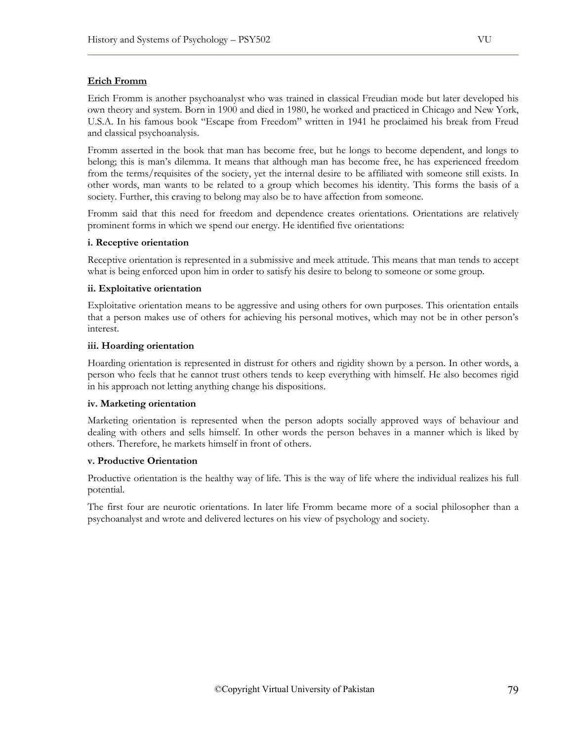### **Erich Fromm**

Erich Fromm is another psychoanalyst who was trained in classical Freudian mode but later developed his own theory and system. Born in 1900 and died in 1980, he worked and practiced in Chicago and New York, U.S.A. In his famous book "Escape from Freedom" written in 1941 he proclaimed his break from Freud and classical psychoanalysis.

Fromm asserted in the book that man has become free, but he longs to become dependent, and longs to belong; this is man's dilemma. It means that although man has become free, he has experienced freedom from the terms/requisites of the society, yet the internal desire to be affiliated with someone still exists. In other words, man wants to be related to a group which becomes his identity. This forms the basis of a society. Further, this craving to belong may also be to have affection from someone.

Fromm said that this need for freedom and dependence creates orientations. Orientations are relatively prominent forms in which we spend our energy. He identified five orientations:

#### **i. Receptive orientation**

Receptive orientation is represented in a submissive and meek attitude. This means that man tends to accept what is being enforced upon him in order to satisfy his desire to belong to someone or some group.

#### **ii. Exploitative orientation**

Exploitative orientation means to be aggressive and using others for own purposes. This orientation entails that a person makes use of others for achieving his personal motives, which may not be in other person's interest.

#### **iii. Hoarding orientation**

Hoarding orientation is represented in distrust for others and rigidity shown by a person. In other words, a person who feels that he cannot trust others tends to keep everything with himself. He also becomes rigid in his approach not letting anything change his dispositions.

#### **iv. Marketing orientation**

Marketing orientation is represented when the person adopts socially approved ways of behaviour and dealing with others and sells himself. In other words the person behaves in a manner which is liked by others. Therefore, he markets himself in front of others.

#### **v. Productive Orientation**

Productive orientation is the healthy way of life. This is the way of life where the individual realizes his full potential.

The first four are neurotic orientations. In later life Fromm became more of a social philosopher than a psychoanalyst and wrote and delivered lectures on his view of psychology and society.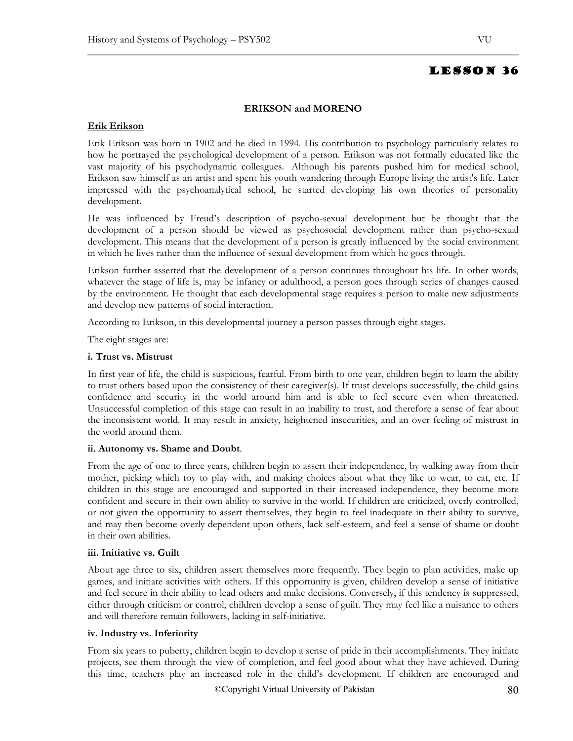#### **ERIKSON and MORENO**

## **Erik Erikson**

Erik Erikson was born in 1902 and he died in 1994. His contribution to psychology particularly relates to how he portrayed the psychological development of a person. Erikson was not formally educated like the vast majority of his psychodynamic colleagues. Although his parents pushed him for medical school, Erikson saw himself as an artist and spent his youth wandering through Europe living the artist's life. Later impressed with the psychoanalytical school, he started developing his own theories of personality development.

He was influenced by Freud's description of psycho-sexual development but he thought that the development of a person should be viewed as psychosocial development rather than psycho-sexual development. This means that the development of a person is greatly influenced by the social environment in which he lives rather than the influence of sexual development from which he goes through.

Erikson further asserted that the development of a person continues throughout his life. In other words, whatever the stage of life is, may be infancy or adulthood, a person goes through series of changes caused by the environment. He thought that each developmental stage requires a person to make new adjustments and develop new patterns of social interaction.

According to Erikson, in this developmental journey a person passes through eight stages.

The eight stages are:

#### **i. Trust vs. Mistrust**

In first year of life, the child is suspicious, fearful. From birth to one year, children begin to learn the ability to trust others based upon the consistency of their caregiver(s). If trust develops successfully, the child gains confidence and security in the world around him and is able to feel secure even when threatened. Unsuccessful completion of this stage can result in an inability to trust, and therefore a sense of fear about the inconsistent world. It may result in anxiety, heightened insecurities, and an over feeling of mistrust in the world around them.

#### **ii. Autonomy vs. Shame and Doubt**.

From the age of one to three years, children begin to assert their independence, by walking away from their mother, picking which toy to play with, and making choices about what they like to wear, to eat, etc. If children in this stage are encouraged and supported in their increased independence, they become more confident and secure in their own ability to survive in the world. If children are criticized, overly controlled, or not given the opportunity to assert themselves, they begin to feel inadequate in their ability to survive, and may then become overly dependent upon others, lack self-esteem, and feel a sense of shame or doubt in their own abilities.

#### **iii. Initiative vs. Guilt**

About age three to six, children assert themselves more frequently. They begin to plan activities, make up games, and initiate activities with others. If this opportunity is given, children develop a sense of initiative and feel secure in their ability to lead others and make decisions. Conversely, if this tendency is suppressed, either through criticism or control, children develop a sense of guilt. They may feel like a nuisance to others and will therefore remain followers, lacking in self-initiative.

### **iv. Industry vs. Inferiority**

From six years to puberty, children begin to develop a sense of pride in their accomplishments. They initiate projects, see them through the view of completion, and feel good about what they have achieved. During this time, teachers play an increased role in the child's development. If children are encouraged and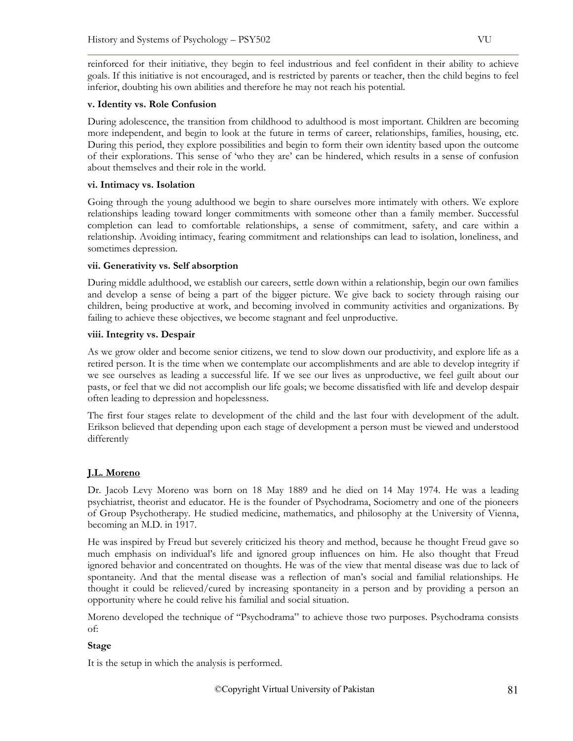reinforced for their initiative, they begin to feel industrious and feel confident in their ability to achieve goals. If this initiative is not encouraged, and is restricted by parents or teacher, then the child begins to feel inferior, doubting his own abilities and therefore he may not reach his potential.

### **v. Identity vs. Role Confusion**

During adolescence, the transition from childhood to adulthood is most important. Children are becoming more independent, and begin to look at the future in terms of career, relationships, families, housing, etc. During this period, they explore possibilities and begin to form their own identity based upon the outcome of their explorations. This sense of 'who they are' can be hindered, which results in a sense of confusion about themselves and their role in the world.

## **vi. Intimacy vs. Isolation**

Going through the young adulthood we begin to share ourselves more intimately with others. We explore relationships leading toward longer commitments with someone other than a family member. Successful completion can lead to comfortable relationships, a sense of commitment, safety, and care within a relationship. Avoiding intimacy, fearing commitment and relationships can lead to isolation, loneliness, and sometimes depression.

## **vii. Generativity vs. Self absorption**

During middle adulthood, we establish our careers, settle down within a relationship, begin our own families and develop a sense of being a part of the bigger picture. We give back to society through raising our children, being productive at work, and becoming involved in community activities and organizations. By failing to achieve these objectives, we become stagnant and feel unproductive.

## **viii. Integrity vs. Despair**

As we grow older and become senior citizens, we tend to slow down our productivity, and explore life as a retired person. It is the time when we contemplate our accomplishments and are able to develop integrity if we see ourselves as leading a successful life. If we see our lives as unproductive, we feel guilt about our pasts, or feel that we did not accomplish our life goals; we become dissatisfied with life and develop despair often leading to depression and hopelessness.

The first four stages relate to development of the child and the last four with development of the adult. Erikson believed that depending upon each stage of development a person must be viewed and understood differently

# **J.L. Moreno**

Dr. Jacob Levy Moreno was born on 18 May 1889 and he died on 14 May 1974. He was a leading psychiatrist, theorist and educator. He is the founder of Psychodrama, Sociometry and one of the pioneers of Group Psychotherapy. He studied medicine, mathematics, and philosophy at the University of Vienna, becoming an M.D. in 1917.

He was inspired by Freud but severely criticized his theory and method, because he thought Freud gave so much emphasis on individual's life and ignored group influences on him. He also thought that Freud ignored behavior and concentrated on thoughts. He was of the view that mental disease was due to lack of spontaneity. And that the mental disease was a reflection of man's social and familial relationships. He thought it could be relieved/cured by increasing spontaneity in a person and by providing a person an opportunity where he could relive his familial and social situation.

Moreno developed the technique of "Psychodrama" to achieve those two purposes. Psychodrama consists of:

# **Stage**

It is the setup in which the analysis is performed.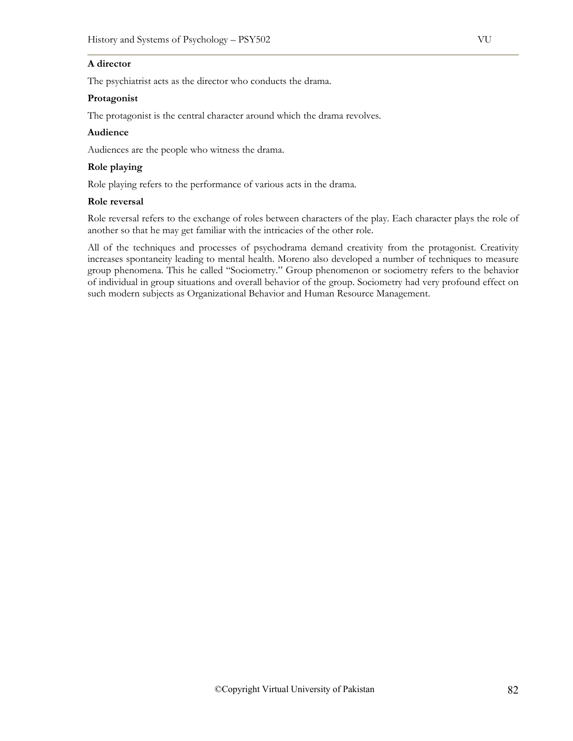## **A director**

The psychiatrist acts as the director who conducts the drama.

#### **Protagonist**

The protagonist is the central character around which the drama revolves.

### **Audience**

Audiences are the people who witness the drama.

### **Role playing**

Role playing refers to the performance of various acts in the drama.

#### **Role reversal**

Role reversal refers to the exchange of roles between characters of the play. Each character plays the role of another so that he may get familiar with the intricacies of the other role.

All of the techniques and processes of psychodrama demand creativity from the protagonist. Creativity increases spontaneity leading to mental health. Moreno also developed a number of techniques to measure group phenomena. This he called "Sociometry." Group phenomenon or sociometry refers to the behavior of individual in group situations and overall behavior of the group. Sociometry had very profound effect on such modern subjects as Organizational Behavior and Human Resource Management.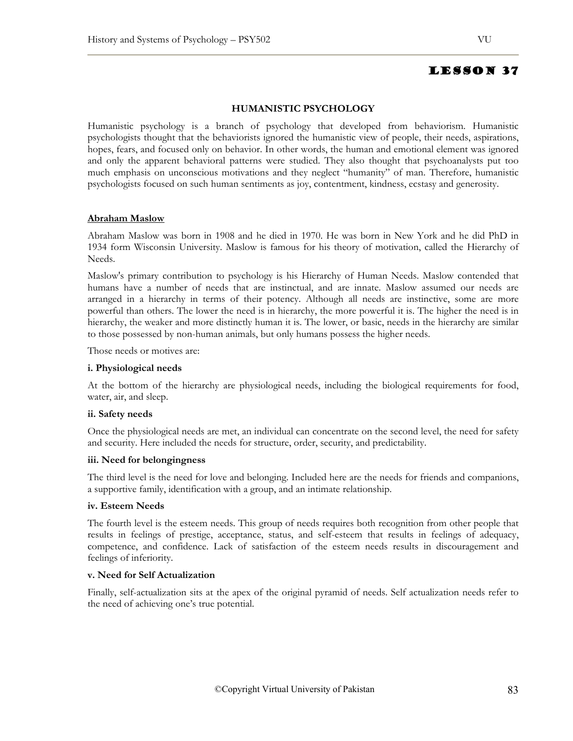## **HUMANISTIC PSYCHOLOGY**

Humanistic psychology is a branch of psychology that developed from behaviorism. Humanistic psychologists thought that the behaviorists ignored the humanistic view of people, their needs, aspirations, hopes, fears, and focused only on behavior. In other words, the human and emotional element was ignored and only the apparent behavioral patterns were studied. They also thought that psychoanalysts put too much emphasis on unconscious motivations and they neglect "humanity" of man. Therefore, humanistic psychologists focused on such human sentiments as joy, contentment, kindness, ecstasy and generosity.

#### **Abraham Maslow**

Abraham Maslow was born in 1908 and he died in 1970. He was born in New York and he did PhD in 1934 form Wisconsin University. Maslow is famous for his theory of motivation, called the Hierarchy of Needs.

Maslow's primary contribution to psychology is his Hierarchy of Human Needs. Maslow contended that humans have a number of needs that are instinctual, and are innate. Maslow assumed our needs are arranged in a hierarchy in terms of their potency. Although all needs are instinctive, some are more powerful than others. The lower the need is in hierarchy, the more powerful it is. The higher the need is in hierarchy, the weaker and more distinctly human it is. The lower, or basic, needs in the hierarchy are similar to those possessed by non-human animals, but only humans possess the higher needs.

Those needs or motives are:

#### **i. Physiological needs**

At the bottom of the hierarchy are physiological needs, including the biological requirements for food, water, air, and sleep.

#### **ii. Safety needs**

Once the physiological needs are met, an individual can concentrate on the second level, the need for safety and security. Here included the needs for structure, order, security, and predictability.

#### **iii. Need for belongingness**

The third level is the need for love and belonging. Included here are the needs for friends and companions, a supportive family, identification with a group, and an intimate relationship.

#### **iv. Esteem Needs**

The fourth level is the esteem needs. This group of needs requires both recognition from other people that results in feelings of prestige, acceptance, status, and self-esteem that results in feelings of adequacy, competence, and confidence. Lack of satisfaction of the esteem needs results in discouragement and feelings of inferiority.

#### **v. Need for Self Actualization**

Finally, self-actualization sits at the apex of the original pyramid of needs. Self actualization needs refer to the need of achieving one's true potential.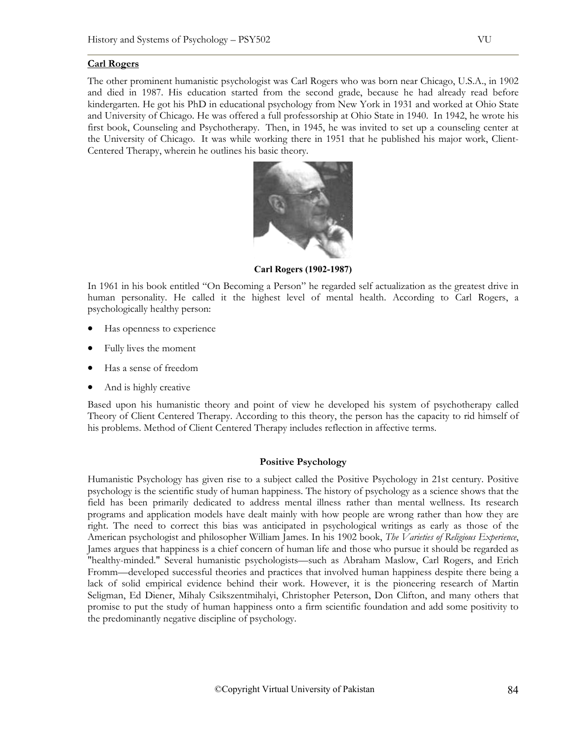#### **Carl Rogers**

The other prominent humanistic psychologist was Carl Rogers who was born near Chicago, U.S.A., in 1902 and died in 1987. His education started from the second grade, because he had already read before kindergarten. He got his PhD in educational psychology from New York in 1931 and worked at Ohio State and University of Chicago. He was offered a full professorship at Ohio State in 1940. In 1942, he wrote his first book, Counseling and Psychotherapy. Then, in 1945, he was invited to set up a counseling center at the University of Chicago. It was while working there in 1951 that he published his major work, Client-Centered Therapy, wherein he outlines his basic theory.



**Carl Rogers (1902-1987)**

In 1961 in his book entitled "On Becoming a Person" he regarded self actualization as the greatest drive in human personality. He called it the highest level of mental health. According to Carl Rogers, a psychologically healthy person:

- Has openness to experience
- Fully lives the moment
- Has a sense of freedom
- And is highly creative

Based upon his humanistic theory and point of view he developed his system of psychotherapy called Theory of Client Centered Therapy. According to this theory, the person has the capacity to rid himself of his problems. Method of Client Centered Therapy includes reflection in affective terms.

#### **Positive Psychology**

Humanistic Psychology has given rise to a subject called the Positive Psychology in 21st century. Positive psychology is the scientific study of human happiness. The history of psychology as a science shows that the field has been primarily dedicated to address mental illness rather than mental wellness. Its research programs and application models have dealt mainly with how people are wrong rather than how they are right. The need to correct this bias was anticipated in psychological writings as early as those of the American psychologist and philosopher William James. In his 1902 book, *The Varieties of Religious Experience*, James argues that happiness is a chief concern of human life and those who pursue it should be regarded as "healthy-minded." Several humanistic psychologists—such as Abraham Maslow, Carl Rogers, and Erich Fromm—developed successful theories and practices that involved human happiness despite there being a lack of solid empirical evidence behind their work. However, it is the pioneering research of Martin Seligman, Ed Diener, Mihaly Csikszentmihalyi, Christopher Peterson, Don Clifton, and many others that promise to put the study of human happiness onto a firm scientific foundation and add some positivity to the predominantly negative discipline of psychology.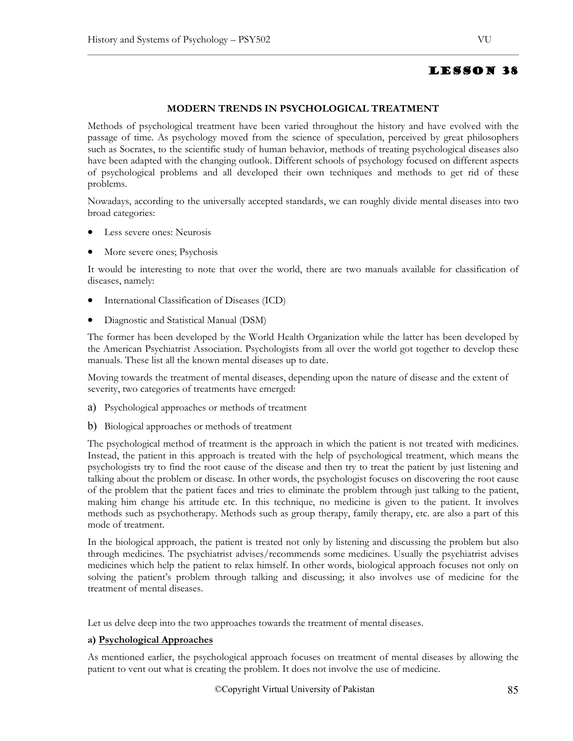#### **MODERN TRENDS IN PSYCHOLOGICAL TREATMENT**

Methods of psychological treatment have been varied throughout the history and have evolved with the passage of time. As psychology moved from the science of speculation, perceived by great philosophers such as Socrates, to the scientific study of human behavior, methods of treating psychological diseases also have been adapted with the changing outlook. Different schools of psychology focused on different aspects of psychological problems and all developed their own techniques and methods to get rid of these problems.

Nowadays, according to the universally accepted standards, we can roughly divide mental diseases into two broad categories:

- Less severe ones: Neurosis
- More severe ones; Psychosis

It would be interesting to note that over the world, there are two manuals available for classification of diseases, namely:

- International Classification of Diseases (ICD)
- Diagnostic and Statistical Manual (DSM)

The former has been developed by the World Health Organization while the latter has been developed by the American Psychiatrist Association. Psychologists from all over the world got together to develop these manuals. These list all the known mental diseases up to date.

Moving towards the treatment of mental diseases, depending upon the nature of disease and the extent of severity, two categories of treatments have emerged:

- a) Psychological approaches or methods of treatment
- b) Biological approaches or methods of treatment

The psychological method of treatment is the approach in which the patient is not treated with medicines. Instead, the patient in this approach is treated with the help of psychological treatment, which means the psychologists try to find the root cause of the disease and then try to treat the patient by just listening and talking about the problem or disease. In other words, the psychologist focuses on discovering the root cause of the problem that the patient faces and tries to eliminate the problem through just talking to the patient, making him change his attitude etc. In this technique, no medicine is given to the patient. It involves methods such as psychotherapy. Methods such as group therapy, family therapy, etc. are also a part of this mode of treatment.

In the biological approach, the patient is treated not only by listening and discussing the problem but also through medicines. The psychiatrist advises/recommends some medicines. Usually the psychiatrist advises medicines which help the patient to relax himself. In other words, biological approach focuses not only on solving the patient's problem through talking and discussing; it also involves use of medicine for the treatment of mental diseases.

Let us delve deep into the two approaches towards the treatment of mental diseases.

#### **a) Psychological Approaches**

As mentioned earlier, the psychological approach focuses on treatment of mental diseases by allowing the patient to vent out what is creating the problem. It does not involve the use of medicine.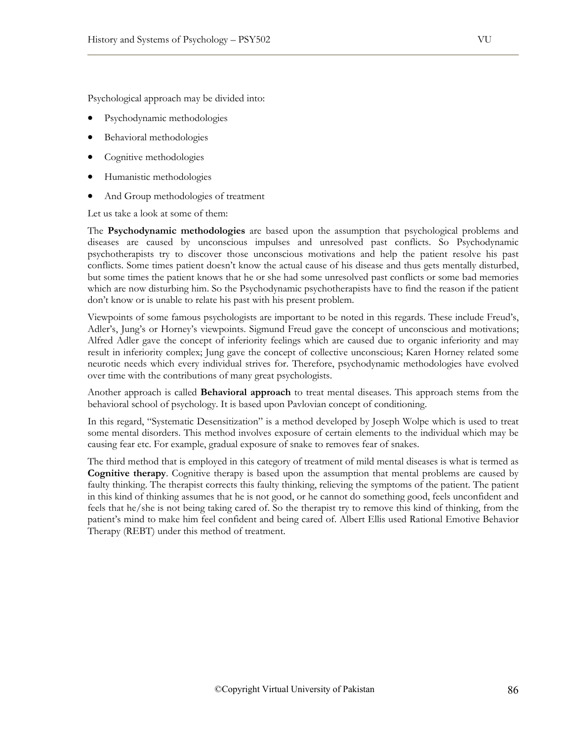Psychological approach may be divided into:

- Psychodynamic methodologies
- Behavioral methodologies
- Cognitive methodologies
- Humanistic methodologies
- And Group methodologies of treatment

Let us take a look at some of them:

The **Psychodynamic methodologies** are based upon the assumption that psychological problems and diseases are caused by unconscious impulses and unresolved past conflicts. So Psychodynamic psychotherapists try to discover those unconscious motivations and help the patient resolve his past conflicts. Some times patient doesn't know the actual cause of his disease and thus gets mentally disturbed, but some times the patient knows that he or she had some unresolved past conflicts or some bad memories which are now disturbing him. So the Psychodynamic psychotherapists have to find the reason if the patient don't know or is unable to relate his past with his present problem.

Viewpoints of some famous psychologists are important to be noted in this regards. These include Freud's, Adler's, Jung's or Horney's viewpoints. Sigmund Freud gave the concept of unconscious and motivations; Alfred Adler gave the concept of inferiority feelings which are caused due to organic inferiority and may result in inferiority complex; Jung gave the concept of collective unconscious; Karen Horney related some neurotic needs which every individual strives for. Therefore, psychodynamic methodologies have evolved over time with the contributions of many great psychologists.

Another approach is called **Behavioral approach** to treat mental diseases. This approach stems from the behavioral school of psychology. It is based upon Pavlovian concept of conditioning.

In this regard, "Systematic Desensitization" is a method developed by Joseph Wolpe which is used to treat some mental disorders. This method involves exposure of certain elements to the individual which may be causing fear etc. For example, gradual exposure of snake to removes fear of snakes.

The third method that is employed in this category of treatment of mild mental diseases is what is termed as **Cognitive therapy**. Cognitive therapy is based upon the assumption that mental problems are caused by faulty thinking. The therapist corrects this faulty thinking, relieving the symptoms of the patient. The patient in this kind of thinking assumes that he is not good, or he cannot do something good, feels unconfident and feels that he/she is not being taking cared of. So the therapist try to remove this kind of thinking, from the patient's mind to make him feel confident and being cared of. Albert Ellis used Rational Emotive Behavior Therapy (REBT) under this method of treatment.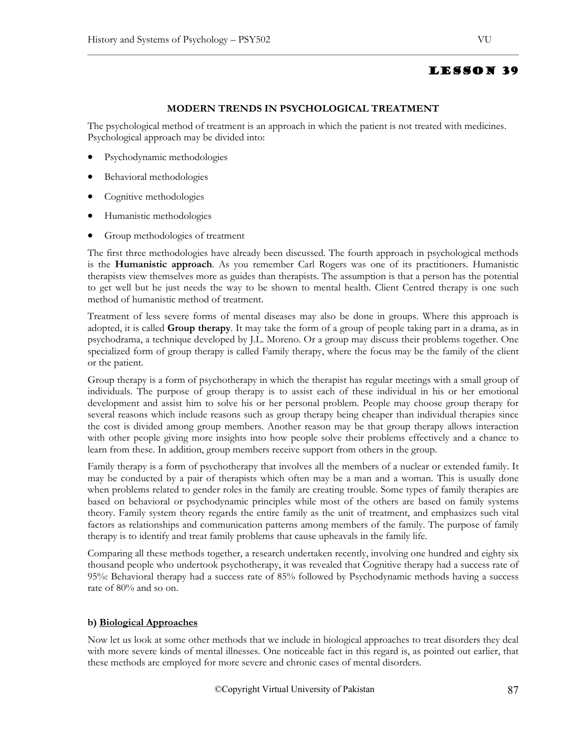## **MODERN TRENDS IN PSYCHOLOGICAL TREATMENT**

The psychological method of treatment is an approach in which the patient is not treated with medicines. Psychological approach may be divided into:

- Psychodynamic methodologies
- Behavioral methodologies
- Cognitive methodologies
- Humanistic methodologies
- Group methodologies of treatment

The first three methodologies have already been discussed. The fourth approach in psychological methods is the **Humanistic approach**. As you remember Carl Rogers was one of its practitioners. Humanistic therapists view themselves more as guides than therapists. The assumption is that a person has the potential to get well but he just needs the way to be shown to mental health. Client Centred therapy is one such method of humanistic method of treatment.

Treatment of less severe forms of mental diseases may also be done in groups. Where this approach is adopted, it is called **Group therapy**. It may take the form of a group of people taking part in a drama, as in psychodrama, a technique developed by J.L. Moreno. Or a group may discuss their problems together. One specialized form of group therapy is called Family therapy, where the focus may be the family of the client or the patient.

Group therapy is a form of psychotherapy in which the therapist has regular meetings with a small group of individuals. The purpose of group therapy is to assist each of these individual in his or her emotional development and assist him to solve his or her personal problem. People may choose group therapy for several reasons which include reasons such as group therapy being cheaper than individual therapies since the cost is divided among group members. Another reason may be that group therapy allows interaction with other people giving more insights into how people solve their problems effectively and a chance to learn from these. In addition, group members receive support from others in the group.

Family therapy is a form of psychotherapy that involves all the members of a nuclear or extended family. It may be conducted by a pair of therapists which often may be a man and a woman. This is usually done when problems related to gender roles in the family are creating trouble. Some types of family therapies are based on behavioral or psychodynamic principles while most of the others are based on family systems theory. Family system theory regards the entire family as the unit of treatment, and emphasizes such vital factors as relationships and communication patterns among members of the family. The purpose of family therapy is to identify and treat family problems that cause upheavals in the family life.

Comparing all these methods together, a research undertaken recently, involving one hundred and eighty six thousand people who undertook psychotherapy, it was revealed that Cognitive therapy had a success rate of 95%: Behavioral therapy had a success rate of 85% followed by Psychodynamic methods having a success rate of 80% and so on.

### **b) Biological Approaches**

Now let us look at some other methods that we include in biological approaches to treat disorders they deal with more severe kinds of mental illnesses. One noticeable fact in this regard is, as pointed out earlier, that these methods are employed for more severe and chronic cases of mental disorders.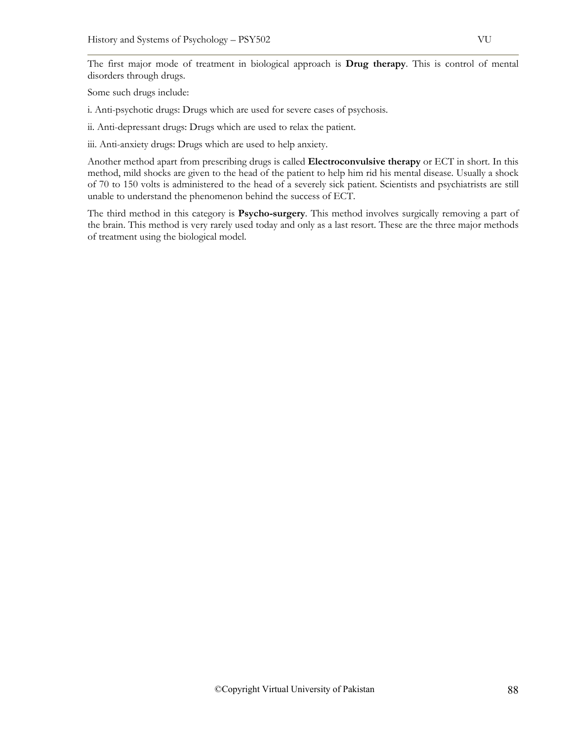The first major mode of treatment in biological approach is **Drug therapy**. This is control of mental disorders through drugs.

Some such drugs include:

i. Anti-psychotic drugs: Drugs which are used for severe cases of psychosis.

ii. Anti-depressant drugs: Drugs which are used to relax the patient.

iii. Anti-anxiety drugs: Drugs which are used to help anxiety.

Another method apart from prescribing drugs is called **Electroconvulsive therapy** or ECT in short. In this method, mild shocks are given to the head of the patient to help him rid his mental disease. Usually a shock of 70 to 150 volts is administered to the head of a severely sick patient. Scientists and psychiatrists are still unable to understand the phenomenon behind the success of ECT.

The third method in this category is **Psycho-surgery**. This method involves surgically removing a part of the brain. This method is very rarely used today and only as a last resort. These are the three major methods of treatment using the biological model.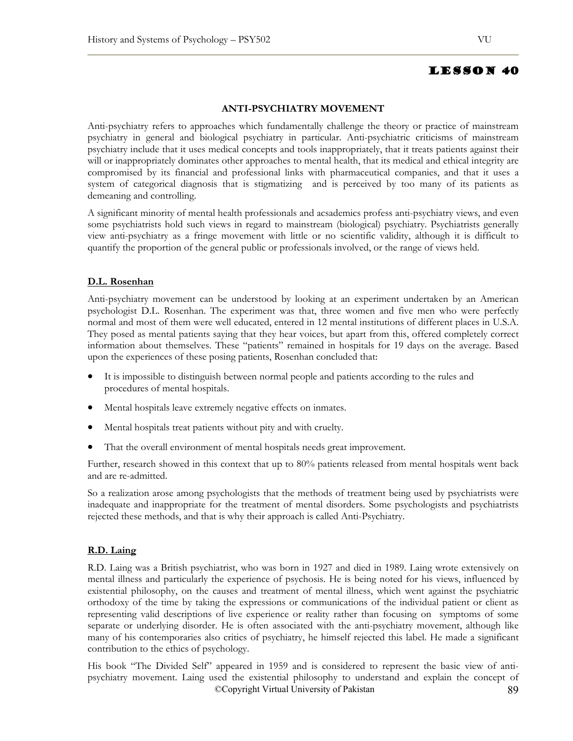### **ANTI-PSYCHIATRY MOVEMENT**

Anti-psychiatry refers to approaches which fundamentally challenge the theory or practice of mainstream psychiatry in general and biological psychiatry in particular. Anti-psychiatric criticisms of mainstream psychiatry include that it uses medical concepts and tools inappropriately, that it treats patients against their will or inappropriately dominates other approaches to mental health, that its medical and ethical integrity are compromised by its financial and professional links with pharmaceutical companies, and that it uses a system of categorical diagnosis that is stigmatizing and is perceived by too many of its patients as demeaning and controlling.

A significant minority of mental health professionals and acsademics profess anti-psychiatry views, and even some psychiatrists hold such views in regard to mainstream (biological) psychiatry. Psychiatrists generally view anti-psychiatry as a fringe movement with little or no scientific validity, although it is difficult to quantify the proportion of the general public or professionals involved, or the range of views held.

#### **D.L. Rosenhan**

Anti-psychiatry movement can be understood by looking at an experiment undertaken by an American psychologist D.L. Rosenhan. The experiment was that, three women and five men who were perfectly normal and most of them were well educated, entered in 12 mental institutions of different places in U.S.A. They posed as mental patients saying that they hear voices, but apart from this, offered completely correct information about themselves. These "patients" remained in hospitals for 19 days on the average. Based upon the experiences of these posing patients, Rosenhan concluded that:

- It is impossible to distinguish between normal people and patients according to the rules and procedures of mental hospitals.
- Mental hospitals leave extremely negative effects on inmates.
- Mental hospitals treat patients without pity and with cruelty.
- That the overall environment of mental hospitals needs great improvement.

Further, research showed in this context that up to 80% patients released from mental hospitals went back and are re-admitted.

So a realization arose among psychologists that the methods of treatment being used by psychiatrists were inadequate and inappropriate for the treatment of mental disorders. Some psychologists and psychiatrists rejected these methods, and that is why their approach is called Anti-Psychiatry.

# **R.D. Laing**

R.D. Laing was a British psychiatrist, who was born in 1927 and died in 1989. Laing wrote extensively on mental illness and particularly the experience of psychosis. He is being noted for his views, influenced by existential philosophy, on the causes and treatment of mental illness, which went against the psychiatric orthodoxy of the time by taking the expressions or communications of the individual patient or client as representing valid descriptions of live experience or reality rather than focusing on symptoms of some separate or underlying disorder. He is often associated with the anti-psychiatry movement, although like many of his contemporaries also critics of psychiatry, he himself rejected this label. He made a significant contribution to the ethics of psychology.

©Copyright Virtual University of Pakistan 89 His book "The Divided Self" appeared in 1959 and is considered to represent the basic view of antipsychiatry movement. Laing used the existential philosophy to understand and explain the concept of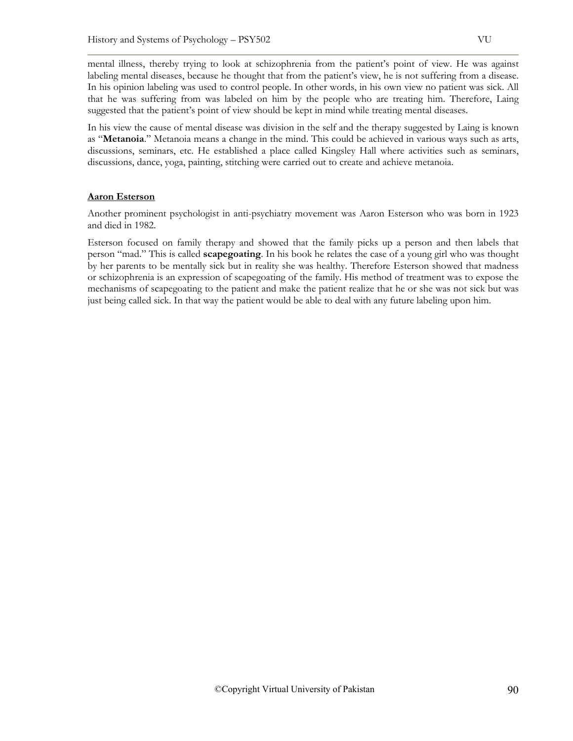mental illness, thereby trying to look at schizophrenia from the patient's point of view. He was against labeling mental diseases, because he thought that from the patient's view, he is not suffering from a disease. In his opinion labeling was used to control people. In other words, in his own view no patient was sick. All that he was suffering from was labeled on him by the people who are treating him. Therefore, Laing suggested that the patient's point of view should be kept in mind while treating mental diseases.

In his view the cause of mental disease was division in the self and the therapy suggested by Laing is known as "**Metanoia**." Metanoia means a change in the mind. This could be achieved in various ways such as arts, discussions, seminars, etc. He established a place called Kingsley Hall where activities such as seminars, discussions, dance, yoga, painting, stitching were carried out to create and achieve metanoia.

# **Aaron Esterson**

Another prominent psychologist in anti-psychiatry movement was Aaron Esterson who was born in 1923 and died in 1982.

Esterson focused on family therapy and showed that the family picks up a person and then labels that person "mad." This is called **scapegoating**. In his book he relates the case of a young girl who was thought by her parents to be mentally sick but in reality she was healthy. Therefore Esterson showed that madness or schizophrenia is an expression of scapegoating of the family. His method of treatment was to expose the mechanisms of scapegoating to the patient and make the patient realize that he or she was not sick but was just being called sick. In that way the patient would be able to deal with any future labeling upon him.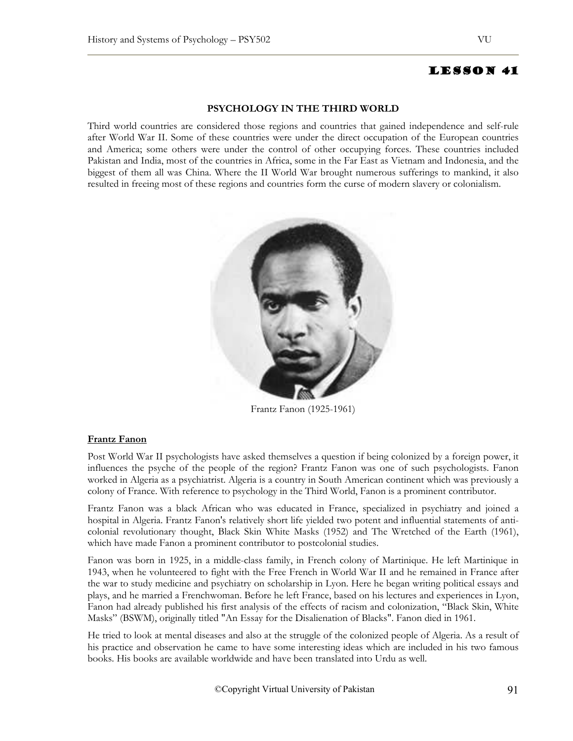#### **PSYCHOLOGY IN THE THIRD WORLD**

Third world countries are considered those regions and countries that gained independence and self-rule after World War II. Some of these countries were under the direct occupation of the European countries and America; some others were under the control of other occupying forces. These countries included Pakistan and India, most of the countries in Africa, some in the Far East as Vietnam and Indonesia, and the biggest of them all was China. Where the II World War brought numerous sufferings to mankind, it also resulted in freeing most of these regions and countries form the curse of modern slavery or colonialism.



Frantz Fanon (1925-1961)

#### **Frantz Fanon**

Post World War II psychologists have asked themselves a question if being colonized by a foreign power, it influences the psyche of the people of the region? Frantz Fanon was one of such psychologists. Fanon worked in Algeria as a psychiatrist. Algeria is a country in South American continent which was previously a colony of France. With reference to psychology in the Third World, Fanon is a prominent contributor.

Frantz Fanon was a black African who was educated in France, specialized in psychiatry and joined a hospital in Algeria. Frantz Fanon's relatively short life yielded two potent and influential statements of anticolonial revolutionary thought, Black Skin White Masks (1952) and The Wretched of the Earth (1961), which have made Fanon a prominent contributor to postcolonial studies.

Fanon was born in 1925, in a middle-class family, in French colony of Martinique. He left Martinique in 1943, when he volunteered to fight with the Free French in World War II and he remained in France after the war to study medicine and psychiatry on scholarship in Lyon. Here he began writing political essays and plays, and he married a Frenchwoman. Before he left France, based on his lectures and experiences in Lyon, Fanon had already published his first analysis of the effects of racism and colonization, "Black Skin, White Masks" (BSWM), originally titled "An Essay for the Disalienation of Blacks". Fanon died in 1961.

He tried to look at mental diseases and also at the struggle of the colonized people of Algeria. As a result of his practice and observation he came to have some interesting ideas which are included in his two famous books. His books are available worldwide and have been translated into Urdu as well.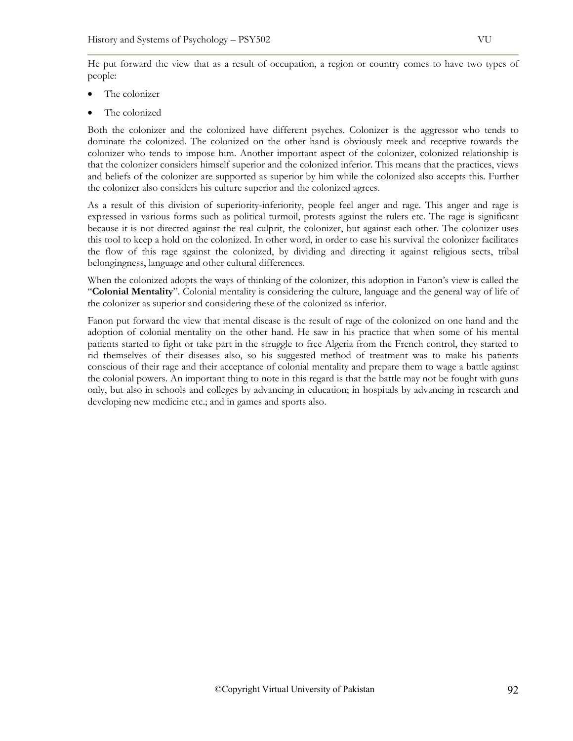He put forward the view that as a result of occupation, a region or country comes to have two types of people:

- The colonizer
- The colonized

Both the colonizer and the colonized have different psyches. Colonizer is the aggressor who tends to dominate the colonized. The colonized on the other hand is obviously meek and receptive towards the colonizer who tends to impose him. Another important aspect of the colonizer, colonized relationship is that the colonizer considers himself superior and the colonized inferior. This means that the practices, views and beliefs of the colonizer are supported as superior by him while the colonized also accepts this. Further the colonizer also considers his culture superior and the colonized agrees.

As a result of this division of superiority-inferiority, people feel anger and rage. This anger and rage is expressed in various forms such as political turmoil, protests against the rulers etc. The rage is significant because it is not directed against the real culprit, the colonizer, but against each other. The colonizer uses this tool to keep a hold on the colonized. In other word, in order to ease his survival the colonizer facilitates the flow of this rage against the colonized, by dividing and directing it against religious sects, tribal belongingness, language and other cultural differences.

When the colonized adopts the ways of thinking of the colonizer, this adoption in Fanon's view is called the "**Colonial Mentality**". Colonial mentality is considering the culture, language and the general way of life of the colonizer as superior and considering these of the colonized as inferior.

Fanon put forward the view that mental disease is the result of rage of the colonized on one hand and the adoption of colonial mentality on the other hand. He saw in his practice that when some of his mental patients started to fight or take part in the struggle to free Algeria from the French control, they started to rid themselves of their diseases also, so his suggested method of treatment was to make his patients conscious of their rage and their acceptance of colonial mentality and prepare them to wage a battle against the colonial powers. An important thing to note in this regard is that the battle may not be fought with guns only, but also in schools and colleges by advancing in education; in hospitals by advancing in research and developing new medicine etc.; and in games and sports also.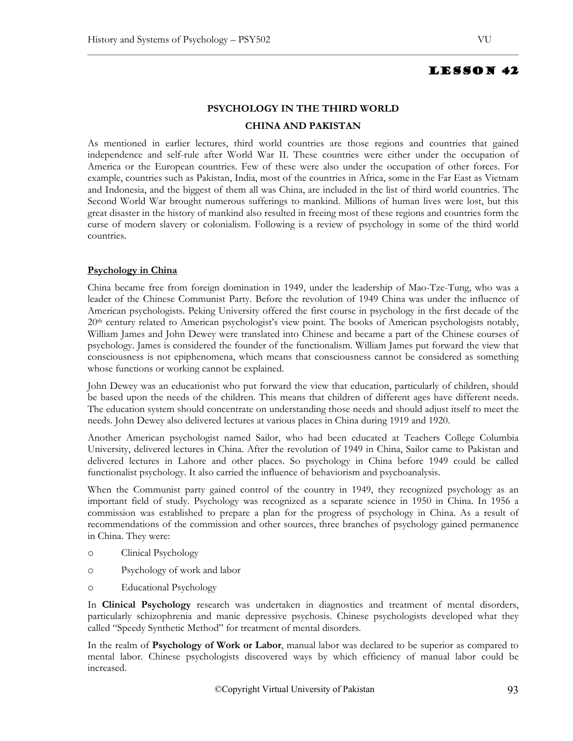# **PSYCHOLOGY IN THE THIRD WORLD CHINA AND PAKISTAN**

As mentioned in earlier lectures, third world countries are those regions and countries that gained independence and self-rule after World War II. These countries were either under the occupation of America or the European countries. Few of these were also under the occupation of other forces. For example, countries such as Pakistan, India, most of the countries in Africa, some in the Far East as Vietnam and Indonesia, and the biggest of them all was China, are included in the list of third world countries. The Second World War brought numerous sufferings to mankind. Millions of human lives were lost, but this great disaster in the history of mankind also resulted in freeing most of these regions and countries form the curse of modern slavery or colonialism. Following is a review of psychology in some of the third world countries.

## **Psychology in China**

China became free from foreign domination in 1949, under the leadership of Mao-Tze-Tung, who was a leader of the Chinese Communist Party. Before the revolution of 1949 China was under the influence of American psychologists. Peking University offered the first course in psychology in the first decade of the 20th century related to American psychologist's view point. The books of American psychologists notably, William James and John Dewey were translated into Chinese and became a part of the Chinese courses of psychology. James is considered the founder of the functionalism. William James put forward the view that consciousness is not epiphenomena, which means that consciousness cannot be considered as something whose functions or working cannot be explained.

John Dewey was an educationist who put forward the view that education, particularly of children, should be based upon the needs of the children. This means that children of different ages have different needs. The education system should concentrate on understanding those needs and should adjust itself to meet the needs. John Dewey also delivered lectures at various places in China during 1919 and 1920.

Another American psychologist named Sailor, who had been educated at Teachers College Columbia University, delivered lectures in China. After the revolution of 1949 in China, Sailor came to Pakistan and delivered lectures in Lahore and other places. So psychology in China before 1949 could be called functionalist psychology. It also carried the influence of behaviorism and psychoanalysis.

When the Communist party gained control of the country in 1949, they recognized psychology as an important field of study. Psychology was recognized as a separate science in 1950 in China. In 1956 a commission was established to prepare a plan for the progress of psychology in China. As a result of recommendations of the commission and other sources, three branches of psychology gained permanence in China. They were:

- o Clinical Psychology
- o Psychology of work and labor
- o Educational Psychology

In **Clinical Psychology** research was undertaken in diagnostics and treatment of mental disorders, particularly schizophrenia and manic depressive psychosis. Chinese psychologists developed what they called "Speedy Synthetic Method" for treatment of mental disorders.

In the realm of **Psychology of Work or Labor**, manual labor was declared to be superior as compared to mental labor. Chinese psychologists discovered ways by which efficiency of manual labor could be increased.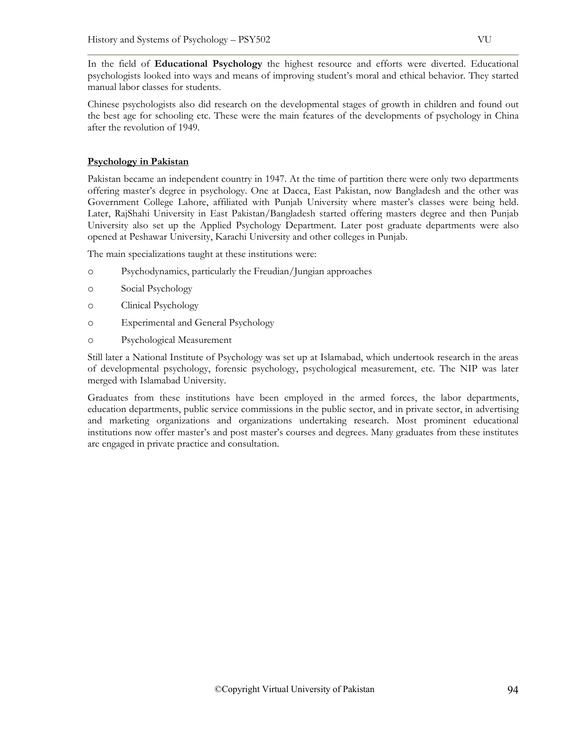In the field of **Educational Psychology** the highest resource and efforts were diverted. Educational psychologists looked into ways and means of improving student's moral and ethical behavior. They started manual labor classes for students.

Chinese psychologists also did research on the developmental stages of growth in children and found out the best age for schooling etc. These were the main features of the developments of psychology in China after the revolution of 1949.

# **Psychology in Pakistan**

Pakistan became an independent country in 1947. At the time of partition there were only two departments offering master's degree in psychology. One at Dacca, East Pakistan, now Bangladesh and the other was Government College Lahore, affiliated with Punjab University where master's classes were being held. Later, RajShahi University in East Pakistan/Bangladesh started offering masters degree and then Punjab University also set up the Applied Psychology Department. Later post graduate departments were also opened at Peshawar University, Karachi University and other colleges in Punjab.

The main specializations taught at these institutions were:

- o Psychodynamics, particularly the Freudian/Jungian approaches
- o Social Psychology
- o Clinical Psychology
- o Experimental and General Psychology
- o Psychological Measurement

Still later a National Institute of Psychology was set up at Islamabad, which undertook research in the areas of developmental psychology, forensic psychology, psychological measurement, etc. The NIP was later merged with Islamabad University.

Graduates from these institutions have been employed in the armed forces, the labor departments, education departments, public service commissions in the public sector, and in private sector, in advertising and marketing organizations and organizations undertaking research. Most prominent educational institutions now offer master's and post master's courses and degrees. Many graduates from these institutes are engaged in private practice and consultation.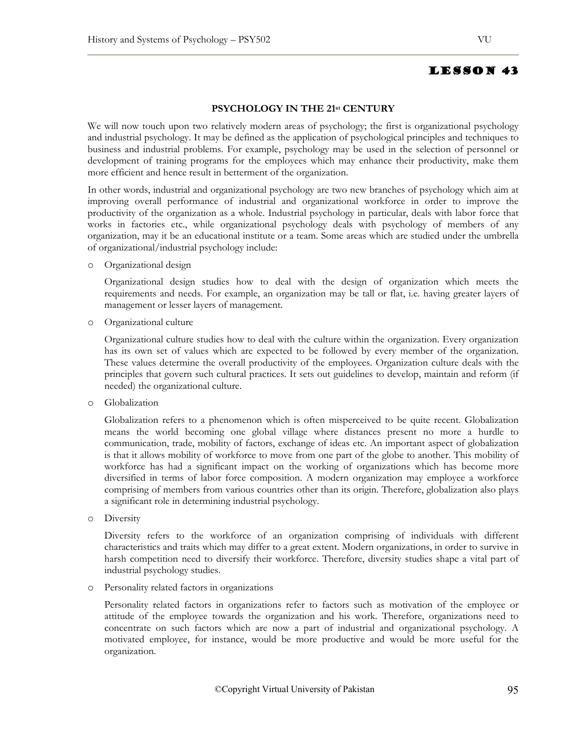## **PSYCHOLOGY IN THE 21st CENTURY**

We will now touch upon two relatively modern areas of psychology; the first is organizational psychology and industrial psychology. It may be defined as the application of psychological principles and techniques to business and industrial problems. For example, psychology may be used in the selection of personnel or development of training programs for the employees which may enhance their productivity, make them more efficient and hence result in betterment of the organization.

In other words, industrial and organizational psychology are two new branches of psychology which aim at improving overall performance of industrial and organizational workforce in order to improve the productivity of the organization as a whole. Industrial psychology in particular, deals with labor force that works in factories etc., while organizational psychology deals with psychology of members of any organization, may it be an educational institute or a team. Some areas which are studied under the umbrella of organizational/industrial psychology include:

o Organizational design

Organizational design studies how to deal with the design of organization which meets the requirements and needs. For example, an organization may be tall or flat, i.e. having greater layers of management or lesser layers of management.

o Organizational culture

Organizational culture studies how to deal with the culture within the organization. Every organization has its own set of values which are expected to be followed by every member of the organization. These values determine the overall productivity of the employees. Organization culture deals with the principles that govern such cultural practices. It sets out guidelines to develop, maintain and reform (if needed) the organizational culture.

o Globalization

Globalization refers to a phenomenon which is often misperceived to be quite recent. Globalization means the world becoming one global village where distances present no more a hurdle to communication, trade, mobility of factors, exchange of ideas etc. An important aspect of globalization is that it allows mobility of workforce to move from one part of the globe to another. This mobility of workforce has had a significant impact on the working of organizations which has become more diversified in terms of labor force composition. A modern organization may employee a workforce comprising of members from various countries other than its origin. Therefore, globalization also plays a significant role in determining industrial psychology.

o Diversity

Diversity refers to the workforce of an organization comprising of individuals with different characteristics and traits which may differ to a great extent. Modern organizations, in order to survive in harsh competition need to diversify their workforce. Therefore, diversity studies shape a vital part of industrial psychology studies.

o Personality related factors in organizations

Personality related factors in organizations refer to factors such as motivation of the employee or attitude of the employee towards the organization and his work. Therefore, organizations need to concentrate on such factors which are now a part of industrial and organizational psychology. A motivated employee, for instance, would be more productive and would be more useful for the organization.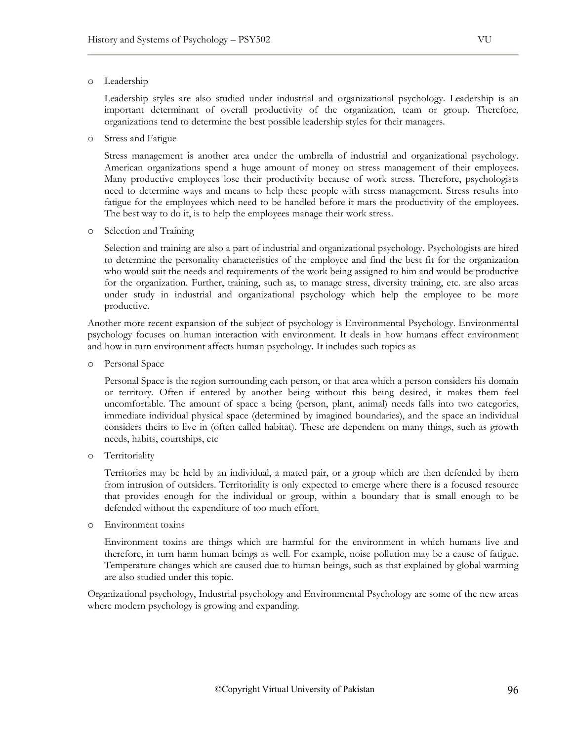#### o Leadership

Leadership styles are also studied under industrial and organizational psychology. Leadership is an important determinant of overall productivity of the organization, team or group. Therefore, organizations tend to determine the best possible leadership styles for their managers.

o Stress and Fatigue

Stress management is another area under the umbrella of industrial and organizational psychology. American organizations spend a huge amount of money on stress management of their employees. Many productive employees lose their productivity because of work stress. Therefore, psychologists need to determine ways and means to help these people with stress management. Stress results into fatigue for the employees which need to be handled before it mars the productivity of the employees. The best way to do it, is to help the employees manage their work stress.

o Selection and Training

Selection and training are also a part of industrial and organizational psychology. Psychologists are hired to determine the personality characteristics of the employee and find the best fit for the organization who would suit the needs and requirements of the work being assigned to him and would be productive for the organization. Further, training, such as, to manage stress, diversity training, etc. are also areas under study in industrial and organizational psychology which help the employee to be more productive.

Another more recent expansion of the subject of psychology is Environmental Psychology. Environmental psychology focuses on human interaction with environment. It deals in how humans effect environment and how in turn environment affects human psychology. It includes such topics as

o Personal Space

Personal Space is the region surrounding each person, or that area which a person considers his domain or territory. Often if entered by another being without this being desired, it makes them feel uncomfortable. The amount of space a being (person, plant, animal) needs falls into two categories, immediate individual physical space (determined by imagined boundaries), and the space an individual considers theirs to live in (often called habitat). These are dependent on many things, such as growth needs, habits, courtships, etc

o Territoriality

Territories may be held by an individual, a mated pair, or a group which are then defended by them from intrusion of outsiders. Territoriality is only expected to emerge where there is a focused resource that provides enough for the individual or group, within a boundary that is small enough to be defended without the expenditure of too much effort.

o Environment toxins

Environment toxins are things which are harmful for the environment in which humans live and therefore, in turn harm human beings as well. For example, noise pollution may be a cause of fatigue. Temperature changes which are caused due to human beings, such as that explained by global warming are also studied under this topic.

Organizational psychology, Industrial psychology and Environmental Psychology are some of the new areas where modern psychology is growing and expanding.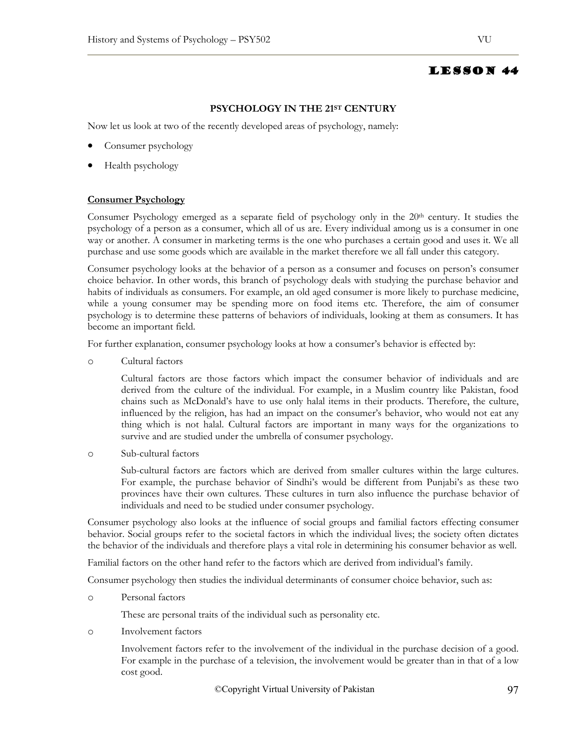# **PSYCHOLOGY IN THE 21ST CENTURY**

Now let us look at two of the recently developed areas of psychology, namely:

- Consumer psychology
- Health psychology

#### **Consumer Psychology**

Consumer Psychology emerged as a separate field of psychology only in the 20th century. It studies the psychology of a person as a consumer, which all of us are. Every individual among us is a consumer in one way or another. A consumer in marketing terms is the one who purchases a certain good and uses it. We all purchase and use some goods which are available in the market therefore we all fall under this category.

Consumer psychology looks at the behavior of a person as a consumer and focuses on person's consumer choice behavior. In other words, this branch of psychology deals with studying the purchase behavior and habits of individuals as consumers. For example, an old aged consumer is more likely to purchase medicine, while a young consumer may be spending more on food items etc. Therefore, the aim of consumer psychology is to determine these patterns of behaviors of individuals, looking at them as consumers. It has become an important field.

For further explanation, consumer psychology looks at how a consumer's behavior is effected by:

o Cultural factors

Cultural factors are those factors which impact the consumer behavior of individuals and are derived from the culture of the individual. For example, in a Muslim country like Pakistan, food chains such as McDonald's have to use only halal items in their products. Therefore, the culture, influenced by the religion, has had an impact on the consumer's behavior, who would not eat any thing which is not halal. Cultural factors are important in many ways for the organizations to survive and are studied under the umbrella of consumer psychology.

o Sub-cultural factors

Sub-cultural factors are factors which are derived from smaller cultures within the large cultures. For example, the purchase behavior of Sindhi's would be different from Punjabi's as these two provinces have their own cultures. These cultures in turn also influence the purchase behavior of individuals and need to be studied under consumer psychology.

Consumer psychology also looks at the influence of social groups and familial factors effecting consumer behavior. Social groups refer to the societal factors in which the individual lives; the society often dictates the behavior of the individuals and therefore plays a vital role in determining his consumer behavior as well.

Familial factors on the other hand refer to the factors which are derived from individual's family.

Consumer psychology then studies the individual determinants of consumer choice behavior, such as:

o Personal factors

These are personal traits of the individual such as personality etc.

o Involvement factors

Involvement factors refer to the involvement of the individual in the purchase decision of a good. For example in the purchase of a television, the involvement would be greater than in that of a low cost good.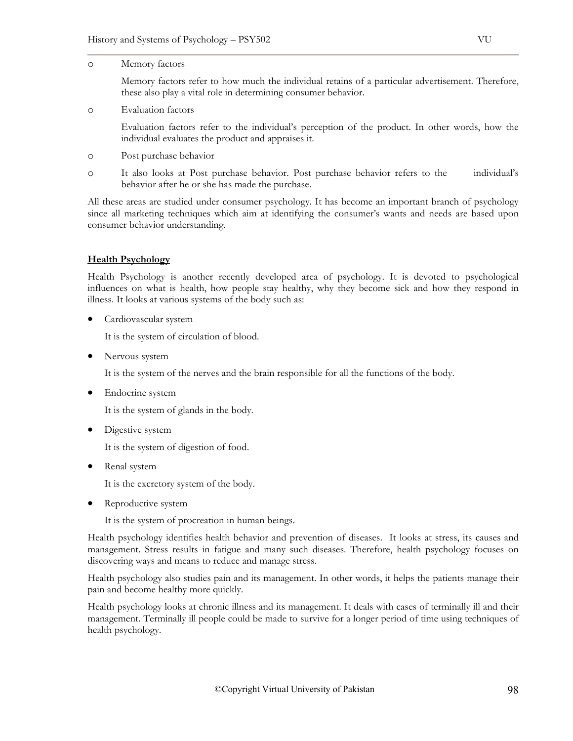#### o Memory factors

Memory factors refer to how much the individual retains of a particular advertisement. Therefore, these also play a vital role in determining consumer behavior.

o Evaluation factors

Evaluation factors refer to the individual's perception of the product. In other words, how the individual evaluates the product and appraises it.

- o Post purchase behavior
- o It also looks at Post purchase behavior. Post purchase behavior refers to the individual's behavior after he or she has made the purchase.

All these areas are studied under consumer psychology. It has become an important branch of psychology since all marketing techniques which aim at identifying the consumer's wants and needs are based upon consumer behavior understanding.

# **Health Psychology**

Health Psychology is another recently developed area of psychology. It is devoted to psychological influences on what is health, how people stay healthy, why they become sick and how they respond in illness. It looks at various systems of the body such as:

Cardiovascular system

It is the system of circulation of blood.

• Nervous system

It is the system of the nerves and the brain responsible for all the functions of the body.

• Endocrine system

It is the system of glands in the body.

• Digestive system

It is the system of digestion of food.

• Renal system

It is the excretory system of the body.

• Reproductive system

It is the system of procreation in human beings.

Health psychology identifies health behavior and prevention of diseases. It looks at stress, its causes and management. Stress results in fatigue and many such diseases. Therefore, health psychology focuses on discovering ways and means to reduce and manage stress.

Health psychology also studies pain and its management. In other words, it helps the patients manage their pain and become healthy more quickly.

Health psychology looks at chronic illness and its management. It deals with cases of terminally ill and their management. Terminally ill people could be made to survive for a longer period of time using techniques of health psychology.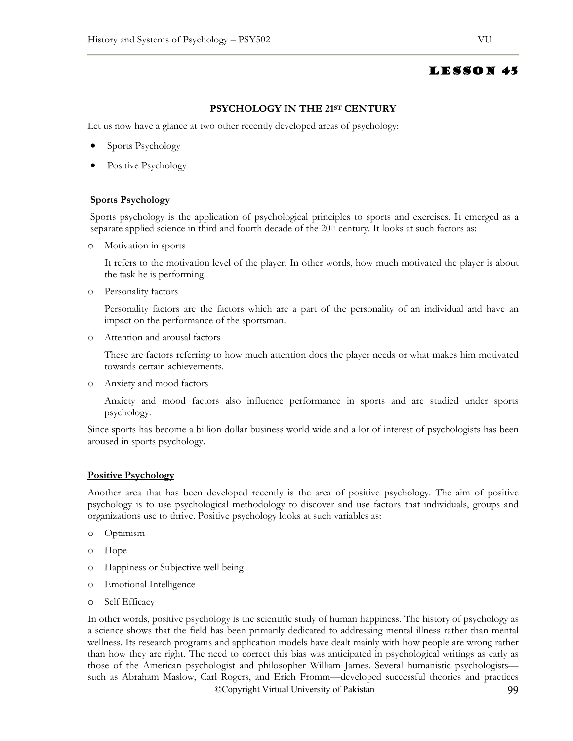# **PSYCHOLOGY IN THE 21ST CENTURY**

Let us now have a glance at two other recently developed areas of psychology:

- Sports Psychology
- Positive Psychology

## **Sports Psychology**

Sports psychology is the application of psychological principles to sports and exercises. It emerged as a separate applied science in third and fourth decade of the  $20<sup>th</sup>$  century. It looks at such factors as:

o Motivation in sports

It refers to the motivation level of the player. In other words, how much motivated the player is about the task he is performing.

o Personality factors

Personality factors are the factors which are a part of the personality of an individual and have an impact on the performance of the sportsman.

o Attention and arousal factors

These are factors referring to how much attention does the player needs or what makes him motivated towards certain achievements.

o Anxiety and mood factors

Anxiety and mood factors also influence performance in sports and are studied under sports psychology.

Since sports has become a billion dollar business world wide and a lot of interest of psychologists has been aroused in sports psychology.

# **Positive Psychology**

Another area that has been developed recently is the area of positive psychology. The aim of positive psychology is to use psychological methodology to discover and use factors that individuals, groups and organizations use to thrive. Positive psychology looks at such variables as:

- o Optimism
- o Hope
- o Happiness or Subjective well being
- o Emotional Intelligence
- o Self Efficacy

©Copyright Virtual University of Pakistan 99 In other words, positive psychology is the scientific study of human happiness. The history of psychology as a science shows that the field has been primarily dedicated to addressing mental illness rather than mental wellness. Its research programs and application models have dealt mainly with how people are wrong rather than how they are right. The need to correct this bias was anticipated in psychological writings as early as those of the American psychologist and philosopher William James. Several humanistic psychologists such as Abraham Maslow, Carl Rogers, and Erich Fromm—developed successful theories and practices